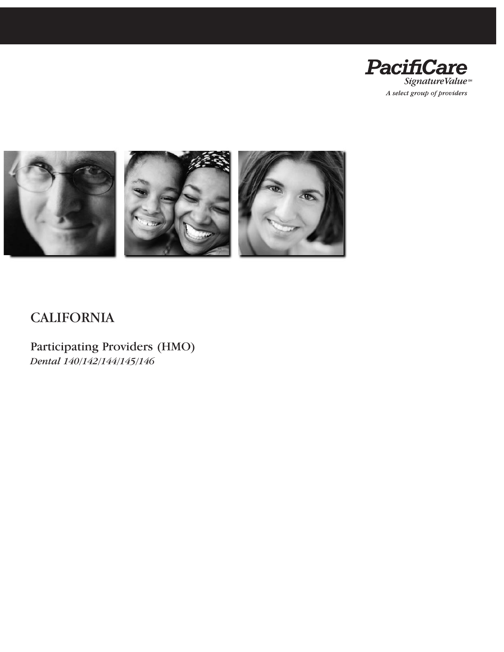



## **CALIFORNIA**

Participating Providers (HMO) *Dental 140/142/144/145/146*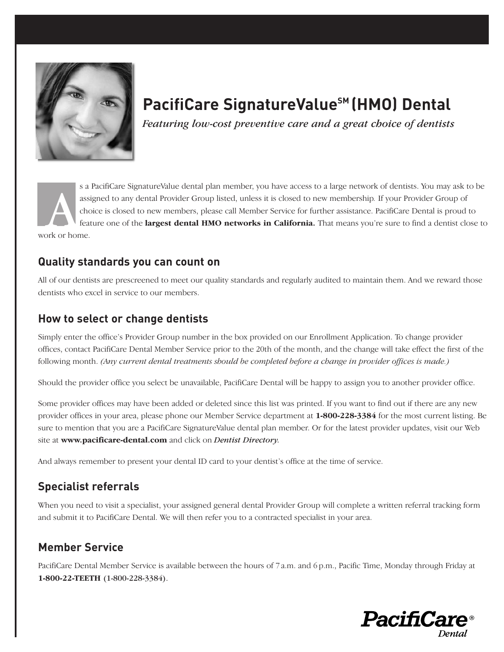

## **PacifiCare SignatureValue<sup>SM</sup> (HMO) Dental**

*Featuring low-cost preventive care and a great choice of dentists*

s a PacifiCare SignatureValue dental plan member, you have access to a large network of dentists. You may ask to be assigned to any dental Provider Group listed, unless it is closed to new membership*.* If your Provider Group of choice is closed to new members, please call Member Service for further assistance. PacifiCare Dental is proud to feature one of the **largest dental HMO networks in California**. That means you're sure to find a dentist close to ass<br>
ass<br>
chome.<br>
The feature of the set of the set of the set of the set of the set of the set of the set of the set of the set of the set of the set of the set of the set of the set of the set of the set of the set of th

### **Quality standards you can count on**

All of our dentists are prescreened to meet our quality standards and regularly audited to maintain them. And we reward those dentists who excel in service to our members.

### **How to select or change dentists**

Simply enter the office's Provider Group number in the box provided on our Enrollment Application. To change provider offices, contact PacifiCare Dental Member Service prior to the 20th of the month, and the change will take effect the first of the following month. *(Any current dental treatments should be completed before a change in provider offices is made.)*

Should the provider office you select be unavailable, PacifiCare Dental will be happy to assign you to another provider office.

Some provider offices may have been added or deleted since this list was printed. If you want to find out if there are any new provider offices in your area, please phone our Member Service department at **1-800-228-3384** for the most current listing. Be sure to mention that you are a PacifiCare SignatureValue dental plan member. Or for the latest provider updates, visit our Web site at **www.pacificare-dental.com** and click on *Dentist Directory.*

And always remember to present your dental ID card to your dentist's office at the time of service.

### **Specialist referrals**

When you need to visit a specialist, your assigned general dental Provider Group will complete a written referral tracking form and submit it to PacifiCare Dental. We will then refer you to a contracted specialist in your area.

### **Member Service**

PacifiCare Dental Member Service is available between the hours of 7 a.m. and 6 p.m., Pacific Time, Monday through Friday at **1-800-22-TEETH** (1-800-228-3384).

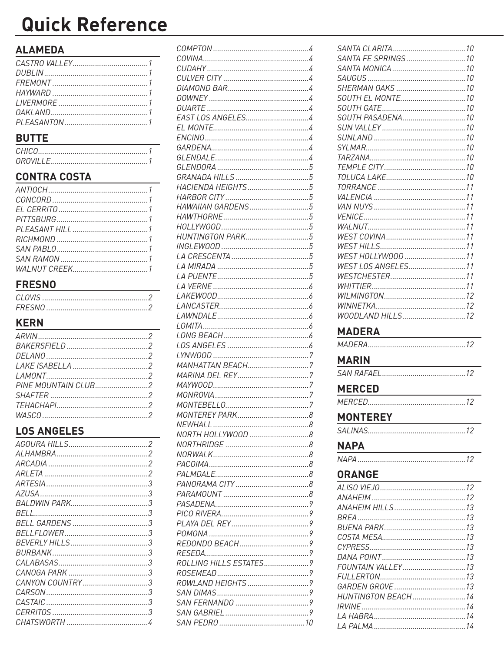# **Quick Reference**

### **ALAMEDA**

| $A \cup A$ |  |
|------------|--|
|            |  |
|            |  |
|            |  |
|            |  |
|            |  |
|            |  |
|            |  |

### **BUTTE**

### **CONTRA COSTA**

### **FRESNO**

### **KERN**

### **LOS ANGELES**

| CASTAIC |  |
|---------|--|
|         |  |
|         |  |
|         |  |

| EAST LOS ANGELES4      |  |
|------------------------|--|
|                        |  |
|                        |  |
|                        |  |
|                        |  |
|                        |  |
|                        |  |
| HACIENDA HEIGHTS 5     |  |
|                        |  |
| HAWAIIAN GARDENS5      |  |
|                        |  |
|                        |  |
| HUNTINGTON PARK5       |  |
|                        |  |
|                        |  |
|                        |  |
|                        |  |
|                        |  |
|                        |  |
|                        |  |
|                        |  |
|                        |  |
|                        |  |
|                        |  |
|                        |  |
| MANHATTAN BEACH7       |  |
|                        |  |
|                        |  |
|                        |  |
|                        |  |
|                        |  |
|                        |  |
| NORTH HOLLYWOOD 8      |  |
|                        |  |
|                        |  |
|                        |  |
|                        |  |
|                        |  |
|                        |  |
|                        |  |
|                        |  |
|                        |  |
|                        |  |
|                        |  |
|                        |  |
| ROLLING HILLS ESTATES9 |  |
|                        |  |
|                        |  |
|                        |  |
|                        |  |
|                        |  |
|                        |  |
|                        |  |

| SOUTH PASADENA10                             |
|----------------------------------------------|
|                                              |
|                                              |
|                                              |
|                                              |
|                                              |
|                                              |
|                                              |
|                                              |
|                                              |
|                                              |
|                                              |
|                                              |
|                                              |
| WEST HOLLYWOOD 11                            |
| WEST LOS ANGELES11                           |
|                                              |
|                                              |
|                                              |
|                                              |
| WOODLAND HILLS12                             |
|                                              |
|                                              |
| MADERA <b>MADERA</b>                         |
|                                              |
| <b>MARIN</b>                                 |
|                                              |
|                                              |
|                                              |
| MERCED <b>MERCED</b>                         |
| <b>MONTEREY</b>                              |
|                                              |
|                                              |
| <b>NAPA</b>                                  |
| <u> 1989 - Johann Barn, fransk politik (</u> |
|                                              |
| <b>ORANGE</b>                                |
|                                              |
|                                              |
|                                              |
|                                              |
|                                              |
|                                              |
|                                              |
|                                              |
|                                              |
|                                              |
|                                              |
| HUNTINGTON BEACH14                           |
|                                              |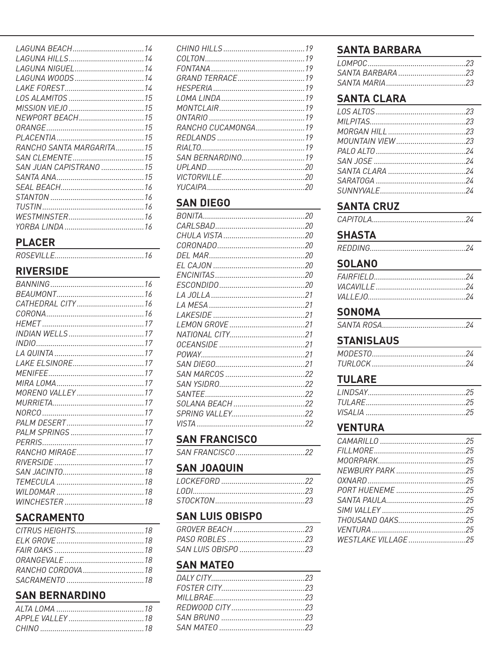| RANCHO SANTA MARGARITA15 |  |
|--------------------------|--|
|                          |  |
| SAN JUAN CAPISTRANO 15   |  |
|                          |  |
|                          |  |
|                          |  |
|                          |  |
|                          |  |
|                          |  |

#### **PLACER**

#### **RIVERSIDE**

#### **SACRAMENTO**

### **SAN BERNARDINO**

| RANCHO CUCAMONGA19 |  |
|--------------------|--|
|                    |  |
|                    |  |
|                    |  |
|                    |  |
|                    |  |
|                    |  |
|                    |  |

#### **SAN DIEGO**

### **SAN FRANCISCO**

| SAN FRANCISCO 22 |
|------------------|
|------------------|

#### **SAN JOAQUIN**

#### **SAN LUIS OBISPO**

| SAN LUIS 0BISP0 23 |  |
|--------------------|--|

#### **SAN MATEO**

### **SANTA BARBARA**

### **SANTA CLARA**

| the control of the control of the control of the control of the control of the control of the control of the control of the control of the control of the control of the control of the control of the control of the control |  |
|-------------------------------------------------------------------------------------------------------------------------------------------------------------------------------------------------------------------------------|--|
|                                                                                                                                                                                                                               |  |
|                                                                                                                                                                                                                               |  |
|                                                                                                                                                                                                                               |  |
|                                                                                                                                                                                                                               |  |
|                                                                                                                                                                                                                               |  |
|                                                                                                                                                                                                                               |  |
|                                                                                                                                                                                                                               |  |
|                                                                                                                                                                                                                               |  |
|                                                                                                                                                                                                                               |  |

#### **SANTA CRUZ**

#### **SHASTA**

#### **SOLANO**

| $\frac{1}{2}$ |  |
|---------------|--|

#### **SONOMA**

### **STANISLAUS**

#### **TULARE**

#### **VENTURA**

| THOUSAND 0AKS25    |  |
|--------------------|--|
|                    |  |
| WESTLAKE VILLAGE25 |  |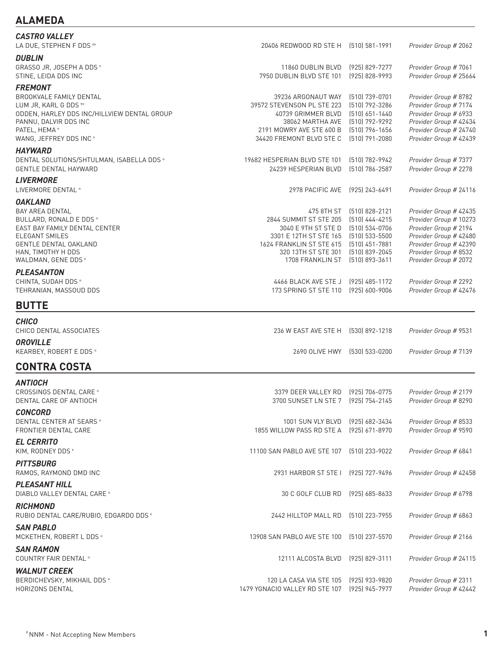| <b>LAMEI</b><br>A. |
|--------------------|
|--------------------|

| <b>CASTRO VALLEY</b><br>LA DUE, STEPHEN F DDS **                                                                                                                                                    | 20406 REDWOOD RD STE H                                                                                                                                       | (510) 581-1991                                                                                                                 | Provider Group # 2062                                                                                                                                                           |
|-----------------------------------------------------------------------------------------------------------------------------------------------------------------------------------------------------|--------------------------------------------------------------------------------------------------------------------------------------------------------------|--------------------------------------------------------------------------------------------------------------------------------|---------------------------------------------------------------------------------------------------------------------------------------------------------------------------------|
| <b>DUBLIN</b><br>GRASSO JR, JOSEPH A DDS <sup>+</sup><br>STINE, LEIDA DDS INC                                                                                                                       | 11860 DUBLIN BLVD<br>7950 DUBLIN BLVD STE 101                                                                                                                | (925) 829-7277<br>(925) 828-9993                                                                                               | Provider Group # 7061<br>Provider Group # 25664                                                                                                                                 |
| <b>FREMONT</b><br>BROOKVALE FAMILY DENTAL<br>LUM JR, KARL G DDS **<br>ODDEN, HARLEY DDS INC/HILLVIEW DENTAL GROUP<br>PANNU, DALVIR DDS INC<br>PATEL, HEMA <sup>+</sup><br>WANG, JEFFREY DDS INC +   | 39236 ARGONAUT WAY<br>39572 STEVENSON PL STE 223<br>40739 GRIMMER BLVD<br>38062 MARTHA AVE<br>2191 MOWRY AVE STE 600 B<br>34420 FREMONT BLVD STE C           | $(510)$ 739-0701<br>[510] 792-3286<br>[510] 651-1440<br>(510) 792-9292<br>(510) 796-1656<br>$(510)$ 791-2080                   | Provider Group # 8782<br>Provider Group # 7174<br>Provider Group # 6933<br>Provider Group # 42434<br>Provider Group # 24740<br>Provider Group # 42439                           |
| <b>HAYWARD</b><br>DENTAL SOLUTIONS/SHTULMAN, ISABELLA DDS *<br><b>GENTLE DENTAL HAYWARD</b>                                                                                                         | 19682 HESPERIAN BLVD STE 101<br>24239 HESPERIAN BLVD                                                                                                         | [510] 782-9942<br>[510] 786-2587                                                                                               | Provider Group # 7377<br>Provider Group # 2278                                                                                                                                  |
| <b>LIVERMORE</b><br>LIVERMORE DENTAL *                                                                                                                                                              | 2978 PACIFIC AVE                                                                                                                                             | $(925)$ 243-6491                                                                                                               | Provider Group # 24116                                                                                                                                                          |
| <b>OAKLAND</b><br><b>BAY AREA DENTAL</b><br>BULLARD, RONALD E DDS *<br>EAST BAY FAMILY DENTAL CENTER<br>ELEGANT SMILES<br><b>GENTLE DENTAL OAKLAND</b><br>HAN, TIMOTHY H DDS<br>WALDMAN, GENE DDS + | 475 8TH ST<br>2844 SUMMIT ST STE 205<br>3040 E 9TH ST STE D<br>3301 E 12TH ST STE 165<br>1624 FRANKLIN ST STE 615<br>320 13TH ST STE 301<br>1708 FRANKLIN ST | $(510)$ 828-2121<br>(510) 444-4215<br>(510) 534-0706<br>(510) 533-5500<br>$(510)$ 451-7881<br>(510) 839-2045<br>(510) 893-3611 | Provider Group # 42435<br>Provider Group # 10273<br>Provider Group # 2194<br>Provider Group # 42480<br>Provider Group # 42390<br>Provider Group # 8532<br>Provider Group # 2072 |
| <b>PLEASANTON</b><br>CHINTA, SUDAH DDS *<br>TEHRANIAN, MASSOUD DDS                                                                                                                                  | 4466 BLACK AVE STE J<br>173 SPRING ST STE 110                                                                                                                | $(925)$ 485-1172<br>(925) 600-9006                                                                                             | Provider Group # 2292<br>Provider Group # 42476                                                                                                                                 |
| <b>BUTTE</b>                                                                                                                                                                                        |                                                                                                                                                              |                                                                                                                                |                                                                                                                                                                                 |
| <b>CHICO</b><br>CHICO DENTAL ASSOCIATES                                                                                                                                                             | 236 W EAST AVE STE H                                                                                                                                         | (530) 892-1218                                                                                                                 | Provider Group # 9531                                                                                                                                                           |
| <b>OROVILLE</b><br>KEARBEY, ROBERT E DDS *                                                                                                                                                          | 2690 OLIVE HWY                                                                                                                                               | [530] 533-0200                                                                                                                 | Provider Group # 7139                                                                                                                                                           |
| <b>CONTRA COSTA</b>                                                                                                                                                                                 |                                                                                                                                                              |                                                                                                                                |                                                                                                                                                                                 |
| <b>ANTIOCH</b><br>CROSSINGS DENTAL CARE *<br>DENTAL CARE OF ANTIOCH                                                                                                                                 | 3379 DEER VALLEY RD<br>3700 SUNSET LN STE 7 (925) 754-2145                                                                                                   | (925) 706-0775                                                                                                                 | Provider Group # 2179<br>Provider Group # 8290                                                                                                                                  |
| <b>CONCORD</b><br>DENTAL CENTER AT SEARS *<br>FRONTIER DENTAL CARE                                                                                                                                  | 1001 SUN VLY BLVD<br>1855 WILLOW PASS RD STE A                                                                                                               | (925) 682-3434<br>(925) 671-8970                                                                                               | Provider Group # 8533<br>Provider Group # 9590                                                                                                                                  |
| <b>EL CERRITO</b><br>KIM, RODNEY DDS +                                                                                                                                                              | 11100 SAN PABLO AVE STE 107                                                                                                                                  | (510) 233-9022                                                                                                                 | Provider Group # 6841                                                                                                                                                           |
| <b>PITTSBURG</b><br>RAMOS, RAYMOND DMD INC                                                                                                                                                          | 2931 HARBOR ST STE I                                                                                                                                         | (925) 727-9496                                                                                                                 | Provider Group # 42458                                                                                                                                                          |
| <b>PLEASANT HILL</b><br>DIABLO VALLEY DENTAL CARE *                                                                                                                                                 | 30 C GOLF CLUB RD                                                                                                                                            | $(925)$ 685-8633                                                                                                               | Provider Group # 6798                                                                                                                                                           |
| <b>RICHMOND</b><br>RUBIO DENTAL CARE/RUBIO, EDGARDO DDS <sup>+</sup>                                                                                                                                | 2442 HILLTOP MALL RD                                                                                                                                         | (510) 223-7955                                                                                                                 | Provider Group # 6863                                                                                                                                                           |
| <b>SAN PABLO</b><br>MCKETHEN, ROBERT L DDS *                                                                                                                                                        | 13908 SAN PABLO AVE STE 100                                                                                                                                  | (510) 237-5570                                                                                                                 | Provider Group # 2166                                                                                                                                                           |
| <b>SAN RAMON</b><br>COUNTRY FAIR DENTAL *                                                                                                                                                           | 12111 ALCOSTA BLVD                                                                                                                                           | (925) 829-3111                                                                                                                 | Provider Group # 24115                                                                                                                                                          |
| <b>WALNUT CREEK</b><br>BERDICHEVSKY, MIKHAIL DDS *<br><b>HORIZONS DENTAL</b>                                                                                                                        | 120 LA CASA VIA STE 105<br>1479 YGNACIO VALLEY RD STE 107                                                                                                    | (925) 933-9820<br>(925) 945-7977                                                                                               | Provider Group # 2311<br>Provider Group # 42442                                                                                                                                 |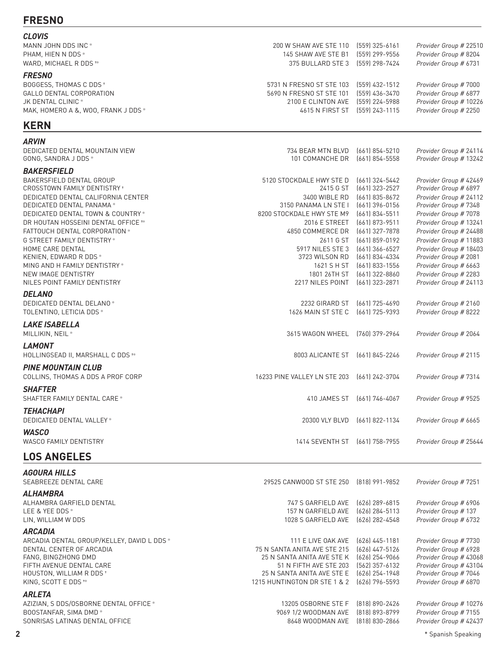### **FRESNO**

| <b>CLOVIS</b>                              |                                    |                                  |                                                 |
|--------------------------------------------|------------------------------------|----------------------------------|-------------------------------------------------|
| MANN JOHN DDS INC *                        | 200 W SHAW AVE STE 110             | $(559)$ 325-6161                 | Provider Group # 22510                          |
| PHAM, HIEN N DDS *                         | 145 SHAW AVE STE B1                | (559) 299-9556                   | Provider Group # 8204                           |
| WARD, MICHAEL R DDS **                     | 375 BULLARD STE 3                  | (559) 298-7424                   | Provider Group # 6731                           |
| <b>FRESNO</b>                              |                                    |                                  |                                                 |
| BOGGESS, THOMAS C DDS +                    | 5731 N FRESNO ST STE 103           | [559] 432-1512                   | Provider Group # 7000                           |
| GALLO DENTAL CORPORATION                   | 5690 N FRESNO ST STE 101           | (559) 436-3470                   | Provider Group # 6877                           |
| JK DENTAL CLINIC *                         | 2100 E CLINTON AVE                 | (559) 224-5988                   | Provider Group # 10226                          |
| MAK, HOMERO A &, WOO, FRANK J DDS *        | 4615 N FIRST ST (559) 243-1115     |                                  | Provider Group # 2250                           |
| <b>KERN</b>                                |                                    |                                  |                                                 |
| <b>ARVIN</b>                               |                                    |                                  |                                                 |
| DEDICATED DENTAL MOUNTAIN VIEW             | 734 BEAR MTN BLVD                  | $(661)$ 854-5210                 | Provider Group # 24114                          |
| GONG, SANDRA J DDS *                       | 101 COMANCHE DR                    | (661) 854-5558                   | Provider Group # 13242                          |
| <b>BAKERSFIELD</b>                         |                                    |                                  |                                                 |
| BAKERSFIELD DENTAL GROUP                   | 5120 STOCKDALE HWY STE D           | (661) 324-5442                   | Provider Group # 42469                          |
| CROSSTOWN FAMILY DENTISTRY *               | 2415 G ST                          | (661) 323-2527                   | Provider Group # 6897                           |
| DEDICATED DENTAL CALIFORNIA CENTER         | 3400 WIBLE RD                      | (661) 835-8672                   | Provider Group # 24112                          |
| DEDICATED DENTAL PANAMA*                   | 3150 PANAMA LN STE I               | (661) 396-0156                   | Provider Group # 7348                           |
| DEDICATED DENTAL TOWN & COUNTRY *          | 8200 STOCKDALE HWY STE M9          | (661) 834-5511                   | Provider Group # 7078                           |
| DR HOUTAN HOSSEINI DENTAL OFFICE **        | 2016 E STREET                      | (661) 873-9511                   | Provider Group # 13241                          |
| FATTOUCH DENTAL CORPORATION *              | 4850 COMMERCE DR                   | (661) 327-7878                   | Provider Group # 24488                          |
| <b>G STREET FAMILY DENTISTRY*</b>          | 2611 G ST                          | (661) 859-0192                   | Provider Group # 11883                          |
| HOME CARE DENTAL<br>KENIEN, EDWARD R DDS * | 5917 NILES STE 3<br>3723 WILSON RD | (661) 366-6527<br>(661) 834-4334 | Provider Group # 18403<br>Provider Group # 2081 |
| MING AND H FAMILY DENTISTRY *              | 1621 S H ST                        | (661) 833-1556                   | Provider Group # 6663                           |
| NEW IMAGE DENTISTRY                        | 1801 26TH ST                       | $(661)$ 322-8860                 | Provider Group # 2283                           |
| NILES POINT FAMILY DENTISTRY               | 2217 NILES POINT                   | (661) 323-2871                   | Provider Group # 24113                          |
| <b>DELANO</b>                              |                                    |                                  |                                                 |
| DEDICATED DENTAL DELANO*                   | 2232 GIRARD ST                     | (661) 725-4690                   | Provider Group # 2160                           |
| TOLENTINO, LETICIA DDS *                   | 1626 MAIN ST STE C                 | (661) 725-9393                   | Provider Group # 8222                           |
|                                            |                                    |                                  |                                                 |
| <b>LAKE ISABELLA</b>                       |                                    |                                  |                                                 |
| MILLIKIN, NEIL *                           | 3615 WAGON WHEEL (760) 379-2964    |                                  | Provider Group # 2064                           |
| <b>LAMONT</b>                              |                                    |                                  |                                                 |
| HOLLINGSEAD II, MARSHALL C DDS **          | 8003 ALICANTE ST                   | (661) 845-2246                   | Provider Group # 2115                           |
| <b>PINE MOUNTAIN CLUB</b>                  |                                    |                                  |                                                 |
| COLLINS, THOMAS A DDS A PROF CORP          | 16233 PINE VALLEY LN STE 203       | (661) 242-3704                   | Provider Group # 7314                           |
| <b>SHAFTER</b>                             |                                    |                                  |                                                 |
| SHAFTER FAMILY DENTAL CARE *               |                                    | 410 JAMES ST [661] 746-4067      | Provider Group # 9525                           |
| <b>TEHACHAPI</b>                           |                                    |                                  |                                                 |
| DEDICATED DENTAL VALLEY *                  | 20300 VLY BLVD (661) 822-1134      |                                  | Provider Group # 6665                           |
| <b>WASCO</b>                               |                                    |                                  |                                                 |
| <b>WASCO FAMILY DENTISTRY</b>              | 1414 SEVENTH ST (661) 758-7955     |                                  | Provider Group # 25644                          |
|                                            |                                    |                                  |                                                 |
| <b>LOS ANGELES</b>                         |                                    |                                  |                                                 |

#### *AGOURA HILLS*

| AGUURA HILLS<br>SEABREEZE DENTAL CARE                                                                                                                                                                             | 29525 CANWOOD ST STE 250                                                                                                                                                 | (818) 991-9852                                                                                               | Provider Group # 7251                                                                                                                                |
|-------------------------------------------------------------------------------------------------------------------------------------------------------------------------------------------------------------------|--------------------------------------------------------------------------------------------------------------------------------------------------------------------------|--------------------------------------------------------------------------------------------------------------|------------------------------------------------------------------------------------------------------------------------------------------------------|
| <b>ALHAMBRA</b><br>ALHAMBRA GARFIELD DENTAL<br>LEE & YEE DDS *<br>LIN, WILLIAM W DDS                                                                                                                              | 747 S GARFIELD AVE<br>157 N GARFIELD AVE<br>1028 S GARFIELD AVE                                                                                                          | (626) 289-6815<br>$(626)$ 284-5113<br>(626) 282-4548                                                         | Provider Group # 6906<br>Provider Group # 137<br>Provider Group # 6732                                                                               |
| <i><b>ARCADIA</b></i><br>ARCADIA DENTAL GROUP/KELLEY, DAVID L DDS *<br>DENTAL CENTER OF ARCADIA<br>FANG, BINGZHONG DMD<br>FIFTH AVENUE DENTAL CARE<br>HOUSTON, WILLIAM R DDS *<br>KING, SCOTT E DDS <sup>+*</sup> | 111 E LIVE OAK AVE<br>75 N SANTA ANITA AVE STE 215<br>25 N SANTA ANITA AVE STE K<br>51 N FIFTH AVE STE 203<br>25 N SANTA ANITA AVE STE E<br>1215 HUNTINGTON DR STE 1 & 2 | $(626)$ 445-1181<br>(626) 447-5126<br>(626) 254-9066<br>[562] 357-6132<br>$(626)$ 254-1948<br>(626) 796-5593 | Provider Group # 7730<br>Provider Group # 6928<br>Provider Group # 43068<br>Provider Group # 43104<br>Provider Group # 7046<br>Provider Group # 6870 |
| <b>ARLETA</b><br>AZIZIAN, S DDS/OSBORNE DENTAL OFFICE *<br>BOOSTANFAR, SIMA DMD *<br>SONRISAS LATINAS DENTAL OFFICE                                                                                               | 13205 OSBORNE STE F<br>9069 1/2 WOODMAN AVE<br>8648 WOODMAN AVE                                                                                                          | (818) 890-2426<br>(818) 893-8799<br>(818) 830-2866                                                           | Provider Group # 10276<br>Provider Group # 7155<br>Provider Group # 42437                                                                            |
| 2                                                                                                                                                                                                                 |                                                                                                                                                                          |                                                                                                              | * Spanish Speaking                                                                                                                                   |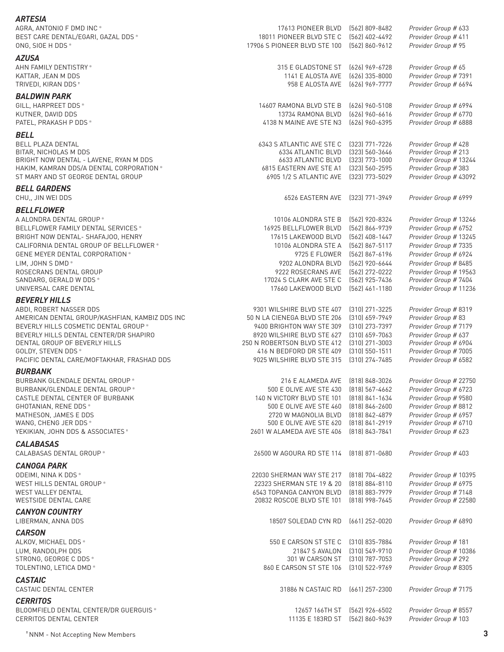| <b>ARTESIA</b>                                                                |                                                   |                                  |                                                 |
|-------------------------------------------------------------------------------|---------------------------------------------------|----------------------------------|-------------------------------------------------|
| AGRA, ANTONIO F DMD INC *                                                     | 17613 PIONEER BLVD                                | (562) 809-8482                   | Provider Group # 633                            |
| BEST CARE DENTAL/EGARI, GAZAL DDS *                                           | 18011 PIONEER BLVD STE C                          | (562) 402-4492                   | Provider Group # 411                            |
| ONG, SIOE H DDS *                                                             | 17906 S PIONEER BLVD STE 100                      | (562) 860-9612                   | Provider Group # 95                             |
| <b>AZUSA</b>                                                                  |                                                   |                                  |                                                 |
| AHN FAMILY DENTISTRY *                                                        | 315 E GLADSTONE ST                                | (626) 969-6728                   | Provider Group # 65                             |
| KATTAR, JEAN M DDS                                                            | 1141 E ALOSTA AVE                                 | (626) 335-8000                   | Provider Group # 7391<br>Provider Group # 6694  |
| TRIVEDI, KIRAN DDS <sup>+</sup>                                               | 958 E ALOSTA AVE                                  | (626) 969-7777                   |                                                 |
| <b>BALDWIN PARK</b>                                                           |                                                   |                                  |                                                 |
| GILL, HARPREET DDS *                                                          | 14607 RAMONA BLVD STE B                           | $(626)$ 960-5108                 | Provider Group # 6994                           |
| KUTNER, DAVID DDS<br>PATEL, PRAKASH P DDS *                                   | 13734 RAMONA BLVD                                 | (626) 960-6616<br>(626) 960-6395 | Provider Group # 6770<br>Provider Group # 6888  |
|                                                                               | 4138 N MAINE AVE STE N3                           |                                  |                                                 |
| <b>BELL</b>                                                                   |                                                   |                                  |                                                 |
| <b>BELL PLAZA DENTAL</b>                                                      | 6343 S ATLANTIC AVE STE C                         | (323) 771-7226                   | Provider Group # 428                            |
| BITAR, NICHOLAS M DDS<br>BRIGHT NOW DENTAL - LAVENE, RYAN M DDS               | 6334 ATLANTIC BLVD<br>6633 ATLANTIC BLVD          | (323) 560-3646<br>(323) 773-1000 | Provider Group # 213<br>Provider Group # 13244  |
| HAKIM, KAMRAN DDS/A DENTAL CORPORATION *                                      | 6815 EASTERN AVE STE A1                           | (323) 560-2595                   | Provider Group #383                             |
| ST MARY AND ST GEORGE DENTAL GROUP                                            | 6905 1/2 S ATLANTIC AVE                           | (323) 773-5029                   | Provider Group # 43092                          |
| <b>BELL GARDENS</b>                                                           |                                                   |                                  |                                                 |
| CHU, JIN WEI DDS                                                              | 6526 EASTERN AVE                                  | [323] 771-3949                   | Provider Group # 6999                           |
|                                                                               |                                                   |                                  |                                                 |
| <b>BELLFLOWER</b>                                                             |                                                   |                                  |                                                 |
| A ALONDRA DENTAL GROUP *                                                      | 10106 ALONDRA STE B<br>16925 BELLFLOWER BLVD      | (562) 920-8324                   | Provider Group # 13246<br>Provider Group # 6752 |
| BELLFLOWER FAMILY DENTAL SERVICES *                                           | 17615 LAKEWOOD BLVD                               | (562) 866-9739<br>[562] 408-1447 |                                                 |
| BRIGHT NOW DENTAL- SHAFAJOO, HENRY<br>CALIFORNIA DENTAL GROUP OF BELLFLOWER * | 10106 ALONDRA STE A                               | (562) 867-5117                   | Provider Group # 13245<br>Provider Group # 7335 |
| GENE MEYER DENTAL CORPORATION *                                               | 9725 E FLOWER                                     | (562) 867-6196                   | Provider Group # 6924                           |
| LIM, JOHN S DMD *                                                             | 9202 ALONDRA BLVD                                 | (562) 920-6644                   | Provider Group # 8485                           |
| ROSECRANS DENTAL GROUP                                                        | 9222 ROSECRANS AVE                                | [562] 272-0222                   | Provider Group # 19563                          |
| SANDARG, GERALD W DDS *                                                       | 17024 S CLARK AVE STE C                           | (562) 925-7436                   | Provider Group # 7404                           |
| UNIVERSAL CARE DENTAL                                                         | 17660 LAKEWOOD BLVD                               | $(562)$ 461-1180                 | Provider Group # 11236                          |
| <b>BEVERLY HILLS</b>                                                          |                                                   |                                  |                                                 |
| ABDI, ROBERT NASSER DDS                                                       | 9301 WILSHIRE BLVD STE 407                        | $(310)$ 271-3225                 | Provider Group # 8319                           |
| AMERICAN DENTAL GROUP/KASHFIAN, KAMBIZ DDS INC                                | 50 N LA CIENEGA BLVD STE 206                      | (310) 659-7949                   | Provider Group # 83                             |
| BEVERLY HILLS COSMETIC DENTAL GROUP *                                         | 9400 BRIGHTON WAY STE 309                         | (310) 273-7397                   | Provider Group # 7179                           |
| BEVERLY HILLS DENTAL CENTER/DR SHAPIRO                                        | 8920 WILSHIRE BLVD STE 627                        | $(310)$ 659-7063                 | Provider Group # 637                            |
| DENTAL GROUP OF BEVERLY HILLS                                                 | 250 N ROBERTSON BLVD STE 412                      | [310] 271-3003                   | Provider Group # 6904                           |
| GOLDY, STEVEN DDS *                                                           | 416 N BEDFORD DR STE 409                          | $(310)$ 550-1511                 | Provider Group # 7005                           |
| PACIFIC DENTAL CARE/MOFTAKHAR, FRASHAD DDS                                    | 9025 WILSHIRE BLVD STE 315                        | (310) 274-7485                   | Provider Group # 6582                           |
| <b>BURBANK</b>                                                                |                                                   |                                  |                                                 |
| BURBANK GLENDALE DENTAL GROUP *                                               | 216 E ALAMEDA AVE (818) 848-3026                  |                                  | Provider Group # 22750                          |
| BURBANK/GLENDALE DENTAL GROUP *                                               | 500 E OLIVE AVE STE 430                           | (818) 567-4662                   | Provider Group # 6723                           |
| CASTLE DENTAL CENTER OF BURBANK                                               | 140 N VICTORY BLVD STE 101                        | [818] 841-1634                   | Provider Group # 9580                           |
| GHOTANIAN, RENE DDS *                                                         | 500 E OLIVE AVE STE 460                           | (818) 846-2600                   | Provider Group # 8812                           |
| MATHESON, JAMES E DDS                                                         | 2720 W MAGNOLIA BLVD                              | (818) 842-4879                   | Provider Group # 6957                           |
| WANG, CHENG JER DDS *                                                         | 500 E OLIVE AVE STE 620                           | (818) 841-2919                   | Provider Group # 6710                           |
| YEKIKIAN, JOHN DDS & ASSOCIATES *                                             | 2601 W ALAMEDA AVE STE 406                        | (818) 843-7841                   | Provider Group # 623                            |
| <b>CALABASAS</b>                                                              |                                                   |                                  |                                                 |
| CALABASAS DENTAL GROUP *                                                      | 26500 W AGOURA RD STE 114                         | $(818)$ 871-0680                 | Provider Group # 403                            |
| <b>CANOGA PARK</b>                                                            |                                                   |                                  |                                                 |
| ODEIMI, NINA K DDS *                                                          | 22030 SHERMAN WAY STE 217                         | (818) 704-4822                   | Provider Group # 10395                          |
| WEST HILLS DENTAL GROUP *                                                     | 22323 SHERMAN STE 19 & 20                         | $(818) 884 - 8110$               | Provider Group # 6975                           |
| <b>WEST VALLEY DENTAL</b>                                                     | 6543 TOPANGA CANYON BLVD                          | (818) 883-7979                   | Provider Group # 7148                           |
| WESTSIDE DENTAL CARE                                                          | 20832 ROSCOE BLVD STE 101                         | (818) 998-7645                   | Provider Group # 22580                          |
| <b>CANYON COUNTRY</b>                                                         |                                                   |                                  |                                                 |
| LIBERMAN, ANNA DDS                                                            | 18507 SOLEDAD CYN RD                              | $(661)$ 252-0020                 | Provider Group # 6890                           |
| <b>CARSON</b>                                                                 |                                                   |                                  |                                                 |
| ALKOV, MICHAEL DDS *                                                          | 550 E CARSON ST STE C                             | (310) 835-7884                   | Provider Group # 181                            |
| LUM, RANDOLPH DDS                                                             | 21847 S AVALON                                    | (310) 549-9710                   | Provider Group # 10386                          |
| STRONG, GEORGE C DDS *                                                        | 301 W CARSON ST                                   | (310) 787-7053                   | Provider Group # 292                            |
| TOLENTINO, LETICA DMD*                                                        | 860 E CARSON ST STE 106                           | $(310)$ 522-9769                 | Provider Group # 8305                           |
| <b>CASTAIC</b>                                                                |                                                   |                                  |                                                 |
| CASTAIC DENTAL CENTER                                                         | 31886 N CASTAIC RD                                | $(661)$ 257-2300                 | Provider Group # 7175                           |
|                                                                               |                                                   |                                  |                                                 |
| <b>CERRITOS</b>                                                               |                                                   |                                  |                                                 |
| BLOOMFIELD DENTAL CENTER/DR GUERGUIS *<br>CERRITOS DENTAL CENTER              | 12657 166TH ST<br>11135 E 183RD ST [562] 860-9639 | (562) 926-6502                   | Provider Group # 8557<br>Provider Group # 103   |
|                                                                               |                                                   |                                  |                                                 |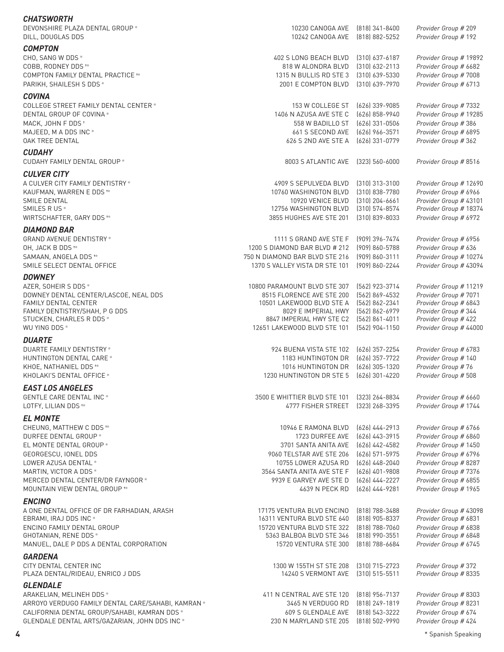| <b>CHATSWORTH</b><br>DEVONSHIRE PLAZA DENTAL GROUP *               | 10230 CANOGA AVE                                       | $(818)$ 341-8400                     | Provider Group # 209                            |
|--------------------------------------------------------------------|--------------------------------------------------------|--------------------------------------|-------------------------------------------------|
| DILL, DOUGLAS DDS                                                  | 10242 CANOGA AVE                                       | (818) 882-5252                       | Provider Group # 192                            |
| <b>COMPTON</b>                                                     |                                                        |                                      |                                                 |
| CHO, SANG W DDS *                                                  | 402 S LONG BEACH BLVD                                  | $(310)$ 637-6187                     | Provider Group # 19892                          |
| COBB, RODNEY DDS **                                                | 818 W ALONDRA BLVD                                     | $(310)$ 632-2113                     | Provider Group # 6682                           |
| COMPTON FAMILY DENTAL PRACTICE **<br>PARIKH, SHAILESH S DDS *      | 1315 N BULLIS RD STE 3<br>2001 E COMPTON BLVD          | $(310)$ 639-5330<br>$(310)$ 639-7970 | Provider Group # 7008<br>Provider Group # 6713  |
|                                                                    |                                                        |                                      |                                                 |
| <b>COVINA</b><br>COLLEGE STREET FAMILY DENTAL CENTER *             | 153 W COLLEGE ST                                       | (626) 339-9085                       | Provider Group # 7332                           |
| DENTAL GROUP OF COVINA *                                           | 1406 N AZUSA AVE STE C                                 | $(626)$ 858-9940                     | Provider Group # 19285                          |
| MACK, JOHN F DDS *                                                 | 558 W BADILLO ST                                       | (626) 331-0506                       | Provider Group # 386                            |
| MAJEED, M A DDS INC *                                              | 661 S SECOND AVE                                       | $(626)$ 966-3571                     | Provider Group # 6895                           |
| <b>OAK TREE DENTAL</b>                                             | 626 S 2ND AVE STE A                                    | (626) 331-0779                       | Provider Group # 362                            |
| <b>CUDAHY</b>                                                      |                                                        |                                      |                                                 |
| CUDAHY FAMILY DENTAL GROUP *                                       | 8003 S ATLANTIC AVE                                    | $(323) 560 - 6000$                   | Provider Group # 8516                           |
| <b>CULVER CITY</b>                                                 |                                                        |                                      |                                                 |
| A CULVER CITY FAMILY DENTISTRY *                                   | 4909 S SEPULVEDA BLVD                                  | (310) 313-3100                       | Provider Group # 12690                          |
| KAUFMAN, WARREN E DDS **<br>SMILE DENTAL                           | 10760 WASHINGTON BLVD<br>10920 VENICE BLVD             | $(310)$ 838-7780<br>$(310)$ 204-6661 | Provider Group # 6966<br>Provider Group # 43101 |
| SMILES R US *                                                      | 12756 WASHINGTON BLVD                                  | $(310)$ 574-8574                     | Provider Group # 18374                          |
| WIRTSCHAFTER, GARY DDS **                                          | 3855 HUGHES AVE STE 201                                | $(310)$ 839-8033                     | Provider Group # 6972                           |
| <b>DIAMOND BAR</b>                                                 |                                                        |                                      |                                                 |
| <b>GRAND AVENUE DENTISTRY*</b>                                     | 1111 S GRAND AVE STE F                                 | (909) 396-7474                       | Provider Group # 6956                           |
| OH, JACK B DDS **                                                  | 1200 S DIAMOND BAR BLVD # 212                          | $(909) 860 - 5788$                   | Provider Group # 636                            |
| SAMAAN, ANGELA DDS <sup>+*</sup>                                   | 750 N DIAMOND BAR BLVD STE 216                         | $(909) 860 - 3111$                   | Provider Group # 10274                          |
| SMILE SELECT DENTAL OFFICE                                         | 1370 S VALLEY VISTA DR STE 101                         | (909) 860-2244                       | Provider Group # 43094                          |
| <b>DOWNEY</b>                                                      |                                                        |                                      |                                                 |
| AZER, SOHEIR S DDS *                                               | 10800 PARAMOUNT BLVD STE 307                           | [562] 923-3714                       | Provider Group # 11219                          |
| DOWNEY DENTAL CENTER/LASCOE, NEAL DDS<br>FAMILY DENTAL CENTER      | 8515 FLORENCE AVE STE 200<br>10501 LAKEWOOD BLVD STE A | [562] 869-4532<br>[562] 862-2341     | Provider Group # 7071<br>Provider Group # 6843  |
| FAMILY DENTISTRY/SHAH, P G DDS                                     | 8029 E IMPERIAL HWY                                    | (562) 862-6979                       | Provider Group # 344                            |
| STUCKEN, CHARLES R DDS *                                           | 8847 IMPERIAL HWY STE C2                               | (562) 861-4011                       | Provider Group # 422                            |
| WU YING DDS *                                                      | 12651 LAKEWOOD BLVD STE 101                            | $(562)$ 904-1150                     | Provider Group # 44000                          |
| <b>DUARTE</b>                                                      |                                                        |                                      |                                                 |
| DUARTE FAMILY DENTISTRY *                                          | 924 BUENA VISTA STE 102                                | (626) 357-2254                       | Provider Group # 6783                           |
| HUNTINGTON DENTAL CARE *                                           | 1183 HUNTINGTON DR                                     | (626) 357-7722                       | Provider Group # 140                            |
| KHOE, NATHANIEL DDS **<br>KHOLAKI'S DENTAL OFFICE *                | 1016 HUNTINGTON DR<br>1230 HUNTINGTON DR STE 5         | $(626)$ 305-1320<br>(626) 301-4220   | Provider Group #76<br>Provider Group # 508      |
|                                                                    |                                                        |                                      |                                                 |
| <b>EAST LOS ANGELES</b><br><b>GENTLE CARE DENTAL INC*</b>          | 3500 E WHITTIER BLVD STE 101                           | (323) 264-8834                       | Provider Group # 6660                           |
| LOTFY, LILIAN DDS <sup>+*</sup>                                    | 4777 FISHER STREET                                     | (323) 268-3395                       | Provider Group # 1744                           |
| <b>EL MONTE</b>                                                    |                                                        |                                      |                                                 |
| CHEUNG, MATTHEW C DDS **                                           | 10946 E RAMONA BLVD                                    | $(626)$ 444-2913                     | Provider Group # 6766                           |
| DURFEE DENTAL GROUP *                                              | 1723 DURFEE AVE                                        | (626) 443-3915                       | Provider Group # 6860                           |
| EL MONTE DENTAL GROUP *                                            | 3701 SANTA ANITA AVE                                   | $(626)$ 442-4582                     | Provider Group # 1450                           |
| GEORGESCU, IONEL DDS                                               | 9060 TELSTAR AVE STE 206                               | $(626)$ 571-5975                     | Provider Group # 6796                           |
| LOWER AZUSA DENTAL *                                               | 10755 LOWER AZUSA RD                                   | (626) 448-2040                       | Provider Group # 8287                           |
| MARTIN, VICTOR A DDS *                                             | 3564 SANTA ANITA AVE STE F                             | (626) 401-9808                       | Provider Group # 7376                           |
| MERCED DENTAL CENTER/DR FAYNGOR *<br>MOUNTAIN VIEW DENTAL GROUP ** | 9939 E GARVEY AVE STE D<br>4639 N PECK RD              | $(626)$ 444-2227<br>$(626)$ 444-9281 | Provider Group # 6855<br>Provider Group # 1965  |
|                                                                    |                                                        |                                      |                                                 |
| <b>ENCINO</b><br>A ONE DENTAL OFFICE OF DR FARHADIAN, ARASH        | 17175 VENTURA BLVD ENCINO                              | (818) 788-3488                       | Provider Group # 43098                          |
| EBRAMI, IRAJ DDS INC *                                             | 16311 VENTURA BLVD STE 640                             | $(818)$ 905-8337                     | Provider Group # 6831                           |
| ENCINO FAMILY DENTAL GROUP                                         | 15720 VENTURA BLVD STE 322                             | $(818)$ 788-7060                     | Provider Group # 6838                           |
| GHOTANIAN, RENE DDS *                                              | 5363 BALBOA BLVD STE 346                               | (818) 990-3551                       | Provider Group # 6848                           |
| MANUEL, DALE P DDS A DENTAL CORPORATION                            | 15720 VENTURA STE 300                                  | $(818)$ 788-6684                     | Provider Group # 6745                           |
| <b>GARDENA</b>                                                     |                                                        |                                      |                                                 |
| CITY DENTAL CENTER INC<br>PLAZA DENTAL/RIDEAU, ENRICO J DDS        | 1300 W 155TH ST STE 208<br>14240 S VERMONT AVE         | $(310)$ 715-2723<br>$(310)$ 515-5511 | Provider Group #372<br>Provider Group # 8335    |
|                                                                    |                                                        |                                      |                                                 |
| <b>GLENDALE</b><br>ARAKELIAN, MELINEH DDS *                        | 411 N CENTRAL AVE STE 120                              | (818) 956-7137                       | Provider Group # 8303                           |
| ARROYO VERDUGO FAMILY DENTAL CARE/SAHABI, KAMRAN *                 | 3465 N VERDUGO RD                                      | $(818)$ 249-1819                     | Provider Group # 8231                           |
| CALIFORNIA DENTAL GROUP/SAHABI, KAMRAN DDS *                       | 609 S GLENDALE AVE                                     | $[818]$ 543-3222                     | Provider Group # 674                            |
| GLENDALE DENTAL ARTS/GAZARIAN, JOHN DDS INC *                      | 230 N MARYLAND STE 205                                 | $(818) 502 - 9990$                   | Provider Group # 424                            |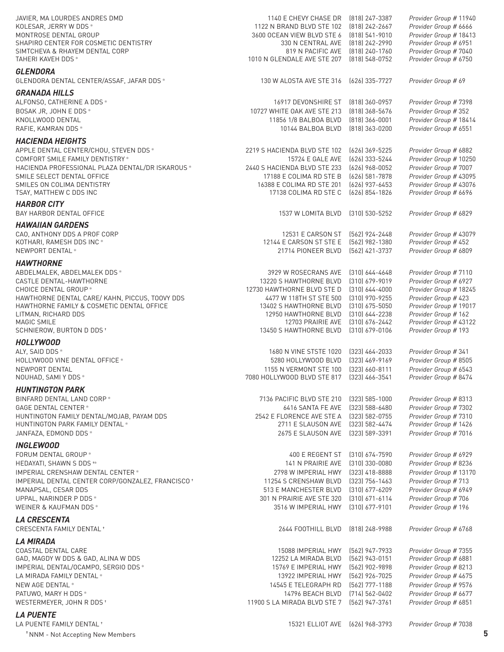| JAVIER, MA LOURDES ANDRES DMD<br>KOLESAR, JERRY W DDS *<br>MONTROSE DENTAL GROUP<br>SHAPIRO CENTER FOR COSMETIC DENTISTRY<br>SIMTCHEVA & RHAYEM DENTAL CORP<br>TAHERI KAVEH DDS * | 1140 E CHEVY CHASE DR<br>1122 N BRAND BLVD STE 102<br>3600 OCEAN VIEW BLVD STE 6<br>330 N CENTRAL AVE<br>819 N PACIFIC AVE<br>1010 N GLENDALE AVE STE 207 | (818) 247-3387<br>(818) 242-2667<br>$(818)$ 541-9010<br>(818) 242-2990<br>(818) 240-1760<br>$(818)$ 548-0752 | Provider Group # 11940<br>Provider Group # 6666<br>Provider Group # 18413<br>Provider Group # 6951<br>Provider Group # 7040<br>Provider Group # 6750 |
|-----------------------------------------------------------------------------------------------------------------------------------------------------------------------------------|-----------------------------------------------------------------------------------------------------------------------------------------------------------|--------------------------------------------------------------------------------------------------------------|------------------------------------------------------------------------------------------------------------------------------------------------------|
| <b>GLENDORA</b><br>GLENDORA DENTAL CENTER/ASSAF, JAFAR DDS *                                                                                                                      | 130 W ALOSTA AVE STE 316                                                                                                                                  | (626) 335-7727                                                                                               | Provider Group # 69                                                                                                                                  |
| <b>GRANADA HILLS</b>                                                                                                                                                              |                                                                                                                                                           |                                                                                                              |                                                                                                                                                      |
| ALFONSO, CATHERINE A DDS *                                                                                                                                                        | 16917 DEVONSHIRE ST                                                                                                                                       | (818) 360-0957                                                                                               | Provider Group # 7398                                                                                                                                |
| BOSAK JR, JOHN E DDS *                                                                                                                                                            | 10727 WHITE OAK AVE STE 213                                                                                                                               | $(818)$ 368-5676                                                                                             | Provider Group #352                                                                                                                                  |
| KNOLLWOOD DENTAL<br>RAFIE, KAMRAN DDS *                                                                                                                                           | 11856 1/8 BALBOA BLVD<br>10144 BALBOA BLVD                                                                                                                | $(818)$ 366-0001<br>(818) 363-0200                                                                           | Provider Group # 18414<br>Provider Group # 6551                                                                                                      |
|                                                                                                                                                                                   |                                                                                                                                                           |                                                                                                              |                                                                                                                                                      |
| <b>HACIENDA HEIGHTS</b><br>APPLE DENTAL CENTER/CHOU, STEVEN DDS *                                                                                                                 | 2219 S HACIENDA BLVD STE 102                                                                                                                              | (626) 369-5225                                                                                               | Provider Group # 6882                                                                                                                                |
| COMFORT SMILE FAMILY DENTISTRY *                                                                                                                                                  | 15724 E GALE AVE                                                                                                                                          | (626) 333-5244                                                                                               | Provider Group # 10250                                                                                                                               |
| HACIENDA PROFESSIONAL PLAZA DENTAL/DR ISKAROUS *                                                                                                                                  | 2440 S HACIENDA BLVD STE 233                                                                                                                              | (626) 968-0052                                                                                               | Provider Group # 7007                                                                                                                                |
| SMILE SELECT DENTAL OFFICE                                                                                                                                                        | 17188 E COLIMA RD STE B                                                                                                                                   | (626) 581-7878                                                                                               | Provider Group # 43095                                                                                                                               |
| SMILES ON COLIMA DENTISTRY                                                                                                                                                        | 16388 E COLIMA RD STE 201                                                                                                                                 | (626) 937-6453                                                                                               | Provider Group # 43076                                                                                                                               |
| TSAY, MATTHEW C DDS INC                                                                                                                                                           | 17138 COLIMA RD STE C                                                                                                                                     | (626) 854-1826                                                                                               | Provider Group # 6696                                                                                                                                |
| <b>HARBOR CITY</b>                                                                                                                                                                |                                                                                                                                                           |                                                                                                              |                                                                                                                                                      |
| BAY HARBOR DENTAL OFFICE                                                                                                                                                          | 1537 W LOMITA BLVD                                                                                                                                        | $(310)$ 530-5252                                                                                             | Provider Group # 6829                                                                                                                                |
| <b>HAWAIIAN GARDENS</b>                                                                                                                                                           |                                                                                                                                                           |                                                                                                              |                                                                                                                                                      |
| CAO, ANTHONY DDS A PROF CORP<br>KOTHARI, RAMESH DDS INC *                                                                                                                         | 12531 E CARSON ST<br>12144 E CARSON ST STE E                                                                                                              | [562] 924-2448<br>[562] 982-1380                                                                             | Provider Group # 43079<br>Provider Group # 452                                                                                                       |
| NEWPORT DENTAL *                                                                                                                                                                  | 21714 PIONEER BLVD                                                                                                                                        | [562] 421-3737                                                                                               | Provider Group # 6809                                                                                                                                |
| <b>HAWTHORNE</b>                                                                                                                                                                  |                                                                                                                                                           |                                                                                                              |                                                                                                                                                      |
| ABDELMALEK, ABDELMALEK DDS *                                                                                                                                                      | 3929 W ROSECRANS AVE                                                                                                                                      | $(310) 644 - 4648$                                                                                           | Provider Group #7110                                                                                                                                 |
| CASTLE DENTAL-HAWTHORNE                                                                                                                                                           | 13220 S HAWTHORNE BLVD                                                                                                                                    | $(310)$ 679-9019                                                                                             | Provider Group # 6927                                                                                                                                |
| CHOICE DENTAL GROUP *                                                                                                                                                             | 12730 HAWTHORNE BLVD STE D                                                                                                                                | $(310) 644 - 4000$                                                                                           | Provider Group # 18245                                                                                                                               |
| HAWTHORNE DENTAL CARE/ KAHN, PICCUS, TOOVY DDS                                                                                                                                    | 4477 W 118TH ST STE 500                                                                                                                                   | (310) 970-9255                                                                                               | Provider Group # 423                                                                                                                                 |
| HAWTHORNE FAMILY & COSMETIC DENTAL OFFICE<br>LITMAN, RICHARD DDS                                                                                                                  | 13402 S HAWTHORNE BLVD<br>12950 HAWTHORNE BLVD                                                                                                            | $(310)$ 675-5050<br>$(310)$ 644-2238                                                                         | Provider Group # 19017<br>Provider Group # 162                                                                                                       |
| MAGIC SMILE                                                                                                                                                                       | 12703 PRAIRIE AVE                                                                                                                                         | (310) 676-2442                                                                                               | Provider Group # 43122                                                                                                                               |
| SCHNIEROW, BURTON D DDS <sup>+</sup>                                                                                                                                              | 13450 S HAWTHORNE BLVD                                                                                                                                    | $(310)$ 679-0106                                                                                             | Provider Group # 193                                                                                                                                 |
| <b>HOLLYWOOD</b>                                                                                                                                                                  |                                                                                                                                                           |                                                                                                              |                                                                                                                                                      |
| ALY, SAID DDS *                                                                                                                                                                   | 1680 N VINE STSTE 1020                                                                                                                                    | $[323]$ 464-2033                                                                                             | Provider Group #341                                                                                                                                  |
| HOLLYWOOD VINE DENTAL OFFICE *                                                                                                                                                    | 5280 HOLLYWOOD BLVD                                                                                                                                       | $(323)$ 469-9169                                                                                             | Provider Group # 8505                                                                                                                                |
| NEWPORT DENTAL                                                                                                                                                                    | 1155 N VERMONT STE 100                                                                                                                                    | $(323)$ 660-8111                                                                                             | Provider Group # 6543                                                                                                                                |
| NOUHAD, SAMI Y DDS *                                                                                                                                                              | 7080 HOLLYWOOD BLVD STE 817                                                                                                                               | $(323)$ 466-3541                                                                                             | Provider Group # 8474                                                                                                                                |
| <b>HUNTINGTON PARK</b>                                                                                                                                                            |                                                                                                                                                           |                                                                                                              |                                                                                                                                                      |
| BINFARD DENTAL LAND CORP *<br>GAGE DENTAL CENTER *                                                                                                                                | 7136 PACIFIC BLVD STE 210<br>6416 SANTA FE AVE                                                                                                            | (323) 585-1000<br>(323) 588-6480                                                                             | Provider Group # 8313<br>Provider Group # 7302                                                                                                       |
| HUNTINGTON FAMILY DENTAL/MOJAB, PAYAM DDS                                                                                                                                         | 2542 E FLORENCE AVE STE A                                                                                                                                 | (323) 582-0755                                                                                               | Provider Group # 7310                                                                                                                                |
| HUNTINGTON PARK FAMILY DENTAL *                                                                                                                                                   | 2711 E SLAUSON AVE                                                                                                                                        | (323) 582-4474                                                                                               | Provider Group # 1426                                                                                                                                |
| JANFAZA, EDMOND DDS *                                                                                                                                                             | 2675 E SLAUSON AVE                                                                                                                                        | (323) 589-3391                                                                                               | Provider Group # 7016                                                                                                                                |
| <b>INGLEWOOD</b>                                                                                                                                                                  |                                                                                                                                                           |                                                                                                              |                                                                                                                                                      |
| FORUM DENTAL GROUP *                                                                                                                                                              | 400 E REGENT ST                                                                                                                                           | $(310)$ 674-7590                                                                                             | Provider Group # 6929                                                                                                                                |
| HEDAYATI, SHAWN S DDS **                                                                                                                                                          | 141 N PRAIRIE AVE                                                                                                                                         | (310) 330-0080                                                                                               | Provider Group # 8236                                                                                                                                |
| IMPERIAL CRENSHAW DENTAL CENTER *                                                                                                                                                 | 2798 W IMPERIAL HWY                                                                                                                                       | $(323)$ 418-8888                                                                                             | Provider Group # 13170                                                                                                                               |
| IMPERIAL DENTAL CENTER CORP/GONZALEZ, FRANCISCO <sup>+</sup>                                                                                                                      | 11254 S CRENSHAW BLVD                                                                                                                                     | $(323)$ 756-1463                                                                                             | Provider Group # 713                                                                                                                                 |
| MANAPSAL, CESAR DDS                                                                                                                                                               | 513 E MANCHESTER BLVD                                                                                                                                     | (310) 677-6209                                                                                               | Provider Group # 6949                                                                                                                                |
| UPPAL, NARINDER P DDS *<br>WEINER & KAUFMAN DDS *                                                                                                                                 | 301 N PRAIRIE AVE STE 320<br>3516 W IMPERIAL HWY                                                                                                          | $(310)$ 671-6114<br>$(310)$ 677-9101                                                                         | Provider Group # 706<br>Provider Group # 196                                                                                                         |
|                                                                                                                                                                                   |                                                                                                                                                           |                                                                                                              |                                                                                                                                                      |
| <b>LA CRESCENTA</b><br><b>CRESCENTA FAMILY DENTAL *</b>                                                                                                                           | 2644 FOOTHILL BLVD                                                                                                                                        | (818) 248-9988                                                                                               | Provider Group # 6768                                                                                                                                |
| <b>LA MIRADA</b>                                                                                                                                                                  |                                                                                                                                                           |                                                                                                              |                                                                                                                                                      |
| COASTAL DENTAL CARE                                                                                                                                                               | 15088 IMPERIAL HWY                                                                                                                                        | [562] 947-7933                                                                                               | Provider Group # 7355                                                                                                                                |
| GAD, MAGDY W DDS & GAD, ALINA W DDS                                                                                                                                               | 12252 LA MIRADA BLVD                                                                                                                                      | (562) 943-0151                                                                                               | Provider Group # 6881                                                                                                                                |
| IMPERIAL DENTAL/OCAMPO, SERGIO DDS *                                                                                                                                              | 15769 E IMPERIAL HWY                                                                                                                                      | (562) 902-9898                                                                                               | Provider Group # 8213                                                                                                                                |
| LA MIRADA FAMILY DENTAL *                                                                                                                                                         | 13922 IMPERIAL HWY                                                                                                                                        | (562) 926-7025                                                                                               | Provider Group # 4675                                                                                                                                |
| NEW AGE DENTAL *                                                                                                                                                                  | 14545 E TELEGRAPH RD                                                                                                                                      | (562) 777-1188                                                                                               | Provider Group # 9576                                                                                                                                |
| PATUWO, MARY H DDS *                                                                                                                                                              | 14796 BEACH BLVD                                                                                                                                          | (714) 562-0402                                                                                               | Provider Group # 6677                                                                                                                                |
| WESTERMEYER, JOHN R DDS +                                                                                                                                                         | 11900 S LA MIRADA BLVD STE 7                                                                                                                              | [562] 947-3761                                                                                               | Provider Group # 6851                                                                                                                                |
| <b>LA PUENTE</b>                                                                                                                                                                  |                                                                                                                                                           |                                                                                                              |                                                                                                                                                      |
| LA PUENTE FAMILY DENTAL <sup>+</sup>                                                                                                                                              | 15321 ELLIOT AVE (626) 968-3793                                                                                                                           |                                                                                                              | Provider Group # 7038                                                                                                                                |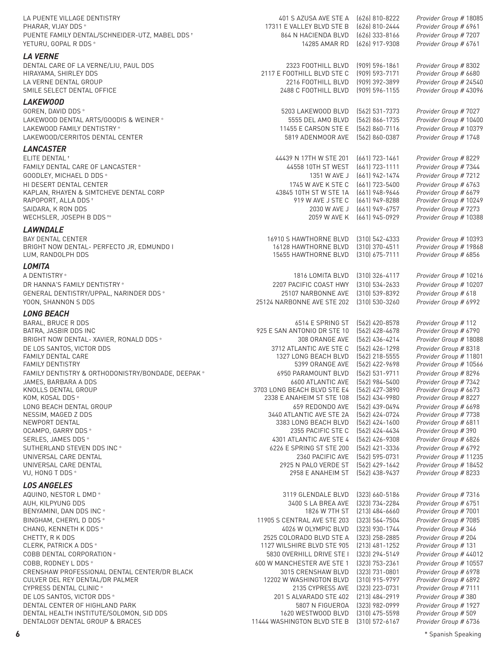LA PUENTE VILLAGE DENTISTRY 401 S AZUSA AVE STE A (626) 810-8222 *Provider Group #* 18085 17311 E VALLEY BLVD STE B PUENTE FAMILY DENTAL/SCHNEIDER-UTZ, MABEL DDS ↑ 864 N HACIENDA BLVD (626) 333-8166 *Provider Group # 7207* YETURU, GOPAL R DDS ✻ 14285 AMAR RD (626) 917-9308 *Provider Group #* 6761 *LA VERNE* DENTAL CARE OF LA VERNE/LIU, PAUL DDS 2323 FOOTHILL BLVD (909) 596-1861 *Provider Group #* 8302 HIRAYAMA, SHIRLEY DDS 2117 E FOOTHILL BLVD STE C (909) 593-7171 *Provider Group #* 6680 LA VERNE DENTAL GROUP 2216 FOOTHILL BLVD (909) 392-3899 *Provider Group #* 24540 SMILE SELECT DENTAL OFFICE 2488 C FOOTHILL BLVD (909) 596-1155 *Provider Group #* 43096 *LAKEWOOD* GOREN, DAVID DDS ✻ 5203 LAKEWOOD BLVD (562) 531-7373 *Provider Group #* 7027 LAKEWOOD DENTAL ARTS/GOODIS & WEINER ✻ 5555 DEL AMO BLVD (562) 866-1735 *Provider Group #* 10400 LAKEWOOD FAMILY DENTISTRY ✻ 11455 E CARSON STE E (562) 860-7116 *Provider Group #* 10379 LAKEWOOD/CERRITOS DENTAL CENTER 5819 ADENMOOR AVE (562) 860-0387 *Provider Group #* 1748 *LANCASTER* ELITE DENTAL ✝ 44439 N 17TH W STE 201 (661) 723-1461 *Provider Group #* 8229 FAMILY DENTAL CARE OF LANCASTER \* THE STATE OF LANCASTER \* THE STATE 44558 10TH ST WEST [661] 723-1111 *Provider Group # 7344* GOODLEY, MICHAEL D DDS ✻ 1351 W AVE J (661) 942-1474 *Provider Group #* 7212 HI DESERT DENTAL CENTER 1745 W AVE K STE C (661) 723-5400 *Provider Group #* 6763 KAPLAN, RHAYEN & SIMTCHEVE DENTAL CORP **1999 10 CONTACT ASSACT AT A 43845 10TH ST W STE 1A** (661) 948-9646 *Provider Group # 6679* RAPOPORT, ALLA DDS ✝ 919 W AVE J STE C (661) 949-8288 *Provider Group #* 10249 SAIDARA, K RON DDS 2030 W AVE J (661) 949-6757 *Provider Group #* 7273 WECHSLER, JOSEPH B DDS <sup>+</sup>\* *LAWNDALE* BAY DENTAL CENTER 16910 S HAWTHORNE BLVD (310) 542-4333 *Provider Group #* 10393 BRIGHT NOW DENTAL- PERFECTO JR, EDMUNDO I 16128 HAWTHORNE BLVD (310) 370-4511 *Provider Group #* 19868<br>LUM, RANDOLPH DDS 15656 HAWTHORNE BLVD (310) 675-7111 *Provider Group #* 6856 LUM, RANDOLPH DDS **15655 HAWTHORNE BLVD** *LOMITA* A DENTISTRY ✻ 1816 LOMITA BLVD (310) 326-4117 *Provider Group #* 10216 DR HANNA'S FAMILY DENTISTRY ✻ 2207 PACIFIC COAST HWY (310) 534-2633 *Provider Group #* 10207 GENERAL DENTISTRY/UPPAL, NARINDER DDS ✻ 25107 NARBONNE AVE (310) 539-8392 *Provider Group #* 618 YOON, SHANNON S DDS 25124 NARBONNE AVE STE 202 (310) 530-3260 *Provider Group #* 6992 *LONG BEACH* BARAL, BRUCE R DDS 6514 E SPRING ST (562) 420-8578 *Provider Group #* 112 925 E SAN ANTONIO DR STE 10 BRIGHT NOW DENTAL- XAVIER, RONALD DDS ✻ 308 ORANGE AVE (562) 436-4214 *Provider Group #* 18088 DE LOS SANTOS, VICTOR DDS 3712 ATLANTIC AVE STE C (562) 426-1298 *Provider Group #* 8318 FAMILY DENTAL CARE 1327 LONG BEACH BLVD (562) 218-5555 *Provider Group #* 11801 FAMILY DENTISTRY 5399 ORANGE AVE (562) 422-9698 *Provider Group #* 10566 FAMILY DENTISTRY & ORTHODONISTRY/BONDADE, DEEPAK \* 6950 PARAMOUNT BLVD (562) 531-9711 *Provider Group #* 8296 JAMES, BARBARA A DDS 6600 ATLANTIC AVE (562) 984-5400 *Provider Group #* 7342 KNOLLS DENTAL GROUP **3703 LONG BEACH BLVD STE E4** (562) 427-3890 *Provider Group # 6673*<br>2338 E ANAHEIM ST STE 108 (562) 434-9980 *Provider Group #* 8227 **2338 E ANAHEIM ST STE 108** LONG BEACH DENTAL GROUP 659 REDONDO AVE (562) 439-0494 *Provider Group #* 6698 NESSIM, MAGED Z DDS 3440 ATLANTIC AVE STE 2A (562) 424-0724 *Provider Group #* 7738 3383 LONG BEACH BLVD (562) 424-1600 *Provider Group # 681*<br>2355 PACIFIC STE C (562) 424-4434 *Provider Group #* 390 OCAMPO, GARRY DDS \* SERLES, JAMES DDS ✻ 4301 ATLANTIC AVE STE 4 (562) 426-9308 *Provider Group #* 6826 SUTHERLAND STEVEN DDS INC ✻ 6226 E SPRING ST STE 200 (562) 421-3336 *Provider Group #* 6792 UNIVERSAL CARE DENTAL 2360 PACIFIC AVE (562) 595-0731 *Provider Group #* 11235 UNIVERSAL CARE DENTAL 2925 N PALO VERDE ST (562) 429-1642 *Provider Group #* 18452 VU, HONG T DDS ✻ 2958 E ANAHEIM ST (562) 438-9437 *Provider Group #* 8233 *LOS ANGELES* AQUINO, NESTOR L DMD ✻ 3119 GLENDALE BLVD (323) 660-5186 *Provider Group #* 7316 AUH, KILPYUNG DDS 3400 S LA BREA AVE (323) 734-2284 *Provider Group #* 6751 BENYAMINI, DAN DDS INC \* BINGHAM, CHERYL D DDS ✻ 11905 S CENTRAL AVE STE 203 (323) 564-7504 *Provider Group #* 7085 CHANG, KENNETH K DDS ✻ 4026 W OLYMPIC BLVD (323) 930-1744 *Provider Group #* 346 2525 COLORADO BLVD STE A (323) 258-2885 *Provider Group #* 204 CLERK, PATRICK A DDS ✻ 1127 WILSHIRE BLVD STE 905 (213) 481-1252 *Provider Group #* 131 COBB DENTAL CORPORATION ✻ 5830 OVERHILL DRIVE STE I (323) 294-5149 *Provider Group #* 44012 COBB, RODNEY L DDS ✻ 600 W MANCHESTER AVE STE 1 (323) 753-2361 *Provider Group #* 10557 CRENSHAW PROFESSIONAL DENTAL CENTER/DR BLACK 3015 CRENSHAW BLVD (323) 731-0801 *Provider Group #* 6978 CULVER DEL REY DENTAL/DR PALMER 12202 W WASHINGTON BLVD (310) 915-9797 *Provider Group #* 6892 CYPRESS DENTAL CLINIC ✻ 2135 CYPRESS AVE (323) 223-0731 *Provider Group #* 7111 DE LOS SANTOS, VICTOR DDS ✻ 201 S ALVARADO STE 402 (213) 484-2919 *Provider Group #* 380 DENTAL CENTER OF HIGHLAND PARK 5807 N FIGUEROA (323) 982-0999 *Provider Group #* 1927 DENTAL HEALTH INSTITUTE/SOLOMON, SID DDS 1620 WESTWOOD BLVD (310) 475-5598 *Provider Group #* 509 DENTALOGY DENTAL GROUP & BRACES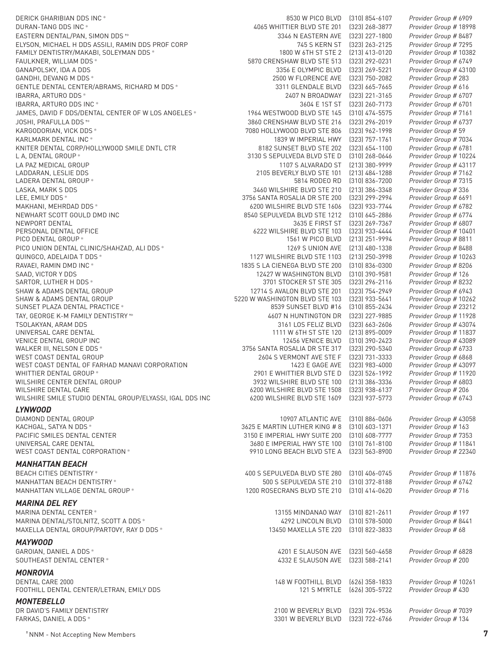DERICK GHARIBIAN DDS INC ✻ 8530 W PICO BLVD (310) 854-6107 *Provider Group #* 6909 EASTERN DENTAL/PAN, SIMON DDS ✝✻ 3346 N EASTERN AVE (323) 227-1800 *Provider Group #* 8487 GANDHI, DEVANG M DDS \* LADERA DENTAL GROUP \* PICO DENTAL GROUP \* SUNSET PLAZA DENTAL PRACTICE \* WEST COAST DENTAL OF FARHAD MANAVI CORPORATION WILSHIRE SMILE STUDIO DENTAL GROUP/ELYASSI, IGAL DDS INC

#### *LYNWOOD*

WEST COAST DENTAL CORPORATION \*

#### *MANHATTAN BEACH*

BEACH CITIES DENTISTRY ✻ 400 S SEPULVEDA BLVD STE 280 (310) 406-0745 *Provider Group #* 11876

#### *MARINA DEL REY*

MARINA DENTAL CENTER ✻ 13155 MINDANAO WAY (310) 821-2611 *Provider Group #* 197 MARINA DENTAL/STOLNITZ, SCOTT A DDS ✻ 4292 LINCOLN BLVD (310) 578-5000 *Provider Group #* 8441 MAXELLA DENTAL GROUP/PARTOVY, RAY D DDS ✻ 13450 MAXELLA STE 220 (310) 822-3833 *Provider Group #* 68

#### *MAYWOOD*

#### *MONROVIA*

DENTAL CARE 2000 148 W FOOTHILL BLVD (626) 358-1833 *Provider Group #* 10261 FOOTHILL DENTAL CENTER/LETRAN, EMILY DDS

### *MONTEBELLO*

FARKAS, DANIEL A DDS ✻ 3301 W BEVERLY BLVD (323) 722-6766 *Provider Group #* 134

DURAN-TANG DDS INC ✻ 4065 WHITTIER BLVD STE 201 (323) 268-3877 *Provider Group #* 18998 ELYSON, MICHAEL H DDS ASSILI, RAMIN DDS PROF CORP 745 S KERN ST (323) 263-2125 *Provider Group #* 7295 FAMILY DENTISTRY/MAKABI, SOLEYMAN DDS ✻ 1800 W 6TH ST STE 2 (213) 413-0120 *Provider Group #* 10382 FAULKNER, WILLIAM DDS ✻ 5870 CRENSHAW BLVD STE 513 (323) 292-0231 *Provider Group #* 6749 GANAPOLSKY, IDA A DDS<br>
GANDHI, DEVANG M DDS \* 3356 E OLYMPIC BLVD (323) 269-5221 *Provider Group #* 43100<br>
2500 W FLORENCE AVE (323) 750-2082 *Provider Group #* 283 GENTLE DENTAL CENTER/ABRAMS, RICHARD M DDS \* 3311 GLENDALE BLVD (323) 665-7665 *Provider Group # 616*<br>1931 BARRA, ARTURO DDS \* *Provider Group # 670* IBARRA, ARTURO DDS ✻ 2407 N BROADWAY (323) 221-3165 *Provider Group #* 6707 IBARRA, ARTURO DDS INC ✻ 3604 E 1ST ST (323) 260-7173 *Provider Group #* 6701 JAMES, DAVID F DDS/DENTAL CENTER OF W LOS ANGELES ✻ 1964 WESTWOOD BLVD STE 145 (310) 474-5575 *Provider Group #* 7161 JOSHI, PRAFULLA DDS ✝✻ 3860 CRENSHAW BLVD STE 216 (323) 296-2019 *Provider Group #* 6737 KARGODORIAN, VICK DDS ✻ 7080 HOLLYWOOD BLVD STE 806 (323) 962-1998 *Provider Group #* 59 KARLMARK DENTAL INC ✻ 1839 W IMPERIAL HWY (323) 757-1761 *Provider Group #* 7034 KNITER DENTAL CORP/HOLLYWOOD SMILE DNTL CTR 8182 SUNSET BLVD STE 202 (323) 654-1100 *Provider Group #* 6781 L A, DENTAL GROUP ✻ 3130 S SEPULVEDA BLVD STE D (310) 268-0646 *Provider Group #* 10224 LA PAZ MEDICAL GROUP 1107 S ALVARADO ST (213) 380-9999 *Provider Group #* 43117 LADDARAN, LESLIE DDS 2105 BEVERLY BLVD STE 101 (213) 484-1288 *Provider Group #* 7162 LASKA, MARK S DDS 3460 WILSHIRE BLVD STE 210 (213) 386-3348 *Provider Group #* 336 LEE, EMILY DDS ✻ 3756 SANTA ROSALIA DR STE 200 (323) 299-2994 *Provider Group #* 6691 MAKHANI, MEHRDAD DDS ✻ 6200 WILSHIRE BLVD STE 1606 (323) 933-7744 *Provider Group #* 6782 NEWHART SCOTT GOULD DMD INC 8540 SEPULVEDA BLVD STE 1212 (310) 645-2886 *Provider Group #* 6774 NEWPORT DENTAL 3635 E FIRST ST (323) 269-7367 *Provider Group #* 6807 PERSONAL DENTAL OFFICE 6222 WILSHIRE BLVD STE 103 (323) 933-4444 *Provider Group #* 10401 PICO UNION DENTAL CLINIC/SHAHZAD, ALI DDS ✻ 1269 S UNION AVE (213) 480-1338 *Provider Group #* 8488 QUINGCO, ADELAIDA T DDS ✻ 1127 WILSHIRE BLVD STE 1103 (213) 250-3998 *Provider Group #* 10263 RAVAEI, RAMIN DMD INC ✻ 1835 S LA CIENEGA BLVD STE 200 (310) 836-0300 *Provider Group #* 8206 SAAD, VICTOR Y DDS 12427 W WASHINGTON BLVD (310) 390-9581 *Provider Group #* 126 SARTOR, LUTHER H DDS ✻ 3701 STOCKER ST STE 305 (323) 296-2116 *Provider Group #* 8232 SHAW & ADAMS DENTAL GROUP 12714 S AVALON BLVD STE 201 (323) 754-2949 *Provider Group #* 6943 SHAW & ADAMS DENTAL GROUP 5220 W WASHINGTON BLVD STE 103 (323) 933-5641 *Provider Group #* 10262 TAY, GEORGE K-M FAMILY DENTISTRY ✝✻ 4607 N HUNTINGTON DR (323) 227-9885 *Provider Group #* 11928 TSOLAKYAN, ARAM DDS 3161 LOS FELIZ BLVD (323) 663-2606 *Provider Group #* 43074 UNIVERSAL CARE DENTAL 1111 W 6TH ST STE 120 (213) 895-0009 *Provider Group #* 11837 VENICE DENTAL GROUP INC 12456 VENICE BLVD (310) 390-2423 *Provider Group #* 43089 3756 SANTA ROSALIA DR STE 317 WEST COAST DENTAL GROUP 2604 S VERMONT AVE STE F (323) 731-3333 *Provider Group #* 6868 WHITTIER DENTAL GROUP ✻ 2901 E WHITTIER BLVD STE D (323) 526-1992 *Provider Group #* 11920 WILSHIRE CENTER DENTAL GROUP 3932 WILSHIRE BLVD STE 100 (213) 386-3336 *Provider Group #* 6803 WILSHIRE DENTAL CARE **Frought Act CARE 1500 WILSHIRE BLVD STE 1508** (323) 938-6137 *Provider Group #* 206<br>6200 WILSHIRE SMILE STUDIO DENTAL GROUP/ELYASSI, IGAL DDS INC 6200 WILSHIRE BLVD STE 1609 (323) 937-5773 *Provider G* DIAMOND DENTAL GROUP 10907 ATLANTIC AVE (310) 886-0606 *Provider Group #* 43058 KACHGAL, SATYA N DDS ✻ 3625 E MARTIN LUTHER KING # 8 (310) 603-1371 *Provider Group #* 163 PACIFIC SMILES DENTAL CENTER **1998 CONTRES 100 CONTRESS** 3150 E IMPERIAL HWY SUITE 200 (310) 608-7777 *Provider Group # 7353*<br>3680 E IMPERIAL HWY STE 100 (310) 761-8100 *Provider Group #* 11841 UNIVERSAL CARE DENTAL 3680 E IMPERIAL HWY STE 100 (310) 761-8100 *Provider Group #* 11841

MANHATTAN BEACH DENTISTRY ✻ 500 S SEPULVEDA STE 210 (310) 372-8188 *Provider Group #* 6742 MANHATTAN VILLAGE DENTAL GROUP ✻ 1200 ROSECRANS BLVD STE 210 (310) 414-0620 *Provider Group #* 716

GAROIAN, DANIEL A DDS ✻ 4201 E SLAUSON AVE (323) 560-4658 *Provider Group #* 6828 SOUTHEAST DENTAL CENTER ✻ 4332 E SLAUSON AVE (323) 588-2141 *Provider Group #* 200

DR DAVID'S FAMILY DENTISTRY 2100 W BEVERLY BLVD (323) 724-9536 *Provider Group #* 7039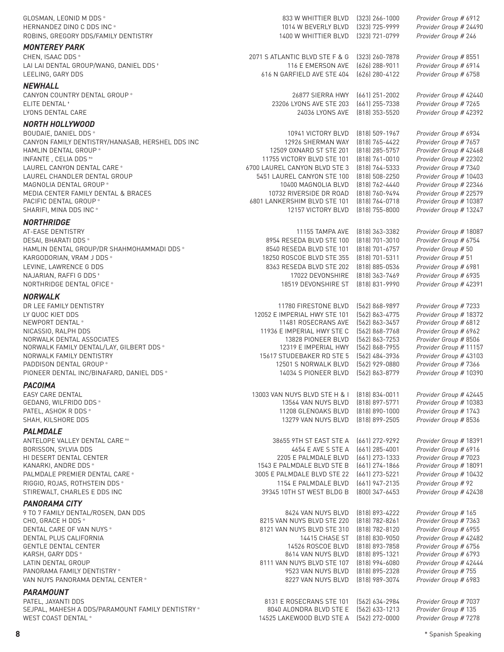| GLOSMAN, LEONID M DDS *<br>HERNANDEZ DINO C DDS INC *<br>ROBINS, GREGORY DDS/FAMILY DENTISTRY                                         | 833 W WHITTIER BLVD<br>1014 W BEVERLY BLVD<br>1400 W WHITTIER BLVD                               | $(323)$ 266-1000<br>(323) 725-9999<br>(323) 721-0799                   | Provider Group # 6912<br>Provider Group # 24490<br>Provider Group # 246                            |
|---------------------------------------------------------------------------------------------------------------------------------------|--------------------------------------------------------------------------------------------------|------------------------------------------------------------------------|----------------------------------------------------------------------------------------------------|
| <b>MONTEREY PARK</b><br>CHEN, ISAAC DDS*<br>LAI LAI DENTAL GROUP/WANG, DANIEL DDS <sup>+</sup><br>LEELING, GARY DDS                   | 2071 S ATLANTIC BLVD STE F & G<br>116 E EMERSON AVE<br>616 N GARFIELD AVE STE 404                | (323) 260-7878<br>(626) 288-9011<br>(626) 280-4122                     | Provider Group # 8551<br>Provider Group # 6914<br>Provider Group # 6758                            |
|                                                                                                                                       |                                                                                                  |                                                                        |                                                                                                    |
| <b>NEWHALL</b><br>CANYON COUNTRY DENTAL GROUP *<br>ELITE DENTAL <sup>+</sup><br>LYONS DENTAL CARE                                     | 26877 SIERRA HWY<br>23206 LYONS AVE STE 203<br>24036 LYONS AVE                                   | (661) 251-2002<br>(661) 255-7338<br>(818) 353-5520                     | Provider Group # 42440<br>Provider Group # 7265<br>Provider Group # 42392                          |
| <b>NORTH HOLLYWOOD</b>                                                                                                                |                                                                                                  |                                                                        |                                                                                                    |
| BOUDAIE, DANIEL DDS *<br>CANYON FAMILY DENTISTRY/HANASAB, HERSHEL DDS INC<br>HAMLIN DENTAL GROUP *<br>INFANTE, CELIA DDS <sup>*</sup> | 10941 VICTORY BLVD<br>12926 SHERMAN WAY<br>12509 OXNARD ST STE 201<br>11755 VICTORY BLVD STE 101 | $[818]$ 509-1967<br>(818) 765-4422<br>(818) 285-5757<br>(818) 761-0010 | Provider Group # 6934<br>Provider Group # 7657<br>Provider Group # 42468<br>Provider Group # 22302 |
| LAUREL CANYON DENTAL CARE *<br>LAUREL CHANDLER DENTAL GROUP                                                                           | 6700 LAUREL CANYON BLVD STE 3<br>5451 LAUREL CANYON STE 100                                      | (818) 764-5333<br>(818) 508-2250                                       | Provider Group # 7340<br>Provider Group # 10403                                                    |
| MAGNOLIA DENTAL GROUP *                                                                                                               | 10400 MAGNOLIA BLVD                                                                              | (818) 762-4440                                                         | Provider Group # 22346                                                                             |
| MEDIA CENTER FAMILY DENTAL & BRACES<br>PACIFIC DENTAL GROUP *                                                                         | 10732 RIVERSIDE DR ROAD<br>6801 LANKERSHIM BLVD STE 101                                          | (818) 760-9494<br>(818) 764-0718                                       | Provider Group # 22579<br>Provider Group # 10387                                                   |
| SHARIFI, MINA DDS INC *                                                                                                               | 12157 VICTORY BLVD                                                                               | $(818)$ 755-8000                                                       | Provider Group # 13247                                                                             |
|                                                                                                                                       |                                                                                                  |                                                                        |                                                                                                    |
| <b>NORTHRIDGE</b><br>AT-EASE DENTISTRY                                                                                                | 11155 TAMPA AVE                                                                                  | (818) 363-3382                                                         | Provider Group # 18087                                                                             |
| DESAI, BHARATI DDS *                                                                                                                  | 8954 RESEDA BLVD STE 100                                                                         | (818) 701-3010                                                         | Provider Group # 6754                                                                              |
| HAMLIN DENTAL GROUP/DR SHAHMOHAMMADI DDS *                                                                                            | 8540 RESEDA BLVD STE 101                                                                         | (818) 701-6757                                                         | Provider Group # 50                                                                                |
| KARGODORIAN, VRAM J DDS *                                                                                                             | 18250 ROSCOE BLVD STE 355                                                                        | (818) 701-5311                                                         | Provider Group # 51                                                                                |
| LEVINE, LAWRENCE G DDS                                                                                                                | 8363 RESEDA BLVD STE 202                                                                         | $(818) 885 - 0536$                                                     | Provider Group # 6981                                                                              |
| NAJARIAN, RAFFI G DDS +                                                                                                               | 17022 DEVONSHIRE                                                                                 | (818) 363-7469                                                         | Provider Group # 6935                                                                              |
| NORTHRIDGE DENTAL OFICE *                                                                                                             | 18519 DEVONSHIRE ST                                                                              | $(818) 831 - 9990$                                                     | Provider Group # 42391                                                                             |
| <b>NORWALK</b>                                                                                                                        |                                                                                                  |                                                                        |                                                                                                    |
| DR LEE FAMILY DENTISTRY                                                                                                               | 11780 FIRESTONE BLVD                                                                             | [562] 868-9897                                                         | Provider Group # 7233                                                                              |
| LY QUOC KIET DDS<br>NEWPORT DENTAL *                                                                                                  | 12052 E IMPERIAL HWY STE 101<br>11481 ROSECRANS AVE                                              | [562] 863-4775<br>(562) 863-3457                                       | Provider Group # 18372<br>Provider Group # 6812                                                    |
| NICASSIO, RALPH DDS                                                                                                                   | 11936 E IMPERIAL HWY STE C                                                                       | [562] 868-7768                                                         | Provider Group # 6962                                                                              |
| NORWALK DENTAL ASSOCIATES                                                                                                             | 13828 PIONEER BLVD                                                                               | (562) 863-7253                                                         | Provider Group # 8506                                                                              |
| NORWALK FAMILY DENTAL/LAY, GILBERT DDS *                                                                                              | 12319 E IMPERIAL HWY                                                                             | (562) 868-7955                                                         | Provider Group # 11157                                                                             |
| NORWALK FAMILY DENTISTRY                                                                                                              | 15617 STUDEBAKER RD STE 5                                                                        | (562) 484-3936                                                         | Provider Group # 43103                                                                             |
| PADDISON DENTAL GROUP *<br>PIONEER DENTAL INC/BINAFARD, DANIEL DDS *                                                                  | 12501 S NORWALK BLVD<br>14034 S PIONEER BLVD                                                     | (562) 929-0880<br>[562] 863-8779                                       | Provider Group # 7366<br>Provider Group # 10390                                                    |
|                                                                                                                                       |                                                                                                  |                                                                        |                                                                                                    |
| <b>PACOIMA</b><br>EASY CARE DENTAL                                                                                                    | 13003 VAN NUYS BLVD STE H & I                                                                    | (818) 834-0011                                                         | Provider Group # 42445                                                                             |
| GEDANG, WILFRIDO DDS *                                                                                                                | 13564 VAN NUYS BLVD                                                                              | $(818)$ 897-5771                                                       | Provider Group # 10383                                                                             |
| PATEL, ASHOK R DDS *                                                                                                                  | 11208 GLENOAKS BLVD                                                                              | $(818)$ 890-1000                                                       | Provider Group # 1743                                                                              |
| SHAH, KILSHORE DDS                                                                                                                    | 13279 VAN NUYS BLVD                                                                              | $(818) 899 - 2505$                                                     | Provider Group # 8536                                                                              |
| <b>PALMDALE</b>                                                                                                                       |                                                                                                  |                                                                        |                                                                                                    |
| ANTELOPE VALLEY DENTAL CARE **                                                                                                        | 38655 9TH ST EAST STE A                                                                          | (661) 272-9292                                                         | Provider Group # 18391                                                                             |
| BORISSON, SYLVIA DDS<br>HI DESERT DENTAL CENTER                                                                                       | 4654 E AVE S STE A<br>2205 E PALMDALE BLVD                                                       | $(661)$ 285-4001<br>(661) 273-1333                                     | Provider Group # 6916<br>Provider Group # 7023                                                     |
| KANARKI, ANDRE DDS *                                                                                                                  | 1543 E PALMDALE BLVD STE B                                                                       | (661) 274-1866                                                         | Provider Group # 18091                                                                             |
| PALMDALE PREMIER DENTAL CARE *                                                                                                        | 3005 E PALMDALE BLVD STE 22                                                                      | (661) 273-5221                                                         | Provider Group # 10432                                                                             |
| RIGGIO, ROJAS, ROTHSTEIN DDS *                                                                                                        | 1154 E PALMDALE BLVD                                                                             | (661) 947-2135                                                         | Provider Group # 92                                                                                |
| STIREWALT, CHARLES E DDS INC                                                                                                          | 39345 10TH ST WEST BLDG B                                                                        | (800) 347-6453                                                         | Provider Group # 42438                                                                             |
| <b>PANORAMA CITY</b>                                                                                                                  |                                                                                                  |                                                                        |                                                                                                    |
| 9 TO 7 FAMILY DENTAL/ROSEN, DAN DDS                                                                                                   | 8424 VAN NUYS BLVD                                                                               | (818) 893-4222                                                         | Provider Group # 165                                                                               |
| CHO, GRACE H DDS *<br>DENTAL CARE OF VAN NUYS *                                                                                       | 8215 VAN NUYS BLVD STE 220<br>8121 VAN NUYS BLVD STE 310                                         | (818) 782-8261<br>(818) 782-8120                                       | Provider Group # 7363<br>Provider Group # 6955                                                     |
| DENTAL PLUS CALIFORNIA                                                                                                                | 14415 CHASE ST                                                                                   | $(818) 830 - 9050$                                                     | Provider Group # 42482                                                                             |
| <b>GENTLE DENTAL CENTER</b>                                                                                                           | 14526 ROSCOE BLVD                                                                                | (818) 893-7858                                                         | Provider Group # 6756                                                                              |
| KARSH, GARY DDS *                                                                                                                     | 8614 VAN NUYS BLVD                                                                               | (818) 895-1321                                                         | Provider Group # 6793                                                                              |
| LATIN DENTAL GROUP                                                                                                                    | 8111 VAN NUYS BLVD STE 107                                                                       | $(818)$ 994-6080                                                       | Provider Group # 42444                                                                             |
| PANORAMA FAMILY DENTISTRY *                                                                                                           | 9523 VAN NUYS BLVD                                                                               | (818) 895-2328                                                         | Provider Group # 755                                                                               |
| VAN NUYS PANORAMA DENTAL CENTER *                                                                                                     | 8227 VAN NUYS BLVD                                                                               | (818) 989-3074                                                         | Provider Group # 6983                                                                              |
| <b>PARAMOUNT</b>                                                                                                                      |                                                                                                  |                                                                        |                                                                                                    |
| PATEL, JAYANTI DDS<br>SEJPAL, MAHESH A DDS/PARAMOUNT FAMILY DENTISTRY*                                                                | 8131 E ROSECRANS STE 101<br>8040 ALONDRA BLVD STE E                                              | (562) 634-2984<br>(562) 633-1213                                       | Provider Group # 7037<br>Provider Group # 135                                                      |
| WEST COAST DENTAL *                                                                                                                   | 14525 LAKEWOOD BLVD STE A                                                                        | [562] 272-0000                                                         | Provider Group # 7278                                                                              |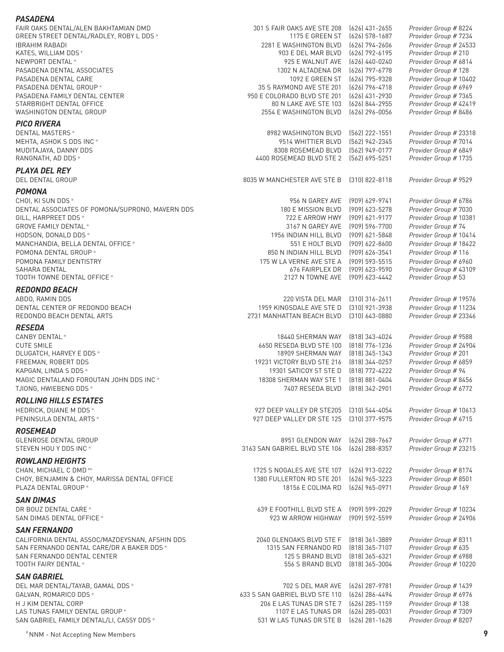#### *PASADENA* FAIR OAKS DENTAL/ALEN BAKHTAMIAN DMD 301 S FAIR OAKS AVE STE 208 (626) 431-2655 *Provider Group #* 8224 GREEN STREET DENTAL/RADLEY, ROBY L DDS ✻ 1175 E GREEN ST (626) 578-1687 *Provider Group #* 7234 IBRAHIM RABADI 2281 E WASHINGTON BLVD (626) 794-2606 *Provider Group #* 24533 KATES, WILLIAM DDS <sup>+</sup> Provider and the set of the set of the set of the set of the set of the set of the set of the set of the set of the set of the set of the set of the set of the set of the set of the set of the set o NEWPORT DENTAL ✻ 925 E WALNUT AVE (626) 440-0240 *Provider Group #* 6814 1302 N ALTADENA DR (626) 797-6778 Provider Group # 128 PASADENA DENTAL CARE 1092 E GREEN ST (626) 795-9328 *Provider Group #* 10402 PASADENA DENTAL GROUP \*  $35$  S RAYMOND AVE STE 201 (626) 796-4718 PASADENA FAMILY DENTAL CENTER 950 E COLORADO BLVD STE 201 (626) 431-2930 *Provider Group #* 7365 STARBRIGHT DENTAL OFFICE WASHINGTON DENTAL GROUP 2554 E WASHINGTON BLVD (626) 296-0056 *Provider Group #* 8486 *PICO RIVERA* DENTAL MASTERS ✻ 8982 WASHINGTON BLVD (562) 222-1551 *Provider Group #* 23318 MEHTA, ASHOK S DDS INC ✻ 9514 WHITTIER BLVD (562) 942-2345 *Provider Group #* 7014 MUDITAJAYA, DANNY DDS **BALLATA ANG A TAGGA BASE AS A SEANG BASE A** BASEMEAD BLVD (562) 949-0177 *Provider Group # 6849*<br>RANGNATH, AD DDS \* RANGNATH, AD DDS ✻ 4400 ROSEMEAD BLVD STE 2 (562) 695-5251 *Provider Group #* 1735 *PLAYA DEL REY* DEL DENTAL GROUP 8035 W MANCHESTER AVE STE B (310) 822-8118 *Provider Group #* 9529 *POMONA* CHOI, KI SUN DDS ✻ 956 N GAREY AVE (909) 629-9741 *Provider Group #* 6786 DENTAL ASSOCIATES OF POMONA/SUPRONO, MAVERN DDS<br>180 E MISSION BLVD (909) 623-5278 Provider Group # 7030<br>722 E ARROW HWY (909) 621-9177 Provider Group # 10381 GILL, HARPREET DDS \* GROVE FAMILY DENTAL ✻ 3167 N GAREY AVE (909) 596-7700 *Provider Group #* 74 HODSON, DONALD DDS ✻ 1956 INDIAN HILL BLVD (909) 621-5848 *Provider Group #* 10414 MANCHANDIA, BELLA DENTAL OFFICE ✻ 551 E HOLT BLVD (909) 622-8600 *Provider Group #* 18422 POMONA DENTAL GROUP ✻ 850 N INDIAN HILL BLVD (909) 626-3541 *Provider Group #* 116 POMONA FAMILY DENTISTRY 175 W LA VERNE AVE STE A (909) 593-5515 *Provider Group #* 6960 SAHARA DENTAL 676 FAIRPLEX DR (909) 623-9590 *Provider Group #* 43109 TOOTH TOWNE DENTAL OFFICE ✻ 2127 N TOWNE AVE (909) 623-4442 *Provider Group #* 53 *REDONDO BEACH* ABDO, RAMIN DDS 220 VISTA DEL MAR (310) 316-2611 *Provider Group #* 19576 DENTAL CENTER OF REDONDO BEACH 1959 KINGSDALE AVE STE D (310) 921-3938 *Provider Group #* 11234 REDONDO BEACH DENTAL ARTS 2731 MANHATTAN BEACH BLVD (310) 643-0880 *Provider Group #* 23346 *RESEDA* CANBY DENTAL ✻ 18440 SHERMAN WAY (818) 343-4024 *Provider Group #* 9588 CUTE SMILE 6650 RESEDA BLVD STE 100 (818) 776-1236 *Provider Group #* 24904 DLUGATCH, HARVEY E DDS ✻ 18909 SHERMAN WAY (818) 345-1343 *Provider Group #* 201 FREEMAN, ROBERT DDS 19231 VICTORY BLVD STE 216 (818) 344-0257 *Provider Group #* 6859 KAPGAN, LINDA S DDS \* The Second Second Second Second Second Second Second Second Second Second Second Second Second Second Second Second Second Second Second Second Second Second Second Second Second Second Second Second MAGIC DENTALAND FOROUTAN JOHN DDS INC ✻ 18308 SHERMAN WAY STE 1 (818) 881-0404 *Provider Group #* 8456 TJIONG, HWIEBENG DDS ✻ 7407 RESEDA BLVD (818) 342-2901 *Provider Group #* 6772 *ROLLING HILLS ESTATES* HEDRICK, DUANE M DDS ✻ 927 DEEP VALLEY DR STE205 (310) 544-4054 *Provider Group #* 10613 PENINSULA DENTAL ARTS ✻ 927 DEEP VALLEY DR STE 125 (310) 377-9575 *Provider Group #* 6715 *ROSEMEAD* GLENROSE DENTAL GROUP **8951 GLENDON WAY** (626) 288-7667 *Provider Group #* 6771<br>3163 SAN GABRIEL BLVD STE 106 (626) 288-8357 *Provider Group #* 23215 STEVEN HOU Y DDS INC ✻ 3163 SAN GABRIEL BLVD STE 106 (626) 288-8357 *Provider Group #* 23215 *ROWLAND HEIGHTS* 1725 S NOGALES AVE STE 107 (626) 913-0222 Provider Group # 8174 CHOY, BENJAMIN & CHOY, MARISSA DENTAL OFFICE 1380 FULLERTON RD STE 201 (626) 965-3223 *Provider Group #* 8501 PLAZA DENTAL GROUP ✻ 18156 E COLIMA RD (626) 965-0971 *Provider Group #* 169 *SAN DIMAS* DR BOUZ DENTAL CARE ✻ 639 E FOOTHILL BLVD STE A (909) 599-2029 *Provider Group #* 10234 SAN DIMAS DENTAL OFFICE ✻ 923 W ARROW HIGHWAY (909) 592-5599 *Provider Group #* 24906 *SAN FERNANDO* CALIFORNIA DENTAL ASSOC/MAZDEYSNAN, AFSHIN DDS 2040 GLENOAKS BLVD STE F (818) 361-3889 *Provider Group #* 8311 SAN FERNANDO DENTAL CARE/DR A BAKER DDS \* SAN FERNANDO DENTAL CENTER 125 S BRAND BLVD (818) 365-6321 *Provider Group #* 6988 TOOTH FAIRY DENTAL ✻ 556 S BRAND BLVD (818) 365-3004 *Provider Group #* 10220 *SAN GABRIEL* DEL MAR DENTAL/TAYAB, GAMAL DDS ✻ 702 S DEL MAR AVE (626) 287-9781 *Provider Group #* 1439 GALVAN, ROMARICO DDS ✻ 633 S SAN GABRIEL BLVD STE 110 (626) 286-4494 *Provider Group #* 6976 H J KIM DENTAL CORP 206 E LAS TUNAS DR STE 7 (626) 285-1159 *Provider Group #* 138 1107 E LAS TUNAS DR (626) 285-0031 SAN GABRIEL FAMILY DENTAL/LI, CASSY DDS ✻ 531 W LAS TUNAS DR STE B (626) 281-1628 *Provider Group #* 8207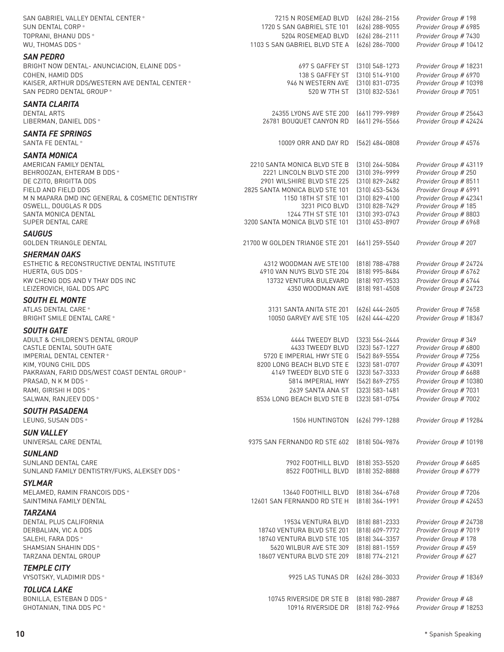| SAN GABRIEL VALLEY DENTAL CENTER *                                  | 7215 N ROSEMEAD BLVD                                         | (626) 286-2156                       | Provider Group # 198                           |
|---------------------------------------------------------------------|--------------------------------------------------------------|--------------------------------------|------------------------------------------------|
| SUN DENTAL CORP *                                                   | 1720 S SAN GABRIEL STE 101                                   | (626) 288-9055                       | Provider Group # 6985                          |
| TOPRANI, BHANU DDS *                                                | 5204 ROSEMEAD BLVD                                           | (626) 286-2111                       | Provider Group # 7430                          |
| WU, THOMAS DDS *                                                    | 1103 S SAN GABRIEL BLVD STE A                                | (626) 286-7000                       | Provider Group # 10412                         |
| <b>SAN PEDRO</b>                                                    |                                                              |                                      |                                                |
| BRIGHT NOW DENTAL-ANUNCIACION, ELAINE DDS *                         | 697 S GAFFEY ST                                              | $(310)$ 548-1273                     | Provider Group # 18231                         |
| COHEN, HAMID DDS                                                    | 138 S GAFFEY ST                                              | $(310)$ 514-9100                     | Provider Group # 6970                          |
| KAISER, ARTHUR DDS/WESTERN AVE DENTAL CENTER *                      | 946 N WESTERN AVE                                            | (310) 831-0735                       | Provider Group # 10398                         |
| SAN PEDRO DENTAL GROUP *                                            | 520 W 7TH ST                                                 | $(310)$ 832-5361                     | Provider Group # 7051                          |
| <b>SANTA CLARITA</b>                                                |                                                              |                                      |                                                |
| <b>DENTAL ARTS</b>                                                  | 24355 LYONS AVE STE 200                                      | $(661)$ 799-9989                     | Provider Group # 25643                         |
| LIBERMAN, DANIEL DDS *                                              | 26781 BOUQUET CANYON RD                                      | (661) 296-5566                       | Provider Group # 42424                         |
| <b>SANTA FE SPRINGS</b>                                             |                                                              |                                      |                                                |
| <b>SANTA FE DENTAL *</b>                                            | 10009 ORR AND DAY RD                                         | $(562)$ 484-0808                     | Provider Group # 4576                          |
|                                                                     |                                                              |                                      |                                                |
| <b>SANTA MONICA</b>                                                 |                                                              |                                      |                                                |
| AMERICAN FAMILY DENTAL                                              | 2210 SANTA MONICA BLVD STE B                                 | $(310)$ 264-5084                     | Provider Group # 43119                         |
| BEHROOZAN, EHTERAM B DDS *                                          | 2221 LINCOLN BLVD STE 200                                    | $(310)$ 396-9999                     | Provider Group # 250                           |
| DE CZITO, BRIGITTA DDS<br>FIELD AND FIELD DDS                       | 2901 WILSHIRE BLVD STE 225<br>2825 SANTA MONICA BLVD STE 101 | (310) 829-2482<br>$(310)$ 453-5436   | Provider Group # 8511<br>Provider Group # 6991 |
| M N MAPARA DMD INC GENERAL & COSMETIC DENTISTRY                     | 1150 18TH ST STE 101                                         | [310] 829-4100                       | Provider Group # 42341                         |
| OSWELL, DOUGLAS R DDS                                               | 3231 PICO BLVD                                               | (310) 828-7429                       | Provider Group # 185                           |
| SANTA MONICA DENTAL                                                 | 1244 7TH ST STE 101                                          | (310) 393-0743                       | Provider Group # 8803                          |
| SUPER DENTAL CARE                                                   | 3200 SANTA MONICA BLVD STE 101                               | (310) 453-8907                       | Provider Group # 6968                          |
| <b>SAUGUS</b>                                                       |                                                              |                                      |                                                |
| GOLDEN TRIANGLE DENTAL                                              | 21700 W GOLDEN TRIANGE STE 201                               | (661) 259-5540                       | Provider Group # 207                           |
| <b>SHERMAN OAKS</b>                                                 |                                                              |                                      |                                                |
| ESTHETIC & RECONSTRUCTIVE DENTAL INSTITUTE                          | 4312 WOODMAN AVE STE100                                      | (818) 788-4788                       | Provider Group # 24724                         |
| HUERTA, GUS DDS *                                                   | 4910 VAN NUYS BLVD STE 204                                   | (818) 995-8484                       | Provider Group # 6762                          |
| KW CHENG DDS AND V THAY DDS INC                                     | 13732 VENTURA BULEVARD                                       | (818) 907-9533                       | Provider Group # 6744                          |
| LEIZEROVICH, IGAL DDS APC                                           | 4350 WOODMAN AVE                                             | $(818)$ 981-4508                     | Provider Group # 24723                         |
| <b>SOUTH EL MONTE</b>                                               |                                                              |                                      |                                                |
| ATLAS DENTAL CARE *                                                 | 3131 SANTA ANITA STE 201                                     | $(626)$ 444-2605                     | Provider Group # 7658                          |
| BRIGHT SMILE DENTAL CARE *                                          | 10050 GARVEY AVE STE 105                                     | $(626)$ 444-4220                     | Provider Group # 18367                         |
| <b>SOUTH GATE</b>                                                   |                                                              |                                      |                                                |
|                                                                     | 4444 TWEEDY BLVD                                             |                                      | Provider Group #349                            |
| ADULT & CHILDREN'S DENTAL GROUP<br>CASTLE DENTAL SOUTH GATE         | 4433 TWEEDY BLVD                                             | (323) 564-2444<br>$(323) 567 - 1227$ | Provider Group # 6800                          |
| <b>IMPERIAL DENTAL CENTER *</b>                                     | 5720 E IMPERIAL HWY STE G                                    | (562) 869-5554                       | Provider Group # 7256                          |
| KIM, YOUNG CHIL DDS                                                 | 8200 LONG BEACH BLVD STE E                                   | (323) 581-0707                       | Provider Group # 43091                         |
| PAKRAVAN, FARID DDS/WEST COAST DENTAL GROUP *                       | 4149 TWEEDY BLVD STE G                                       | (323) 567-3333                       | Provider Group # 6688                          |
| PRASAD, N K M DDS *                                                 | 5814 IMPERIAL HWY [562] 869-2755                             |                                      | Provider Group # 10380                         |
| RAMI, GIRISHI H DDS *                                               | 2639 SANTA ANA ST (323) 583-1481                             |                                      | Provider Group # 7031                          |
| SALWAN, RANJEEV DDS *                                               | 8536 LONG BEACH BLVD STE B                                   | (323) 581-0754                       | Provider Group # 7002                          |
| <b>SOUTH PASADENA</b>                                               |                                                              |                                      |                                                |
| LEUNG, SUSAN DDS *                                                  | 1506 HUNTINGTON                                              | (626) 799-1288                       | Provider Group # 19284                         |
| <b>SUN VALLEY</b>                                                   |                                                              |                                      |                                                |
| UNIVERSAL CARE DENTAL                                               | 9375 SAN FERNANDO RD STE 602                                 | (818) 504-9876                       | Provider Group # 10198                         |
|                                                                     |                                                              |                                      |                                                |
| <b>SUNLAND</b>                                                      |                                                              |                                      |                                                |
| SUNLAND DENTAL CARE<br>SUNLAND FAMILY DENTISTRY/FUKS, ALEKSEY DDS * | 7902 FOOTHILL BLVD<br>8522 FOOTHILL BLVD                     | (818) 353-5520<br>(818) 352-8888     | Provider Group # 6685<br>Provider Group # 6779 |
|                                                                     |                                                              |                                      |                                                |
| <b>SYLMAR</b>                                                       |                                                              |                                      |                                                |
| MELAMED, RAMIN FRANCOIS DDS *                                       | 13640 FOOTHILL BLVD                                          | (818) 364-6768                       | Provider Group # 7206                          |
| SAINTMINA FAMILY DENTAL                                             | 12601 SAN FERNANDO RD STE H                                  | (818) 364-1991                       | Provider Group # 42453                         |
| <b>TARZANA</b>                                                      |                                                              |                                      |                                                |
| DENTAL PLUS CALIFORNIA                                              | 19534 VENTURA BLVD                                           | $(818) 881 - 2333$                   | Provider Group # 24738                         |
| DERBALIAN, VIC A DDS                                                | 18740 VENTURA BLVD STE 201                                   | (818) 609-7772                       | Provider Group # 7019                          |
| SALEHI, FARA DDS *                                                  | 18740 VENTURA BLVD STE 105                                   | (818) 344-3357                       | Provider Group # 178                           |
| SHAMSIAN SHAHIN DDS *                                               | 5620 WILBUR AVE STE 309                                      | $(818) 881 - 1559$                   | Provider Group # 459                           |
| TARZANA DENTAL GROUP                                                | 18607 VENTURA BLVD STE 209                                   | (818) 774-2121                       | Provider Group # 627                           |
| <b>TEMPLE CITY</b>                                                  |                                                              |                                      |                                                |
| VYSOTSKY, VLADIMIR DDS *                                            | 9925 LAS TUNAS DR                                            | (626) 286-3033                       | Provider Group # 18369                         |
| <b>TOLUCA LAKE</b>                                                  |                                                              |                                      |                                                |
| BONILLA, ESTEBAN D DDS *                                            | 10745 RIVERSIDE DR STE B                                     | (818) 980-2887                       | Provider Group # 48                            |
| GHOTANIAN, TINA DDS PC *                                            | 10916 RIVERSIDE DR                                           | (818) 762-9966                       | Provider Group # 18253                         |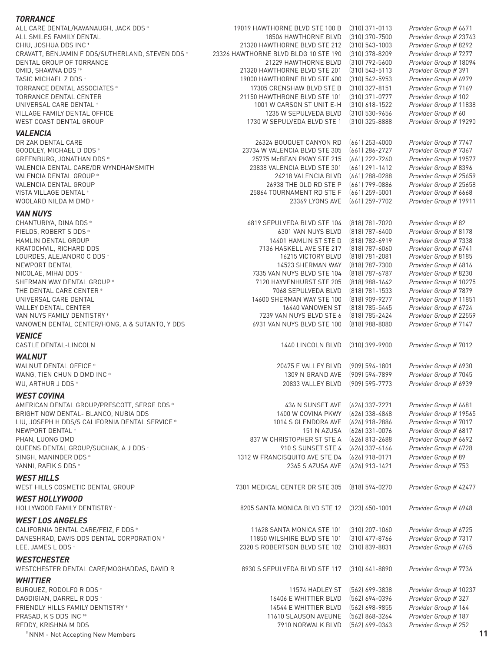#### *TORRANCE*

| ALL CARE DENTAL/KAVANAUGH, JACK DDS *            | 19019 HAWTHORNE BLVD STE 100 B       | $(310)$ 371-0113   | Provider Group # 6671  |
|--------------------------------------------------|--------------------------------------|--------------------|------------------------|
| ALL SMILES FAMILY DENTAL                         | 18506 HAWTHORNE BLVD                 | $(310)$ 370-7500   | Provider Group # 23743 |
| CHIU, JOSHUA DDS INC +                           | 21320 HAWTHORNE BLVD STE 212         | $(310)$ 543-1003   | Provider Group # 8292  |
| CRAVATT, BENJAMIN F DDS/SUTHERLAND, STEVEN DDS * | 23326 HAWTHORNE BLVD BLDG 10 STE 190 | $(310)$ 378-8209   | Provider Group # 7277  |
| DENTAL GROUP OF TORRANCE                         | 21229 HAWTHORNE BLVD                 | $(310)$ 792-5600   | Provider Group # 18094 |
| OMID, SHAWNA DDS **                              | 21320 HAWTHORNE BLVD STE 201         | $(310)$ 543-5113   | Provider Group # 391   |
| TASIC MICHAEL Z DDS *                            | 19000 HAWTHORNE BLVD STE 400         | [310] 542-5953     | Provider Group # 6979  |
| TORRANCE DENTAL ASSOCIATES *                     | 17305 CRENSHAW BLVD STE B            | $(310)$ 327-8151   | Provider Group # 7169  |
| TORRANCE DENTAL CENTER                           | 21150 HAWTHRONE BLVD STE 101         | (310) 371-0777     | Provider Group # 102   |
| UNIVERSAL CARE DENTAL *                          | 1001 W CARSON ST UNIT E-H            | $(310)$ 618-1522   | Provider Group # 11838 |
| VILLAGE FAMILY DENTAL OFFICE                     | 1235 W SEPULVEDA BLVD                | $(310)$ 530-9656   | Provider Group # 60    |
| WEST COAST DENTAL GROUP                          | 1730 W SEPULVEDA BLVD STE 1          | (310) 325-8888     | Provider Group # 19290 |
| <b>VALENCIA</b>                                  |                                      |                    |                        |
| DR ZAK DENTAL CARE                               | 26324 BOUQUET CANYON RD              | $(661)$ 253-4000   | Provider Group # 7747  |
| GOODLEY, MICHAEL D DDS *                         | 23734 W VALENCIA BLVD STE 305        | (661) 286-2727     | Provider Group # 7367  |
| GREENBURG, JONATHAN DDS *                        | 25775 McBEAN PKWY STE 215            | (661) 222-7260     | Provider Group # 19577 |
| VALENCIA DENTAL CARE/DR WYNDHAMSMITH             | 23838 VALENCIA BLVD STE 301          | $(661)$ 291-1412   | Provider Group # 8396  |
| VALENCIA DENTAL GROUP *                          | 24218 VALENCIA BLVD                  | $(661)$ 288-0288   | Provider Group # 25659 |
| VALENCIA DENTAL GROUP                            | 26938 THE OLD RD STE P               | $(661)$ 799-0886   | Provider Group # 25658 |
| VISTA VILLAGE DENTAL *                           | 25864 TOURNAMENT RD STE F            | $(661)$ 259-5001   | Provider Group # 6668  |
| WOOLARD NILDA M DMD *                            | 23369 LYONS AVE                      | $(661)$ 259-7702   | Provider Group # 19911 |
| <b>VAN NUYS</b>                                  |                                      |                    |                        |
|                                                  |                                      |                    |                        |
| CHANTURIYA, DINA DDS *                           | 6819 SEPULVEDA BLVD STE 104          | (818) 781-7020     | Provider Group #82     |
| FIELDS, ROBERT S DDS *                           | 6301 VAN NUYS BLVD                   | $(818)$ 787-6400   | Provider Group # 8178  |
| HAMLIN DENTAL GROUP                              | 14401 HAMLIN ST STE D                | [818] 782-6919     | Provider Group # 7338  |
| KRATOCHVIL, RICHARD DDS                          | 7136 HASKELL AVE STE 217             | (818) 787-6060     | Provider Group # 6741  |
| LOURDES, ALEJANDRO C DDS *                       | 16215 VICTORY BLVD                   | (818) 781-2081     | Provider Group # 8185  |
| NEWPORT DENTAL                                   | 14523 SHERMAN WAY                    | $(818)$ 787-7300   | Provider Group # 6816  |
| NICOLAE, MIHAI DDS *                             | 7335 VAN NUYS BLVD STE 104           | (818) 787-6787     | Provider Group # 8230  |
| SHERMAN WAY DENTAL GROUP *                       | 7120 HAYVENHURST STE 205             | $[818]$ 988-1642   | Provider Group # 10275 |
| THE DENTAL CARE CENTER *                         | 7068 SEPULVEDA BLVD                  | $(818)$ 781-1533   | Provider Group # 7879  |
| UNIVERSAL CARE DENTAL                            | 14600 SHERMAN WAY STE 100            | $(818)$ 909-9277   | Provider Group # 11851 |
| VALLEY DENTAL CENTER                             | 16440 VANOWEN ST                     | (818) 785-5445     | Provider Group # 6724  |
| VAN NUYS FAMILY DENTISTRY*                       | 7239 VAN NUYS BLVD STE 6             | (818) 785-2424     | Provider Group # 22559 |
| VANOWEN DENTAL CENTER/HONG, A & SUTANTO, Y DDS   | 6931 VAN NUYS BLVD STE 100           | $(818)$ 988-8080   | Provider Group # 7147  |
| <b>VENICE</b>                                    |                                      |                    |                        |
| CASTLE DENTAL-LINCOLN                            | 1440 LINCOLN BLVD                    | $(310)$ 399-9900   | Provider Group # 7012  |
| <b>WALNUT</b>                                    |                                      |                    |                        |
| WALNUT DENTAL OFFICE *                           | 20475 E VALLEY BLVD                  | (909) 594-1801     | Provider Group # 6930  |
| WANG, TIEN CHUN D DMD INC *                      | 1309 N GRAND AVE                     | [909] 594-7899     | Provider Group # 7045  |
| WU, ARTHUR J DDS *                               | 20833 VALLEY BLVD                    | (909) 595-7773     | Provider Group # 6939  |
|                                                  |                                      |                    |                        |
| <b>WEST COVINA</b>                               |                                      |                    |                        |
| AMERICAN DENTAL GROUP/PRESCOTT, SERGE DDS *      | 436 N SUNSET AVE                     | (626) 337-7271     | Provider Group # 6681  |
| BRIGHT NOW DENTAL- BLANCO, NUBIA DDS             | 1400 W COVINA PKWY                   | (626) 338-4848     | Provider Group # 19565 |
| LIU, JOSEPH H DDS/S CALIFORNIA DENTAL SERVICE *  | 1014 S GLENDORA AVE                  | (626) 918-2886     | Provider Group # 7017  |
| NEWPORT DENTAL *                                 | 151 N AZUSA                          | (626) 331-0076     | Provider Group # 6817  |
| PHAN, LUONG DMD                                  | 837 W CHRISTOPHER ST STE A           | (626) 813-2688     | Provider Group # 6692  |
| QUEENS DENTAL GROUP/SUCHAK, A J DDS *            | 910 S SUNSET STE 4                   | (626) 337-6166     | Provider Group # 6728  |
| SINGH, MANINDER DDS *                            | 1312 W FRANCISQUITO AVE STE D4       | (626) 918-0171     | Provider Group # 89    |
| YANNI, RAFIK S DDS *                             | 2365 S AZUSA AVE                     | (626) 913-1421     | Provider Group # 753   |
|                                                  |                                      |                    |                        |
| <b>WEST HILLS</b>                                |                                      |                    |                        |
| WEST HILLS COSMETIC DENTAL GROUP                 | 7301 MEDICAL CENTER DR STE 305       | $(818) 594 - 0270$ | Provider Group # 42477 |
| <b>WEST HOLLYWOOD</b>                            |                                      |                    |                        |
| HOLLYWOOD FAMILY DENTISTRY *                     | 8205 SANTA MONICA BLVD STE 12        | $(323)$ 650-1001   | Provider Group # 6948  |
|                                                  |                                      |                    |                        |
| <b>WEST LOS ANGELES</b>                          |                                      |                    |                        |
| CALIFORNIA DENTAL CARE/FEIZ, F DDS *             | 11628 SANTA MONICA STE 101           | $(310)$ 207-1060   | Provider Group # 6725  |
| DANESHRAD, DAVIS DDS DENTAL CORPORATION *        | 11850 WILSHIRE BLVD STE 101          | $(310)$ 477-8766   | Provider Group # 7317  |
| LEE, JAMES L DDS *                               | 2320 S ROBERTSON BLVD STE 102        | $(310)$ 839-8831   | Provider Group # 6765  |
| <b>WESTCHESTER</b>                               |                                      |                    |                        |
| WESTCHESTER DENTAL CARE/MOGHADDAS, DAVID R       | 8930 S SEPULVEDA BLVD STE 117        | $(310)$ 641-8890   | Provider Group # 7736  |
|                                                  |                                      |                    |                        |
| <b>WHITTIER</b>                                  |                                      |                    |                        |
| BURQUEZ, RODOLFO R DDS *                         | 11574 HADLEY ST                      | [562] 699-3838     | Provider Group # 10237 |
| DAGDIGIAN, DARREL R DDS *                        | 16406 E WHITTIER BLVD                | (562) 694-0396     | Provider Group # 327   |
| FRIENDLY HILLS FAMILY DENTISTRY *                | 14544 E WHITTIER BLVD                | (562) 698-9855     | Provider Group # 164   |
| PRASAD, K S DDS INC **                           | 11610 SLAUSON AVEUNE                 | (562) 868-3264     | Provider Group # 187   |
| REDDY, KRISHNA M DDS                             | 7910 NORWALK BLVD                    | (562) 699-0343     | Provider Group # 252   |
| <sup>*</sup> NNM - Not Accepting New Members     |                                      |                    | 11                     |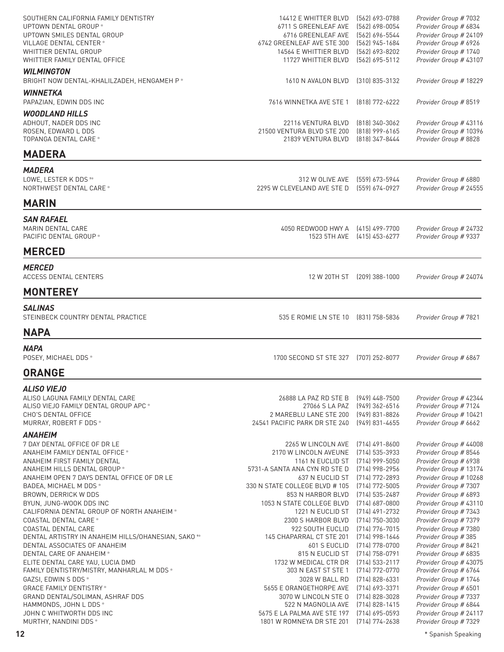| SOUTHERN CALIFORNIA FAMILY DENTISTRY<br>UPTOWN DENTAL GROUP *<br>UPTOWN SMILES DENTAL GROUP<br>VILLAGE DENTAL CENTER *<br>WHITTIER DENTAL GROUP<br>WHITTIER FAMILY DENTAL OFFICE                                                                                                                                                                                                                                | 14412 E WHITTER BLVD<br>6711 S GREENLEAF AVE<br>6716 GREENLEAF AVE<br>6742 GREENLEAF AVE STE 300<br>14564 E WHITTIER BLVD<br>11727 WHITTIER BLVD                                                                                                                                       | (562) 693-0788<br>$(562) 698 - 0054$<br>[562] 696-5544<br>(562) 945-1684<br>(562) 693-8202<br>(562) 695-5112                                                                                                                   | Provider Group # 7032<br>Provider Group # 6834<br>Provider Group # 24109<br>Provider Group # 6926<br>Provider Group # 1740<br>Provider Group # 43107                                                                                                                                                      |
|-----------------------------------------------------------------------------------------------------------------------------------------------------------------------------------------------------------------------------------------------------------------------------------------------------------------------------------------------------------------------------------------------------------------|----------------------------------------------------------------------------------------------------------------------------------------------------------------------------------------------------------------------------------------------------------------------------------------|--------------------------------------------------------------------------------------------------------------------------------------------------------------------------------------------------------------------------------|-----------------------------------------------------------------------------------------------------------------------------------------------------------------------------------------------------------------------------------------------------------------------------------------------------------|
| <b>WILMINGTON</b><br>BRIGHT NOW DENTAL-KHALILZADEH, HENGAMEH P*                                                                                                                                                                                                                                                                                                                                                 | 1610 N AVALON BLVD                                                                                                                                                                                                                                                                     | $(310)$ 835-3132                                                                                                                                                                                                               | Provider Group # 18229                                                                                                                                                                                                                                                                                    |
| <b>WINNETKA</b><br>PAPAZIAN, EDWIN DDS INC                                                                                                                                                                                                                                                                                                                                                                      | 7616 WINNETKA AVE STE 1                                                                                                                                                                                                                                                                | (818) 772-6222                                                                                                                                                                                                                 | Provider Group # 8519                                                                                                                                                                                                                                                                                     |
| <b>WOODLAND HILLS</b><br>ADHOUT, NADER DDS INC<br>ROSEN, EDWARD L DDS<br>TOPANGA DENTAL CARE *                                                                                                                                                                                                                                                                                                                  | 22116 VENTURA BLVD<br>21500 VENTURA BLVD STE 200<br>21839 VENTURA BLVD                                                                                                                                                                                                                 | $(818)$ 340-3062<br>$(818)$ 999-6165<br>(818) 347-8444                                                                                                                                                                         | Provider Group # 43116<br>Provider Group # 10396<br>Provider Group # 8828                                                                                                                                                                                                                                 |
| <b>MADERA</b>                                                                                                                                                                                                                                                                                                                                                                                                   |                                                                                                                                                                                                                                                                                        |                                                                                                                                                                                                                                |                                                                                                                                                                                                                                                                                                           |
| <b>MADERA</b><br>LOWE, LESTER K DDS **<br>NORTHWEST DENTAL CARE*                                                                                                                                                                                                                                                                                                                                                | 312 W OLIVE AVE<br>2295 W CLEVELAND AVE STE D                                                                                                                                                                                                                                          | 〔559〕 673-5944<br>(559) 674-0927                                                                                                                                                                                               | Provider Group # 6880<br>Provider Group # 24555                                                                                                                                                                                                                                                           |
| <b>MARIN</b>                                                                                                                                                                                                                                                                                                                                                                                                    |                                                                                                                                                                                                                                                                                        |                                                                                                                                                                                                                                |                                                                                                                                                                                                                                                                                                           |
| <b>SAN RAFAEL</b><br>MARIN DENTAL CARE<br>PACIFIC DENTAL GROUP *                                                                                                                                                                                                                                                                                                                                                | 4050 REDWOOD HWY A<br>1523 5TH AVE                                                                                                                                                                                                                                                     | (415) 499-7700<br>(415) 453-6277                                                                                                                                                                                               | Provider Group # 24732<br>Provider Group # 9337                                                                                                                                                                                                                                                           |
| <b>MERCED</b>                                                                                                                                                                                                                                                                                                                                                                                                   |                                                                                                                                                                                                                                                                                        |                                                                                                                                                                                                                                |                                                                                                                                                                                                                                                                                                           |
| <b>MERCED</b><br><b>ACCESS DENTAL CENTERS</b>                                                                                                                                                                                                                                                                                                                                                                   |                                                                                                                                                                                                                                                                                        | 12 W 20TH ST (209) 388-1000                                                                                                                                                                                                    | Provider Group # 24074                                                                                                                                                                                                                                                                                    |
| <b>MONTEREY</b>                                                                                                                                                                                                                                                                                                                                                                                                 |                                                                                                                                                                                                                                                                                        |                                                                                                                                                                                                                                |                                                                                                                                                                                                                                                                                                           |
| <b>SALINAS</b><br>STEINBECK COUNTRY DENTAL PRACTICE                                                                                                                                                                                                                                                                                                                                                             | 535 E ROMIE LN STE 10                                                                                                                                                                                                                                                                  | (831) 758-5836                                                                                                                                                                                                                 | Provider Group # 7821                                                                                                                                                                                                                                                                                     |
| <b>NAPA</b>                                                                                                                                                                                                                                                                                                                                                                                                     |                                                                                                                                                                                                                                                                                        |                                                                                                                                                                                                                                |                                                                                                                                                                                                                                                                                                           |
| <b>NAPA</b><br>POSEY, MICHAEL DDS *                                                                                                                                                                                                                                                                                                                                                                             | 1700 SECOND ST STE 327                                                                                                                                                                                                                                                                 | (707) 252-8077                                                                                                                                                                                                                 | Provider Group # 6867                                                                                                                                                                                                                                                                                     |
| <b>ORANGE</b>                                                                                                                                                                                                                                                                                                                                                                                                   |                                                                                                                                                                                                                                                                                        |                                                                                                                                                                                                                                |                                                                                                                                                                                                                                                                                                           |
| <i><b>ALISO VIEJO</b></i><br>ALISO LAGUNA FAMILY DENTAL CARE<br>ALISO VIEJO FAMILY DENTAL GROUP APC *<br>CHO'S DENTAL OFFICE<br>MURRAY, ROBERT F DDS *                                                                                                                                                                                                                                                          | 26888 LA PAZ RD STE B<br>27066 S LA PAZ<br>2 MAREBLU LANE STE 200<br>24541 PACIFIC PARK DR STE 240                                                                                                                                                                                     | $(949)$ 448-7500<br>(949) 362-6516<br>(949) 831-8826<br>$(949)$ 831-4655                                                                                                                                                       | Provider Group # 42344<br>Provider Group # 7124<br>Provider Group # 10421<br>Provider Group # 6662                                                                                                                                                                                                        |
| <b>ANAHEIM</b><br>7 DAY DENTAL OFFICE OF DR LE<br>ANAHEIM FAMILY DENTAL OFFICE *<br>ANAHEIM FIRST FAMILY DENTAL<br>ANAHEIM HILLS DENTAL GROUP *<br>ANAHEIM OPEN 7 DAYS DENTAL OFFICE OF DR LE<br>BADEA, MICHAEL M DDS *<br>BROWN, DERRICK W DDS<br>BYUN, JUNG-WOOK DDS INC<br>CALIFORNIA DENTAL GROUP OF NORTH ANAHEIM *<br>COASTAL DENTAL CARE *                                                               | 2265 W LINCOLN AVE<br>2170 W LINCOLN AVEUNE<br>1161 N EUCLID ST<br>5731-A SANTA ANA CYN RD STE D<br>637 N EUCLID ST<br>330 N STATE COLLEGE BLVD # 105<br>853 N HARBOR BLVD<br>1053 N STATE COLLEGE BLVD<br>1221 N EUCLID ST<br>2300 S HARBOR BLVD                                      | (714) 491-8600<br>(714) 535-3933<br>$(714)$ 999-5050<br>(714) 998-2956<br>$(714) 772 - 2893$<br>(714) 772-5005<br>$(714)$ 535-2487<br>$(714)$ 687-0800<br>(714) 491-2732<br>$(714) 750 - 3030$                                 | Provider Group # 44008<br>Provider Group # 8546<br>Provider Group # 6938<br>Provider Group # 13174<br>Provider Group # 10268<br>Provider Group # 7307<br>Provider Group # 6893<br>Provider Group # 43110<br>Provider Group # 7343<br>Provider Group # 7379                                                |
| COASTAL DENTAL CARE<br>DENTAL ARTISTRY IN ANAHEIM HILLS/OHANESIAN, SAKO <sup>*</sup><br>DENTAL ASSOCIATES OF ANAHEIM<br>DENTAL CARE OF ANAHEIM *<br>ELITE DENTAL CARE YAU, LUCIA DMD<br>FAMILY DENTISTRY/MISTRY, MANHARLAL M DDS *<br>GAZSI, EDWIN S DDS *<br><b>GRACE FAMILY DENTISTRY*</b><br>GRAND DENTAL/SOLIMAN, ASHRAF DDS<br>HAMMONDS, JOHN L DDS *<br>JOHN C WHITWORTH DDS INC<br>MURTHY, NANDINI DDS * | 922 SOUTH EUCLID<br>145 CHAPARRAL CT STE 201<br>601 S EUCLID<br>815 N EUCLID ST<br>1732 W MEDICAL CTR DR<br>303 N EAST ST STE 1<br>3028 W BALL RD<br>5655 E ORANGETHORPE AVE<br>3070 W LINCOLN STE O<br>522 N MAGNOLIA AVE<br>5675 E LA PALMA AVE STE 197<br>1801 W ROMNEYA DR STE 201 | $(714)$ 776-7015<br>$(714)$ 998-1646<br>(714) 778-0700<br>(714) 758-0791<br>$(714)$ 533-2117<br>(714) 772-0770<br>(714) 828-6331<br>(714) 693-3371<br>$(714)$ 828-3028<br>(714) 828-1415<br>$(714)$ 695-0593<br>(714) 774-2638 | Provider Group # 7380<br>Provider Group # 385<br>Provider Group # 8421<br>Provider Group # 6835<br>Provider Group # 43075<br>Provider Group # 6764<br>Provider Group # 1746<br>Provider Group # 6501<br>Provider Group # 7337<br>Provider Group # 6844<br>Provider Group # 24117<br>Provider Group # 7329 |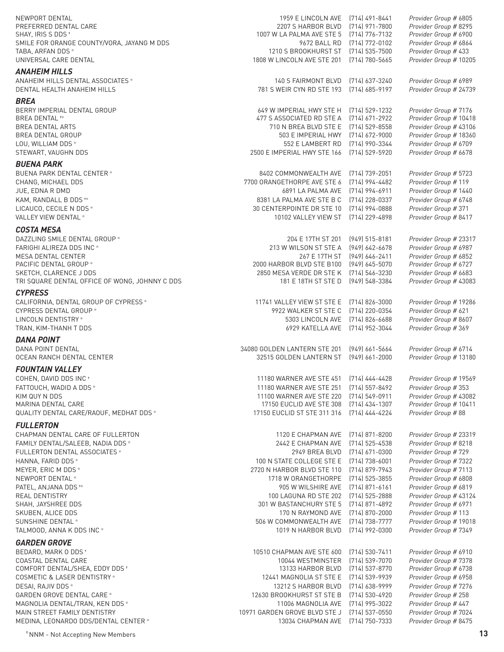PREFERRED DENTAL CARE

#### *ANAHEIM HILLS*

#### *BREA*

#### *BUENA PARK*

#### *COSTA MESA*

TRI SQUARE DENTAL OFFICE OF WONG, JOHNNY C DDS

#### *CYPRESS*

#### *DANA POINT*

**OCEAN RANCH DENTAL CENTER** 

#### *FOUNTAIN VALLEY*

#### *FULLERTON*

#### *GARDEN GROVE*

NEWPORT DENTAL<br>PREFERRED DENTAL CARE **1969 EXECUTE 1969 E LINCOLN AVE (714) 491-8441** *Provider Group #* 6805<br>2007 S HARBOR BLVD (714) 971-7800 *Provider Group #* 8295 SHAY, IRIS S DDS ✝ 1007 W LA PALMA AVE STE 5 (714) 776-7132 *Provider Group #* 6900 SMILE FOR ORANGE COUNTY/VORA, JAYANG M DDS 9672 BALL RD (714) 772-0102 *Provider Group #* 6864 TABA, ARFAN DDS ✻ 1210 S BROOKHURST ST (714) 535-7500 *Provider Group #* 433 UNIVERSAL CARE DENTAL 1808 W LINCOLN AVE STE 201 (714) 780-5665 *Provider Group #* 10205 ANAHEIM HILLS DENTAL ASSOCIATES ✻ 140 S FAIRMONT BLVD (714) 637-3240 *Provider Group #* 6989 DENTAL HEALTH ANAHEIM HILLS 781 S WEIR CYN RD STE 193 (714) 685-9197 *Provider Group #* 24739 BERRY IMPERIAL DENTAL GROUP 649 W IMPERIAL HWY STE H (714) 529-1232 *Provider Group #* 7176 BREA DENTAL ✝✻ 477 S ASSOCIATED RD STE A (714) 671-2922 *Provider Group #* 10418 BREA DENTAL ARTS 710 N BREA BLVD STE E (714) 529-8558 *Provider Group #* 43106 Brovider Group # 18360 LOU, WILLIAM DDS ✻ 552 E LAMBERT RD (714) 990-3344 *Provider Group #* 6709 STEWART, VAUGHN DDS 2500 E IMPERIAL HWY STE 166 (714) 529-5920 *Provider Group #* 6678 BUENA PARK DENTAL CENTER ✻ 8402 COMMONWEALTH AVE (714) 739-2051 *Provider Group #* 5723 CHANG, MICHAEL DDS 7700 ORANGETHORPE AVE STE 6 (714) 994-4482 *Provider Group #* 119 JUE, EDNA R DMD 6891 LA PALMA AVE (714) 994-6911 *Provider Group #* 1440 KAM, RANDALL B DDS ✝✻ 8381 LA PALMA AVE STE B C (714) 228-0337 *Provider Group #* 6748 LICAUCO, CECILE N DDS ✻ 30 CENTERPOINTE DR STE 10 (714) 994-0888 *Provider Group #* 371 VALLEY VIEW DENTAL ✻ 10102 VALLEY VIEW ST (714) 229-4898 *Provider Group #* 8417 DAZZLING SMILE DENTAL GROUP ✻ 204 E 17TH ST 201 (949) 515-8181 *Provider Group #* 23317 FARIGHI ALIREZA DDS INC ✻ 213 W WILSON ST STE A (949) 642-6678 *Provider Group #* 6987 MESA DENTAL CENTER 267 E 17TH ST (949) 646-2411 *Provider Group #* 6852 PACIFIC DENTAL GROUP ✻ 2000 HARBOR BLVD STE B100 (949) 645-5070 *Provider Group #* 6727 SKETCH, CLARENCE J DDS 2850 MESA VERDE DR STE K (714) 546-3230 *Provider Group #* 6683 CALIFORNIA, DENTAL GROUP OF CYPRESS ✻ 11741 VALLEY VIEW ST STE E (714) 826-3000 *Provider Group #* 19286 CYPRESS DENTAL GROUP ✻ 9922 WALKER ST STE C (714) 220-0354 *Provider Group #* 621 LINCOLN DENTISTRY ✻ 5303 LINCOLN AVE (714) 826-6688 *Provider Group #* 8607 TRAN, KIM-THANH T DDS 6929 KATELLA AVE (714) 952-3044 *Provider Group #* 369 DANA POINT DENTAL 34080 GOLDEN LANTERN STE 201 (949) 661-5664 *Provider Group #* 6714 COHEN, DAVID DDS INC ✝ 11180 WARNER AVE STE 451 (714) 444-4428 *Provider Group #* 19569 FATTOUCH, WADID A DDS ✻ 11180 WARNER AVE STE 251 (714) 557-8492 *Provider Group #* 353 KIM QUY N DDS 11100 WARNER AVE STE 220 (714) 549-0911 *Provider Group #* 43082 MARINA DENTAL CARE 17150 EUCLID AVE STE 308 (714) 434-1307 *Provider Group #* 10411 QUALITY DENTAL CARE/RAOUF, MEDHAT DDS ✻ 17150 EUCLID ST STE 311 316 (714) 444-4224 *Provider Group #* 88 CHAPMAN DENTAL CARE OF FULLERTON 1120 E CHAPMAN AVE (714) 871-8200 *Provider Group #* 23319 FAMILY DENTAL/SALEEB, NADIA DDS ✻ 2442 E CHAPMAN AVE (714) 525-4538 *Provider Group #* 8218 FULLERTON DENTAL ASSOCIATES ✻ 2949 BREA BLVD (714) 671-0300 *Provider Group #* 729 HANNA, FARID DDS ✻ 100 N STATE COLLEGE STE E (714) 738-6001 *Provider Group #* 7322 MEYER, ERIC M DDS ✻ 2720 N HARBOR BLVD STE 110 (714) 879-7943 *Provider Group #* 7113 NEWPORT DENTAL ✻ 1718 W ORANGETHORPE (714) 525-3855 *Provider Group #* 6808 PATEL, ANJANA DDS ✝✻ 905 W WILSHIRE AVE (714) 871-6161 *Provider Group #* 6819 REAL DENTISTRY 100 LAGUNA RD STE 202 (714) 525-2888 *Provider Group #* 43124 SHAH, JAYSHREE DDS 301 W BASTANCHURY STE 5 (714) 871-4892 *Provider Group #* 6971 SKUBEN, ALICE DDS 170 N RAYMOND AVE (714) 870-2000 *Provider Group #* 113 SUNSHINE DENTAL ✻ 506 W COMMONWEALTH AVE (714) 738-7777 *Provider Group #* 19018 TALMOOD, ANNA K DDS INC ✻ 1019 N HARBOR BLVD (714) 992-0300 *Provider Group #* 7349 BEDARD, MARK O DDS ✝ 10510 CHAPMAN AVE STE 600 (714) 530-7411 *Provider Group #* 6910 COASTAL DENTAL CARE 10044 WESTMINSTER (714) 539-7070 *Provider Group #* 7378 COMFORT DENTAL/SHEA, EDDY DDS ✝ 13133 HARBOR BLVD (714) 537-8770 *Provider Group #* 6738 COSMETIC & LASER DENTISTRY ✻ 12441 MAGNOLIA ST STE E (714) 539-9939 *Provider Group #* 6958 DESAI, RAJIV DDS ✻ 13212 S HARBOR BLVD (714) 638-9999 *Provider Group #* 7276 GARDEN GROVE DENTAL CARE ✻ 12630 BROOKHURST ST STE B (714) 530-4920 *Provider Group #* 258 MAGNOLIA DENTAL/TRAN, KEN DDS ✻ 11006 MAGNOLIA AVE (714) 995-3022 *Provider Group #* 447 MAIN STREET FAMILY DENTISTRY **10971 GARDEN GROVE BLVD STE J** (714) 537-0550 *Provider Group #* 7024 MEDINA, LEONARDO DDS/DENTAL CENTER ✻ 13034 CHAPMAN AVE (714) 750-7333 *Provider Group #* 8475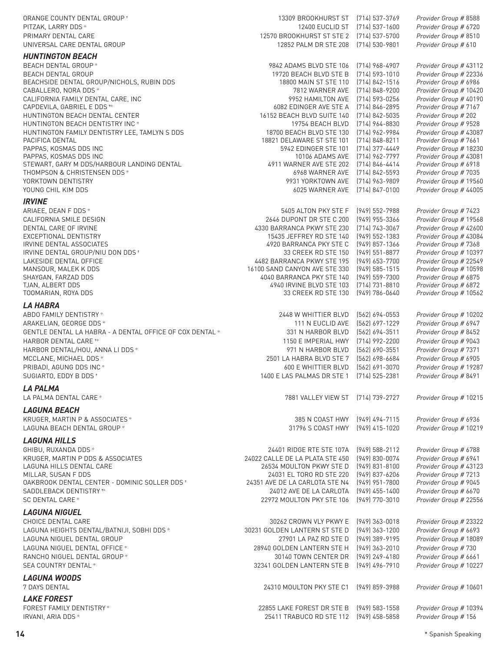| ORANGE COUNTY DENTAL GROUP *                                           | 13309 BROOKHURST ST [714] 537-3769                     |                                        | Provider Group # 8588                            |
|------------------------------------------------------------------------|--------------------------------------------------------|----------------------------------------|--------------------------------------------------|
| PITZAK, LARRY DDS *                                                    | 12400 EUCLID ST                                        | $(714)$ 537-1600                       | Provider Group # 6720                            |
| PRIMARY DENTAL CARE                                                    | 12570 BROOKHURST ST STE 2                              | (714) 537-5700                         | Provider Group # 8510                            |
| UNIVERSAL CARE DENTAL GROUP                                            | 12852 PALM DR STE 208                                  | (714) 530-9801                         | Provider Group # 610                             |
| <b>HUNTINGTON BEACH</b>                                                |                                                        |                                        |                                                  |
| <b>BEACH DENTAL GROUP*</b>                                             | 9842 ADAMS BLVD STE 106                                | $(714)$ 968-4907                       | Provider Group # 43112                           |
| <b>BEACH DENTAL GROUP</b><br>BEACHSIDE DENTAL GROUP/NICHOLS, RUBIN DDS | 19720 BEACH BLVD STE B<br>18800 MAIN ST STE 110        | $(714)$ 593-1010<br>$(714) 842 - 1516$ | Provider Group # 22336<br>Provider Group # 6986  |
| CABALLERO, NORA DDS *                                                  | 7812 WARNER AVE                                        | (714) 848-9200                         | Provider Group # 10420                           |
| CALIFORNIA FAMILY DENTAL CARE, INC                                     | 9952 HAMILTON AVE                                      | (714) 593-0256                         | Provider Group # 40190                           |
| CAPDEVILA, GABRIEL E DDS **                                            | 6082 EDINGER AVE STE A                                 | (714) 846-2895                         | Provider Group # 7167                            |
| HUNTINGTON BEACH DENTAL CENTER                                         | 16152 BEACH BLVD SUITE 140                             | $(714)842 - 5035$                      | Provider Group # 202                             |
| HUNTINGTON BEACH DENTISTRY INC *                                       | 19754 BEACH BLVD                                       | (714) 964-8830                         | Provider Group # 9528                            |
| HUNTINGTON FAMILY DENTISTRY LEE, TAMLYN S DDS<br>PACIFICA DENTAL       | 18700 BEACH BLVD STE 130<br>18821 DELAWARE ST STE 101  | (714) 962-9984<br>$(714) 848 - 8211$   | Provider Group # 43087<br>Provider Group # 7661  |
| PAPPAS, KOSMAS DDS INC                                                 | 5942 EDINGER STE 101                                   | (714) 377-4449                         | Provider Group # 18230                           |
| PAPPAS, KOSMAS DDS INC                                                 | 10106 ADAMS AVE                                        | (714) 962-7797                         | Provider Group # 43081                           |
| STEWART, GARY M DDS/HARBOUR LANDING DENTAL                             | 4911 WARNER AVE STE 202                                | $(714) 846 - 4414$                     | Provider Group # 6918                            |
| THOMPSON & CHRISTENSEN DDS *                                           | 6968 WARNER AVE                                        | (714) 842-5593                         | Provider Group # 7035                            |
| YORKTOWN DENTISTRY                                                     | 9931 YORKTOWN AVE                                      | (714) 963-9809                         | Provider Group # 19560                           |
| YOUNG CHIL KIM DDS                                                     | 6025 WARNER AVE                                        | [714] 847-0100                         | Provider Group # 44005                           |
| <b>IRVINE</b>                                                          |                                                        |                                        |                                                  |
| ARIAEE, DEAN F DDS *                                                   | 5405 ALTON PKY STE F                                   | $(949) 552 - 7988$                     | Provider Group # 7423                            |
| CALIFORNIA SMILE DESIGN                                                | 2646 DUPONT DR STE C 200                               | (949) 955-3366                         | Provider Group # 19568                           |
| DENTAL CARE OF IRVINE<br>EXCEPTIONAL DENTISTRY                         | 4330 BARRANCA PKWY STE 230<br>15435 JEFFREY RD STE 140 | $(714) 743 - 3067$<br>(949) 552-1383   | Provider Group # 42600<br>Provider Group # 43084 |
| IRVINE DENTAL ASSOCIATES                                               | 4920 BARRANCA PKY STE C                                | (949) 857-1366                         | Provider Group # 7368                            |
| IRVINE DENTAL GROUP/NIU DON DDS +                                      | 33 CREEK RD STE 150                                    | (949) 551-8877                         | Provider Group # 10397                           |
| LAKESIDE DENTAL OFFICE                                                 | 4482 BARRANCA PKWY STE 195                             | (949) 653-7700                         | Provider Group # 22549                           |
| MANSOUR, MALEK K DDS                                                   | 16100 SAND CANYON AVE STE 330                          | $(949)$ 585-1515                       | Provider Group # 10598                           |
| SHAYGAN, FARZAD DDS<br>TJAN, ALBERT DDS                                | 4040 BARRANCA PKY STE 140<br>4940 IRVINE BLVD STE 103  | $(949) 559 - 7300$<br>(714) 731-8810   | Provider Group # 6875<br>Provider Group # 6872   |
| TOOMARIAN, ROYA DDS                                                    | 33 CREEK RD STE 130                                    | $(949) 786 - 0640$                     | Provider Group # 10562                           |
|                                                                        |                                                        |                                        |                                                  |
| <b>LA HABRA</b>                                                        | 2448 W WHITTIER BLVD                                   | (562) 694-0553                         |                                                  |
| ABDO FAMILY DENTISTRY *<br>ARAKELIAN, GEORGE DDS *                     | 111 N EUCLID AVE                                       | [562] 697-1229                         | Provider Group # 10202<br>Provider Group # 6947  |
| GENTLE DENTAL LA HABRA - A DENTAL OFFICE OF COX DENTAL *               | 331 N HARBOR BLVD                                      | [562] 694-3511                         | Provider Group # 8452                            |
| HARBOR DENTAL CARE **                                                  | 1150 E IMPERIAL HWY                                    | (714) 992-2200                         | Provider Group # 9043                            |
| HARBOR DENTAL/HOU, ANNA LI DDS *                                       | 971 N HARBOR BLVD                                      | (562) 690-3551                         | Provider Group # 7371                            |
| MCCLANE, MICHAEL DDS *                                                 | 2501 LA HABRA BLVD STE 7                               | (562) 698-6684                         | Provider Group # 6905                            |
| PRIBADI, AGUNG DDS INC *                                               | <b>600 E WHITTIER BLVD</b>                             | [562] 691-3070                         | Provider Group # 19287                           |
| SUGIARTO, EDDY B DDS <sup>+</sup>                                      | 1400 E LAS PALMAS DR STE 1                             | $(714)$ 525-2381                       | Provider Group # 8491                            |
| <b>LA PALMA</b>                                                        |                                                        |                                        |                                                  |
| LA PALMA DENTAL CARE *                                                 | 7881 VALLEY VIEW ST [714] 739-2727                     |                                        | Provider Group # 10215                           |
| <b>LAGUNA BEACH</b>                                                    |                                                        |                                        |                                                  |
| KRUGER, MARTIN P & ASSOCIATES *                                        | 385 N COAST HWY [949] 494-7115                         |                                        | Provider Group # 6936                            |
| LAGUNA BEACH DENTAL GROUP *                                            | 31796 S COAST HWY                                      | (949) 415-1020                         | Provider Group # 10219                           |
| <b>LAGUNA HILLS</b>                                                    |                                                        |                                        |                                                  |
| GHIBU, RUXANDA DDS *                                                   | 24401 RIDGE RTE STE 107A                               | $(949)$ 588-2112                       | Provider Group # 6788                            |
| KRUGER, MARTIN P DDS & ASSOCIATES                                      | 24022 CALLE DE LA PLATA STE 450                        | (949) 830-0074                         | Provider Group # 6941                            |
| LAGUNA HILLS DENTAL CARE                                               | 26534 MOULTON PKWY STE D                               | $(949)$ 831-8100                       | Provider Group # 43123                           |
| MILLAR, SUSAN F DDS                                                    | 24031 EL TORO RD STE 220                               | (949) 837-6206                         | Provider Group # 7213                            |
| OAKBROOK DENTAL CENTER - DOMINIC SOLLER DDS <sup>+</sup>               | 24351 AVE DE LA CARLOTA STE N4                         | (949) 951-7800                         | Provider Group # 9045                            |
| SADDLEBACK DENTISTRY **                                                | 24012 AVE DE LA CARLOTA                                | (949) 455-1400                         | Provider Group # 6670                            |
| <b>SC DENTAL CARE *</b>                                                | 22972 MOULTON PKY STE 106                              | $(949)$ 770-3010                       | Provider Group # 22556                           |
| <b>LAGUNA NIGUEL</b>                                                   |                                                        |                                        |                                                  |
| CHOICE DENTAL CARE                                                     | 30262 CROWN VLY PKWY E                                 | $(949)$ 363-0018                       | Provider Group # 23322                           |
| LAGUNA HEIGHTS DENTAL/BATNIJI, SOBHI DDS *                             | 30231 GOLDEN LANTERN ST STE D                          | $(949)$ 363-1200                       | Provider Group # 6693                            |
| LAGUNA NIGUEL DENTAL GROUP                                             | 27901 LA PAZ RD STE D                                  | $(949)$ 389-9195                       | Provider Group # 18089                           |
| LAGUNA NIGUEL DENTAL OFFICE *                                          | 28940 GOLDEN LANTERN STE H                             | (949) 363-2010                         | Provider Group # 730                             |
| RANCHO NIGUEL DENTAL GROUP *<br>SEA COUNTRY DENTAL *                   | 30140 TOWN CENTER DR<br>32341 GOLDEN LANTERN STE B     | (949) 249-4180<br>$(949)$ 496-7910     | Provider Group # 6661<br>Provider Group # 10227  |
|                                                                        |                                                        |                                        |                                                  |
| <b>LAGUNA WOODS</b>                                                    |                                                        |                                        |                                                  |
| 7 DAYS DENTAL                                                          | 24310 MOULTON PKY STE C1                               | $(949)$ 859-3988                       | Provider Group # 10601                           |
| <b>LAKE FOREST</b>                                                     |                                                        |                                        |                                                  |
| FOREST FAMILY DENTISTRY *                                              | 22855 LAKE FOREST DR STE B                             | $(949)$ 583-1558                       | Provider Group # 10394                           |
| IRVANI, ARIA DDS *                                                     | 25411 TRABUCO RD STE 112                               | $(949)$ 458-5858                       | Provider Group # 156                             |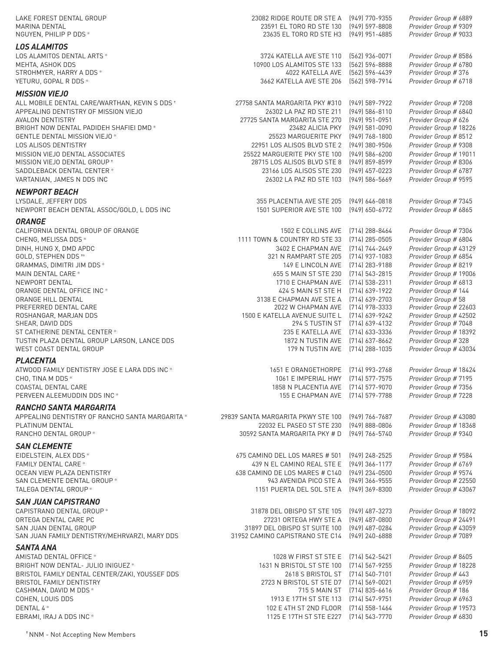| LAKE FOREST DENTAL GROUP<br>MARINA DENTAL                                             | 23082 RIDGE ROUTE DR STE A<br>23591 EL TORO RD STE 130       | (949) 770-9355<br>(949) 597-8808     | Provider Group # 6889<br>Provider Group # 9309   |
|---------------------------------------------------------------------------------------|--------------------------------------------------------------|--------------------------------------|--------------------------------------------------|
| NGUYEN, PHILIP P DDS *                                                                | 23635 EL TORO RD STE H3                                      | (949) 951-4885                       | Provider Group # 9033                            |
| <b>LOS ALAMITOS</b>                                                                   |                                                              |                                      |                                                  |
| LOS ALAMITOS DENTAL ARTS *                                                            | 3724 KATELLA AVE STE 110                                     | [562] 936-0071                       | Provider Group # 8586                            |
| MEHTA, ASHOK DDS                                                                      | 10900 LOS ALAMITOS STE 133                                   | [562] 596-8888                       | Provider Group # 6780                            |
| STROHMYER, HARRY A DDS *                                                              | 4022 KATELLA AVE                                             | (562) 596-4439                       | Provider Group #376                              |
| YETURU, GOPAL R DDS *                                                                 | 3662 KATELLA AVE STE 206                                     | (562) 598-7914                       | Provider Group # 6718                            |
| <b>MISSION VIEJO</b>                                                                  |                                                              |                                      |                                                  |
| ALL MOBILE DENTAL CARE/WARTHAN, KEVIN S DDS +<br>APPEALING DENTISTRY OF MISSION VIEJO | 27758 SANTA MARGARITA PKY #310<br>26302 LA PAZ RD STE 211    | (949) 589-7922<br>$(949)$ 586-8110   | Provider Group # 7208<br>Provider Group # 6840   |
| AVALON DENTISTRY                                                                      | 27725 SANTA MARGARITA STE 270                                | $(949)$ 951-0951                     | Provider Group # 626                             |
| BRIGHT NOW DENTAL PADIDEH SHAFIEI DMD*                                                | 23482 ALICIA PKY                                             | (949) 581-0090                       | Provider Group # 18226                           |
| GENTLE DENTAL MISSION VIEJO*                                                          | 25523 MARGUERITE PKY                                         | (949) 768-1800                       | Provider Group # 8512                            |
| LOS ALISOS DENTISTRY                                                                  | 22951 LOS ALISOS BLVD STE 2                                  | (949) 380-9506                       | Provider Group # 9308                            |
| MISSION VIEJO DENTAL ASSOCIATES<br>MISSION VIEJO DENTAL GROUP +                       | 25522 MARGUERITE PKY STE 100<br>28715 LOS ALISOS BLVD STE 8  | (949) 586-6200<br>(949) 859-8599     | Provider Group # 19011<br>Provider Group # 8306  |
| SADDLEBACK DENTAL CENTER *                                                            | 23166 LOS ALISOS STE 230                                     | (949) 457-0223                       | Provider Group # 6787                            |
| VARTANIAN, JAMES N DDS INC                                                            | 26302 LA PAZ RD STE 103                                      | $(949) 586 - 5669$                   | Provider Group # 9595                            |
| <b>NEWPORT BEACH</b>                                                                  |                                                              |                                      |                                                  |
| LYSDALE, JEFFERY DDS                                                                  | 355 PLACENTIA AVE STE 205                                    | $(949) 646 - 0818$                   | Provider Group # 7345                            |
| NEWPORT BEACH DENTAL ASSOC/GOLD, L DDS INC                                            | 1501 SUPERIOR AVE STE 100                                    | (949) 650-6772                       | Provider Group # 6865                            |
| <b>ORANGE</b>                                                                         |                                                              |                                      |                                                  |
| CALIFORNIA DENTAL GROUP OF ORANGE                                                     | 1502 E COLLINS AVE                                           | (714) 288-8464                       | Provider Group # 7306                            |
| CHENG, MELISSA DDS *                                                                  | 1111 TOWN & COUNTRY RD STE 33                                | $(714)$ 285-0505                     | Provider Group # 6804                            |
| DINH, HUNG X, DMD APDC<br>GOLD, STEPHEN DDS **                                        | 3402 E CHAPMAN AVE<br>321 N RAMPART STE 205                  | [714] 744-2449<br>$(714)$ 937-1083   | Provider Group # 43129<br>Provider Group # 6854  |
| GRAMMAS, DIMITRI JIM DDS *                                                            | 149 E LINCOLN AVE                                            | (714) 283-9188                       | Provider Group # 8219                            |
| MAIN DENTAL CARE *                                                                    | 655 S MAIN ST STE 230                                        | (714) 543-2815                       | Provider Group # 19006                           |
| NEWPORT DENTAL                                                                        | 1710 E CHAPMAN AVE                                           | [714] 538-2311                       | Provider Group # 6813                            |
| ORANGE DENTAL OFFICE INC *                                                            | 424 S MAIN ST STE H                                          | (714) 639-1922                       | Provider Group # 144                             |
| ORANGE HILL DENTAL                                                                    | 3138 E CHAPMAN AVE STE A                                     | [714] 639-2703                       | Provider Group # 58                              |
| PREFERRED DENTAL CARE<br>ROSHANGAR, MARJAN DDS                                        | 2022 W CHAPMAN AVE<br>1500 E KATELLA AVENUE SUITE L          | (714) 978-3333<br>(714) 639-9242     | Provider Group # 22603<br>Provider Group # 42502 |
| SHEAR, DAVID DDS                                                                      | 294 S TUSTIN ST                                              | (714) 639-4132                       | Provider Group # 7048                            |
| ST CATHERINE DENTAL CENTER *                                                          | 235 E KATELLA AVE                                            | (714) 633-3336                       | Provider Group # 18392                           |
| TUSTIN PLAZA DENTAL GROUP LARSON, LANCE DDS                                           | 1872 N TUSTIN AVE                                            | (714) 637-8662                       | Provider Group # 328                             |
| WEST COAST DENTAL GROUP                                                               | 179 N TUSTIN AVE                                             | (714) 288-1035                       | Provider Group # 43034                           |
| <b>PLACENTIA</b>                                                                      |                                                              |                                      |                                                  |
| ATWOOD FAMILY DENTISTRY JOSE E LARA DDS INC *                                         | 1651 E ORANGETHORPE                                          | [714] 993-2768                       | Provider Group # 18424                           |
| CHO, TINA M DDS *<br>COASTAL DENTAL CARE                                              | 1061 E IMPERIAL HWY<br>1858 N PLACENTIA AVE [714] 577-9070   | (714) 577-7575                       | Provider Group # 7195<br>Provider Group # 7356   |
| PERVEEN ALEEMUDDIN DDS INC *                                                          | 155 E CHAPMAN AVE                                            | (714) 579-7788                       | Provider Group # 7228                            |
| <b>RANCHO SANTA MARGARITA</b>                                                         |                                                              |                                      |                                                  |
| APPEALING DENTISTRY OF RANCHO SANTA MARGARITA *                                       | 29839 SANTA MARGARITA PKWY STE 100                           | [949] 766-7687                       | Provider Group # 43080                           |
| PLATINUM DENTAL                                                                       | 22032 EL PASEO ST STE 230                                    | (949) 888-0806                       | Provider Group # 18368                           |
| RANCHO DENTAL GROUP *                                                                 | 30592 SANTA MARGARITA PKY # D                                | (949) 766-5740                       | Provider Group # 9340                            |
| <b>SAN CLEMENTE</b>                                                                   |                                                              |                                      |                                                  |
| EIDELSTEIN, ALEX DDS *                                                                | 675 CAMINO DEL LOS MARES # 501                               | $(949)$ 248-2525                     | Provider Group # 9584                            |
| <b>FAMILY DENTAL CARE *</b><br>OCEAN VIEW PLAZA DENTISTRY                             | 439 N EL CAMINO REAL STE E<br>638 CAMINO DE LOS MARES # C140 | $(949)$ 366-1177<br>$(949)$ 234-0500 | Provider Group # 6769<br>Provider Group # 9574   |
| SAN CLEMENTE DENTAL GROUP *                                                           | 943 AVENIDA PICO STE A                                       | (949) 366-9555                       | Provider Group # 22550                           |
| TALEGA DENTAL GROUP *                                                                 | 1151 PUERTA DEL SOL STE A                                    | $(949)$ 369-8300                     | Provider Group # 43067                           |
| <b>SAN JUAN CAPISTRANO</b>                                                            |                                                              |                                      |                                                  |
| CAPISTRANO DENTAL GROUP *                                                             | 31878 DEL OBISPO ST STE 105                                  | (949) 487-3273                       | Provider Group # 18092                           |
| ORTEGA DENTAL CARE PC                                                                 | 27231 ORTEGA HWY STE A                                       | (949) 487-0800                       | Provider Group # 24491                           |
| SAN JUAN DENTAL GROUP                                                                 | 31897 DEL OBISPO ST SUITE 100                                | (949) 487-0284                       | Provider Group # 43059                           |
| SAN JUAN FAMILY DENTISTRY/MEHRVARZI, MARY DDS                                         | 31952 CAMINO CAPISTRANO STE C14                              | (949) 240-6888                       | Provider Group # 7089                            |
| <b>SANTA ANA</b>                                                                      |                                                              |                                      |                                                  |
| AMISTAD DENTAL OFFICE *<br>BRIGHT NOW DENTAL- JULIO INIGUEZ *                         | 1028 W FIRST ST STE E<br>1631 N BRISTOL ST STE 100           | (714) 542-5421<br>[714] 567-9255     | Provider Group # 8605<br>Provider Group # 18228  |
| BRISTOL FAMILY DENTAL CENTER/ZAKI, YOUSSEF DDS                                        | 2618 S BRISTOL ST [714] 540-7101                             |                                      | Provider Group # 443                             |
| BRISTOL FAMILY DENTISTRY                                                              | 2723 N BRISTOL ST STE D7 (714) 569-0021                      |                                      | Provider Group # 6959                            |
| CASHMAN, DAVID M DDS *                                                                | 715 S MAIN ST                                                | (714) 835-6616                       | Provider Group # 186                             |
| COHEN, LOUIS DDS                                                                      | 1913 E 17TH ST STE 113                                       | (714) 547-9751                       | Provider Group # 6963                            |
| DENTAL 4 *                                                                            | 102 E 4TH ST 2ND FLOOR                                       | (714) 558-1464                       | Provider Group # 19573                           |
| EBRAMI, IRAJ A DDS INC *                                                              | 1125 E 17TH ST STE E227 [714] 543-7770                       |                                      | Provider Group # 6830                            |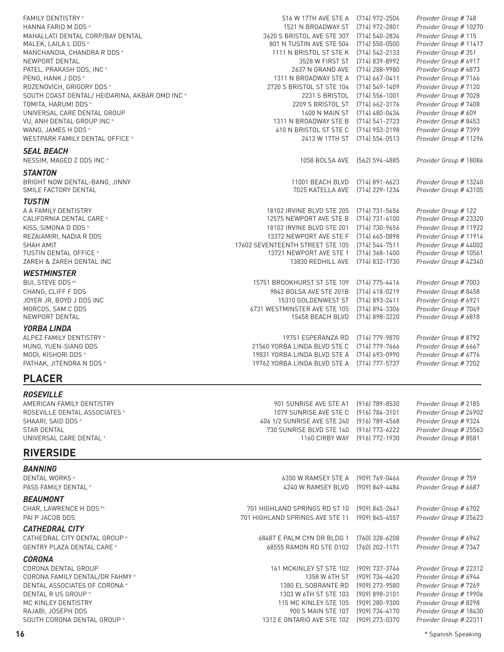| <b>FAMILY DENTISTRY*</b><br>HANNA FARID M DDS *<br>MAHALLATI DENTAL CORP/BAY DENTAL<br>MALEK, LAILA L DDS *<br>MANCHANDIA, CHANDRA R DDS *<br>NEWPORT DENTAL<br>PATEL, PRAKASH DDS, INC *<br>PENG, HANK J DDS *<br>ROZENOVICH, GRIGORY DDS *<br>SOUTH COAST DENTAL/ HEIDARINA, AKBAR DMD INC *<br>TOMITA, HARUMI DDS *<br>UNIVERSAL CARE DENTAL GROUP<br>VU, ANH DENTAL GROUP INC * | 516 W 17TH AVE STE A<br>1521 N BROADWAY ST<br>3620 S BRISTOL AVE STE 307<br>801 N TUSTIN AVE STE 504<br>1111 N BRISTOL ST STE K<br>3528 W FIRST ST<br>2637 N GRAND AVE<br>1311 N BROADWAY STE A<br>2720 S BRISTOL ST STE 104<br>2231 S BRISTOL<br>2209 S BRISTOL ST<br>1400 N MAIN ST<br>1311 N BROADWAY STE B | (714) 972-2506<br>$(714)$ 972-2801<br>[714] 540-2836<br>$(714)$ 550-0500<br>(714) 542-2133<br>[714] 839-8992<br>(714) 288-9980<br>$(714)$ 667-0411<br>$(714) 549 - 1409$<br>$(714)$ 556-1001<br>$[714] 662 - 3176$<br>(714) 480-0434<br>(714) 541-2723 | Provider Group # 748<br>Provider Group # 10270<br>Provider Group # 115<br>Provider Group # 11417<br>Provider Group # 351<br>Provider Group # 6917<br>Provider Group # 6873<br>Provider Group # 7166<br>Provider Group # 7120<br>Provider Group # 7028<br>Provider Group # 7408<br>Provider Group # 609<br>Provider Group # 8453 |
|-------------------------------------------------------------------------------------------------------------------------------------------------------------------------------------------------------------------------------------------------------------------------------------------------------------------------------------------------------------------------------------|----------------------------------------------------------------------------------------------------------------------------------------------------------------------------------------------------------------------------------------------------------------------------------------------------------------|--------------------------------------------------------------------------------------------------------------------------------------------------------------------------------------------------------------------------------------------------------|---------------------------------------------------------------------------------------------------------------------------------------------------------------------------------------------------------------------------------------------------------------------------------------------------------------------------------|
| WANG, JAMES H DDS *<br>WESTPARK FAMILY DENTAL OFFICE *                                                                                                                                                                                                                                                                                                                              | 410 N BRISTOL ST STE C<br>2413 W 17TH ST                                                                                                                                                                                                                                                                       | (714) 953-2198<br>$(714)$ 554-0513                                                                                                                                                                                                                     | Provider Group # 7399<br>Provider Group # 11296                                                                                                                                                                                                                                                                                 |
| <b>SEAL BEACH</b><br>NESSIM, MAGED Z DDS INC *                                                                                                                                                                                                                                                                                                                                      | 1058 BOLSA AVE                                                                                                                                                                                                                                                                                                 | (562) 594-4885                                                                                                                                                                                                                                         | Provider Group # 18086                                                                                                                                                                                                                                                                                                          |
| <b>STANTON</b><br>BRIGHT NOW DENTAL-BANG, JINNY<br>SMILE FACTORY DENTAL                                                                                                                                                                                                                                                                                                             | 11001 BEACH BLVD<br>7025 KATELLA AVE                                                                                                                                                                                                                                                                           | $[714] 891 - 6623$<br>(714) 229-1234                                                                                                                                                                                                                   | Provider Group # 13240<br>Provider Group # 43105                                                                                                                                                                                                                                                                                |
| <b>TUSTIN</b><br>A A FAMILY DENTISTRY<br>CALIFORNIA DENTAL CARE *<br>KISS, SIMONA D DDS *<br>REZAIAMIRI, NADIA R DDS<br><b>SHAH AMIT</b><br><b>TUSTIN DENTAL OFFICE *</b><br>ZAREH & ZAREH DENTAL INC                                                                                                                                                                               | 18102 IRVINE BLVD STE 205<br>12575 NEWPORT AVE STE B<br>18102 IRVINE BLVD STE 201<br>13372 NEWPORT AVE STE F<br>17602 SEVENTEENTH STREET STE 105<br>13721 NEWPORT AVE STE 1<br>13830 REDHILL AVE                                                                                                               | $(714) 731 - 5656$<br>(714) 731-6100<br>(714) 730-9656<br>$(714)$ 665-0898<br>$(714)$ 544-7511<br>$(714)$ 368-1400<br>(714) 832-1730                                                                                                                   | Provider Group # 122<br>Provider Group # 23320<br>Provider Group # 11922<br>Provider Group # 11914<br>Provider Group # 44002<br>Provider Group # 10561<br>Provider Group # 42340                                                                                                                                                |
| <b>WESTMINSTER</b><br>BUI, STEVE DDS <sup>**</sup><br>CHANG, CLIFF F DDS<br>JOYER JR, BOYD J DDS INC<br>MORCOS, SAM C DDS<br>NEWPORT DENTAL                                                                                                                                                                                                                                         | 15751 BROOKHURST ST STE 109<br>9842 BOLSA AVE STE 201B<br>15310 GOLDENWEST ST<br>6731 WESTMINSTER AVE STE 105<br>15458 BEACH BLVD                                                                                                                                                                              | (714) 775-4416<br>$(714)$ 418-0219<br>$(714)$ 893-2411<br>(714) 894-3306<br>(714) 898-3220                                                                                                                                                             | Provider Group # 7003<br>Provider Group # 8458<br>Provider Group # 6921<br>Provider Group # 7049<br>Provider Group # 6818                                                                                                                                                                                                       |
| <b>YORBA LINDA</b><br>ALPEZ FAMILY DENTISTRY *<br>HUNG, YUEN-SIANG DDS<br>MODI, KISHORI DDS *<br>PATHAK, JITENDRA N DDS *                                                                                                                                                                                                                                                           | 19751 ESPERANZA RD<br>21560 YORBA LINDA BLVD STE C<br>19831 YORBA LINDA BLVD STE A<br>19762 YORBA LINDA BLVD STE A                                                                                                                                                                                             | (714) 779-9870<br>$[714] 779 - 7666$<br>(714) 693-0990<br>[714] 777-5737                                                                                                                                                                               | Provider Group # 8792<br>Provider Group # 6667<br>Provider Group # 6776<br>Provider Group # 7202                                                                                                                                                                                                                                |
| <b>PLACER</b>                                                                                                                                                                                                                                                                                                                                                                       |                                                                                                                                                                                                                                                                                                                |                                                                                                                                                                                                                                                        |                                                                                                                                                                                                                                                                                                                                 |
| <b>ROSEVILLE</b><br>AMERICAN FAMILY DENTISTRY<br>ROSEVILLE DENTAL ASSOCIATES *<br>SHAARI, SAID DDS *<br><b>STAR DENTAL</b><br>UNIVERSAL CARE DENTAL *                                                                                                                                                                                                                               | 901 SUNRISE AVE STE A1<br>1079 SUNRISE AVE STE C<br>406 1/2 SUNRISE AVE STE 240<br>730 SUNRISE BLVD STE 140<br>1160 CIRBY WAY                                                                                                                                                                                  | $(916) 789 - 8530$<br>$(916) 784 - 3101$<br>$(916) 789 - 4568$<br>$(916) 773 - 6222$<br>(916) 772-1930                                                                                                                                                 | Provider Group # 2185<br>Provider Group # 24902<br>Provider Group # 9324<br>Provider Group # 25563<br>Provider Group # 8581                                                                                                                                                                                                     |
| <b>RIVERSIDE</b>                                                                                                                                                                                                                                                                                                                                                                    |                                                                                                                                                                                                                                                                                                                |                                                                                                                                                                                                                                                        |                                                                                                                                                                                                                                                                                                                                 |
| <b>BANNING</b><br>DENTAL WORKS *<br>PASS FAMILY DENTAL *<br><b>BEAUMONT</b><br>CHAR, LAWRENCE H DDS **                                                                                                                                                                                                                                                                              | 6350 W RAMSEY STE A<br>4240 W RAMSEY BLVD<br>701 HIGHLAND SPRINGS RD ST 10                                                                                                                                                                                                                                     | (909) 769-0466<br>[909] 849-4484<br>$(909) 845 - 2641$                                                                                                                                                                                                 | Provider Group # 759<br>Provider Group # 6687<br>Provider Group # 6702                                                                                                                                                                                                                                                          |
| PAI P JACOB DDS<br><b>CATHEDRAL CITY</b><br>CATHEDRAL CITY DENTAL GROUP *<br><b>GENTRY PLAZA DENTAL CARE *</b>                                                                                                                                                                                                                                                                      | 701 HIGHLAND SPRINGS AVE STE 11<br>68487 E PALM CYN DR BLDG 1<br>68555 RAMON RD STE D102                                                                                                                                                                                                                       | (909) 845-4557<br>(760) 328-6208<br>[760] 202-1171                                                                                                                                                                                                     | Provider Group # 25623<br>Provider Group # 6942<br>Provider Group # 7347                                                                                                                                                                                                                                                        |
| <b>CORONA</b><br>CORONA DENTAL GROUP<br>CORONA FAMILY DENTAL/DR FAHMY *<br>DENTAL ASSOCIATES OF CORONA *<br>DENTAL R US GROUP *<br>MC KINLEY DENTISTRY<br>RAJABI, JOSEPH DDS<br>SOUTH CORONA DENTAL GROUP*                                                                                                                                                                          | 161 MCKINLEY ST STE 102<br>1358 W 6TH ST<br>1380 EL SOBRANTE RD<br>1303 W 6TH ST STE 103<br>115 MC KINLEY STE 105<br>900 S MAIN STE 107<br>1312 E ONTARIO AVE STE 102                                                                                                                                          | (909) 737-3746<br>(909) 734-4620<br>(909) 273-9580<br>(909) 898-2101<br>$(909)$ 280-9300<br>(909) 734-4170<br>(909) 273-0370                                                                                                                           | Provider Group # 22312<br>Provider Group # 6944<br>Provider Group # 7269<br>Provider Group # 19906<br>Provider Group # 8298<br>Provider Group # 18430<br>Provider Group # 22311                                                                                                                                                 |

**16** \* Spanish Speaking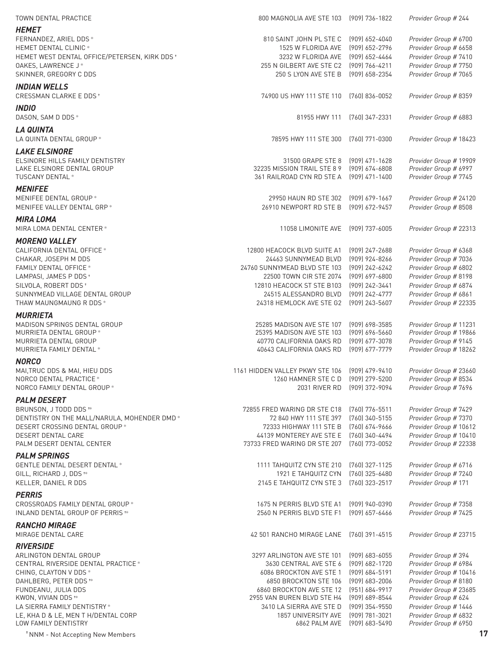| TOWN DENTAL PRACTICE                                        | 800 MAGNOLIA AVE STE 103                                | (909) 736-1822                       | Provider Group # 244                           |
|-------------------------------------------------------------|---------------------------------------------------------|--------------------------------------|------------------------------------------------|
| <b>HEMET</b>                                                |                                                         |                                      |                                                |
| FERNANDEZ, ARIEL DDS *                                      | 810 SAINT JOHN PL STE C                                 | (909) 652-4040                       | Provider Group # 6700                          |
| HEMET DENTAL CLINIC *                                       | 1525 W FLORIDA AVE                                      | (909) 652-2796                       | Provider Group # 6658                          |
| HEMET WEST DENTAL OFFICE/PETERSEN, KIRK DDS+                | 3232 W FLORIDA AVE                                      | (909) 652-4464                       | Provider Group # 7410                          |
| OAKES, LAWRENCE J*                                          | 255 N GILBERT AVE STE C2                                | (909) 766-4211                       | Provider Group # 7750                          |
| SKINNER, GREGORY C DDS                                      | 250 S LYON AVE STE B                                    | (909) 658-2354                       | Provider Group # 7065                          |
| <b>INDIAN WELLS</b><br>CRESSMAN CLARKE E DDS <sup>+</sup>   | 74900 US HWY 111 STE 110                                | (760) 836-0052                       | Provider Group # 8359                          |
| <b>INDIO</b>                                                |                                                         |                                      |                                                |
| DASON, SAM D DDS *                                          | 81955 HWY 111                                           | (760) 347-2331                       | Provider Group # 6883                          |
| LA QUINTA<br>LA QUINTA DENTAL GROUP *                       | 78595 HWY 111 STE 300                                   | (760) 771-0300                       | Provider Group # 18423                         |
| <b>LAKE ELSINORE</b>                                        |                                                         |                                      |                                                |
| ELSINORE HILLS FAMILY DENTISTRY                             | 31500 GRAPE STE 8                                       | (909) 471-1628                       | Provider Group # 19909                         |
| LAKE ELSINORE DENTAL GROUP                                  | 32235 MISSION TRAIL STE 8 9                             | $(909) 674 - 6808$                   | Provider Group # 6997                          |
| TUSCANY DENTAL *                                            | 361 RAILROAD CYN RD STE A                               | (909) 471-1400                       | Provider Group # 7745                          |
| <b>MENIFEE</b>                                              |                                                         |                                      |                                                |
| MENIFEE DENTAL GROUP *                                      | 29950 HAUN RD STE 302                                   | $(909) 679 - 1667$                   | Provider Group # 24120                         |
| MENIFEE VALLEY DENTAL GRP *                                 | 26910 NEWPORT RD STE B                                  | (909) 672-9457                       | Provider Group # 8508                          |
|                                                             |                                                         |                                      |                                                |
| <b>MIRA LOMA</b><br>MIRA LOMA DENTAL CENTER *               | 11058 LIMONITE AVE                                      | (909) 737-6005                       | Provider Group # 22313                         |
|                                                             |                                                         |                                      |                                                |
| <b>MORENO VALLEY</b>                                        |                                                         |                                      |                                                |
| CALIFORNIA DENTAL OFFICE *                                  | 12800 HEACOCK BLVD SUITE A1                             | (909) 247-2688                       | Provider Group # 6368                          |
| CHAKAR, JOSEPH M DDS                                        | 24463 SUNNYMEAD BLVD                                    | (909) 924-8266                       | Provider Group # 7036                          |
| FAMILY DENTAL OFFICE *<br>LAMPASI, JAMES P DDS <sup>+</sup> | 24760 SUNNYMEAD BLVD STE 103<br>22500 TOWN CIR STE 2074 | (909) 242-6242<br>$(909) 697 - 6800$ | Provider Group # 6802<br>Provider Group # 8198 |
| SILVOLA, ROBERT DDS +                                       | 12810 HEACOCK ST STE B103                               | (909) 242-3441                       | Provider Group # 6874                          |
| SUNNYMEAD VILLAGE DENTAL GROUP                              | 24515 ALESSANDRO BLVD                                   | (909) 242-4777                       | Provider Group # 6861                          |
| THAW MAUNGMAUNG R DDS *                                     | 24318 HEMLOCK AVE STE G2                                | (909) 243-5607                       | Provider Group # 22335                         |
| <b>MURRIETA</b>                                             |                                                         |                                      |                                                |
| MADISON SPRINGS DENTAL GROUP                                | 25285 MADISON AVE STE 107                               | (909) 698-3585                       | Provider Group # 11231                         |
| MURRIETA DENTAL GROUP *                                     | 25395 MADISON AVE STE 103                               | $(909) 696 - 5660$                   | Provider Group # 19866                         |
| MURRIETA DENTAL GROUP                                       | 40770 CALIFORNIA OAKS RD                                | [909] 677-3078                       | Provider Group # 9145                          |
| MURRIETA FAMILY DENTAL *                                    | 40643 CALIFORNIA OAKS RD                                | (909) 677-7779                       | Provider Group # 18262                         |
| <b>NORCO</b>                                                |                                                         |                                      |                                                |
| MAI, TRUC DDS & MAI, HIEU DDS                               | 1161 HIDDEN VALLEY PKWY STE 106                         | (909) 479-9410                       | Provider Group # 23660                         |
| NORCO DENTAL PRACTICE *                                     | 1260 HAMNER STE C D                                     | (909) 279-5200                       | Provider Group # 8534                          |
| NORCO FAMILY DENTAL GROUP *                                 | 2031 RIVER RD                                           | (909) 372-9094                       | Provider Group # 7696                          |
| <b>PALM DESERT</b>                                          |                                                         |                                      |                                                |
| BRUNSON, J TODD DDS **                                      | 72855 FRED WARING DR STE C18                            | (760) 776-5511                       | Provider Group # 7429                          |
| DENTISTRY ON THE MALL/NARULA, MOHENDER DMD *                | 72 840 HWY 111 STE 397                                  | (760) 340-5155                       | Provider Group # 7370                          |
| DESERT CROSSING DENTAL GROUP *                              | 72333 HIGHWAY 111 STE B                                 | (760) 674-9666                       | Provider Group # 10612                         |
| DESERT DENTAL CARE                                          | 44139 MONTEREY AVE STE E                                | (760) 340-4494                       | Provider Group # 10410                         |
| PALM DESERT DENTAL CENTER                                   | 73733 FRED WARING DR STE 207                            | (760) 773-0052                       | Provider Group # 22338                         |
| <b>PALM SPRINGS</b>                                         |                                                         |                                      |                                                |
| <b>GENTLE DENTAL DESERT DENTAL *</b>                        | 1111 TAHQUITZ CYN STE 210                               | (760) 327-1125                       | Provider Group # 6716                          |
| GILL, RICHARD J, DDS <sup>**</sup>                          | 1921 E TAHQUITZ CYN                                     | (760) 325-6480                       | Provider Group # 7240                          |
| KELLER, DANIEL R DDS                                        | 2145 E TAHQUITZ CYN STE 3                               | (760) 323-2517                       | Provider Group # 171                           |
| <b>PERRIS</b>                                               |                                                         |                                      |                                                |
| CROSSROADS FAMILY DENTAL GROUP *                            | 1675 N PERRIS BLVD STE A1                               | $(909)$ 940-0390                     | Provider Group # 7358                          |
| INLAND DENTAL GROUP OF PERRIS <sup>*</sup>                  | 2560 N PERRIS BLVD STE F1                               | $(909) 657 - 6466$                   | Provider Group # 7425                          |
| <b>RANCHO MIRAGE</b>                                        |                                                         |                                      |                                                |
| MIRAGE DENTAL CARE                                          | 42 501 RANCHO MIRAGE LANE                               | (760) 391-4515                       | Provider Group # 23715                         |
| <b>RIVERSIDE</b>                                            |                                                         |                                      |                                                |
| ARLINGTON DENTAL GROUP                                      | 3297 ARLINGTON AVE STE 101                              | $(909)$ 683-6055                     | Provider Group #394                            |
| CENTRAL RIVERSIDE DENTAL PRACTICE *                         | 3630 CENTRAL AVE STE 6                                  | (909) 682-1720                       | Provider Group # 6984                          |
| CHING, CLAYTON V DDS *                                      | 6086 BROCKTON AVE STE 1                                 | $(909) 684 - 5191$                   | Provider Group # 10416                         |
| DAHLBERG, PETER DDS <sup>*</sup>                            | 6850 BROCKTON STE 106                                   | $(909)$ 683-2006                     | Provider Group # 8180                          |
| FUNDEANU, JULIA DDS                                         | 6860 BROCKTON AVE STE 12                                | (951) 684-9917                       | Provider Group # 23685                         |
| KWON, VIVIAN DDS **<br>LA SIERRA FAMILY DENTISTRY *         | 2955 VAN BUREN BLVD STE H4<br>3410 LA SIERRA AVE STE D  | (909) 689-8544<br>(909) 354-9550     | Provider Group # 624<br>Provider Group # 1446  |
| LE, KHA D & LE, MEN T H/DENTAL CORP                         | 1857 UNIVERSITY AVE                                     | (909) 781-3021                       | Provider Group # 6832                          |
| LOW FAMILY DENTISTRY                                        | 6862 PALM AVE                                           | (909) 683-5490                       | Provider Group # 6950                          |
|                                                             |                                                         |                                      |                                                |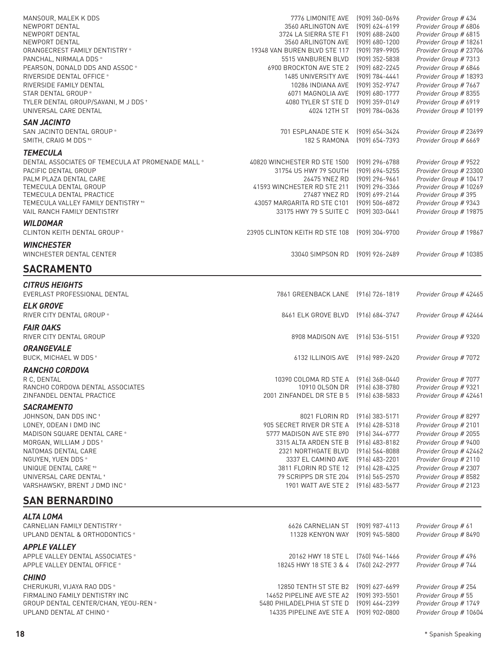| MANSOUR, MALEK K DDS                              | 7776 LIMONITE AVE                    | $(909)$ 360-0696            | Provider Group # 434   |
|---------------------------------------------------|--------------------------------------|-----------------------------|------------------------|
| NEWPORT DENTAL                                    | 3560 ARLINGTON AVE                   | $(909) 624 - 6199$          | Provider Group # 6806  |
| NEWPORT DENTAL                                    | 3724 LA SIERRA STE F1                | (909) 688-2400              | Provider Group # 6815  |
| NEWPORT DENTAL                                    | 3560 ARLINGTON AVE                   | (909) 680-1200              | Provider Group # 18261 |
| ORANGECREST FAMILY DENTISTRY *                    | 19348 VAN BUREN BLVD STE 117         | (909) 789-9905              | Provider Group # 23706 |
| PANCHAL, NIRMALA DDS *                            | 5515 VANBUREN BLVD                   | (909) 352-5838              | Provider Group # 7313  |
| PEARSON, DONALD DDS AND ASSOC *                   | 6900 BROCKTON AVE STE 2              | (909) 682-2245              | Provider Group # 6846  |
| RIVERSIDE DENTAL OFFICE *                         | 1485 UNIVERSITY AVE                  | (909) 784-4441              | Provider Group # 18393 |
| RIVERSIDE FAMILY DENTAL                           | 10286 INDIANA AVE                    | (909) 352-9747              | Provider Group # 7667  |
| STAR DENTAL GROUP *                               | 6071 MAGNOLIA AVE                    | (909) 680-1777              | Provider Group # 8355  |
| TYLER DENTAL GROUP/SAVANI, M J DDS +              | 4080 TYLER ST STE D                  | $(909)$ 359-0149            | Provider Group # 6919  |
| UNIVERSAL CARE DENTAL                             |                                      | 4024 12TH ST (909) 784-0636 | Provider Group # 10199 |
| <b>SAN JACINTO</b>                                |                                      |                             |                        |
|                                                   |                                      |                             |                        |
| SAN JACINTO DENTAL GROUP *                        | 701 ESPLANADE STE K                  | (909) 654-3424              | Provider Group # 23699 |
| SMITH, CRAIG M DDS **                             | 182 S RAMONA                         | (909) 654-7393              | Provider Group # 6669  |
| <b>TEMECULA</b>                                   |                                      |                             |                        |
| DENTAL ASSOCIATES OF TEMECULA AT PROMENADE MALL * | 40820 WINCHESTER RD STE 1500         | (909) 296-6788              | Provider Group # 9522  |
| PACIFIC DENTAL GROUP                              | 31754 US HWY 79 SOUTH                | (909) 694-5255              | Provider Group # 23300 |
| PALM PLAZA DENTAL CARE                            | 26475 YNEZ RD                        | $(909)$ 296-9661            | Provider Group # 10417 |
| TEMECULA DENTAL GROUP                             | 41593 WINCHESTER RD STE 211          | (909) 296-3366              | Provider Group # 10269 |
| TEMECULA DENTAL PRACTICE                          | 27487 YNEZ RD (909) 699-2144         |                             | Provider Group # 395   |
| TEMECULA VALLEY FAMILY DENTISTRY **               | 43057 MARGARITA RD STE C101          | (909) 506-6872              | Provider Group # 9343  |
| <b>VAIL RANCH FAMILY DENTISTRY</b>                | 33175 HWY 79 S SUITE C               | (909) 303-0441              | Provider Group # 19875 |
| <b>WILDOMAR</b>                                   |                                      |                             |                        |
|                                                   |                                      |                             |                        |
| CLINTON KEITH DENTAL GROUP *                      | 23905 CLINTON KEITH RD STE 108       | (909) 304-9700              | Provider Group # 19867 |
| <b>WINCHESTER</b>                                 |                                      |                             |                        |
| WINCHESTER DENTAL CENTER                          | 33040 SIMPSON RD                     | (909) 926-2489              | Provider Group # 10385 |
|                                                   |                                      |                             |                        |
| <b>SACRAMENTO</b>                                 |                                      |                             |                        |
|                                                   |                                      |                             |                        |
| <b>CITRUS HEIGHTS</b>                             |                                      |                             |                        |
| EVERLAST PROFESSIONAL DENTAL                      | 7861 GREENBACK LANE [916] 726-1819   |                             | Provider Group # 42465 |
| <b>ELK GROVE</b>                                  |                                      |                             |                        |
| RIVER CITY DENTAL GROUP *                         | 8461 ELK GROVE BLVD [916] 684-3747   |                             | Provider Group # 42464 |
|                                                   |                                      |                             |                        |
| <b>FAIR OAKS</b>                                  |                                      |                             |                        |
| RIVER CITY DENTAL GROUP                           | 8908 MADISON AVE (916) 536-5151      |                             | Provider Group # 9320  |
| <b>ORANGEVALE</b>                                 |                                      |                             |                        |
| BUCK, MICHAEL W DDS <sup>+</sup>                  | 6132 ILLINOIS AVE [916] 989-2420     |                             | Provider Group # 7072  |
|                                                   |                                      |                             |                        |
| <b>RANCHO CORDOVA</b>                             |                                      |                             |                        |
| R C, DENTAL                                       | 10390 COLOMA RD STE A [916] 368-0440 |                             | Provider Group # 7077  |
| RANCHO CORDOVA DENTAL ASSOCIATES                  | 10910 OLSON DR                       | (916) 638-3780              | Provider Group # 9321  |
| ZINFANDEL DENTAL PRACTICE                         | 2001 ZINFANDEL DR STE B 5            | $(916)$ 638-5833            | Provider Group # 42461 |
| <b>SACRAMENTO</b>                                 |                                      |                             |                        |
| JOHNSON, DAN DDS INC+                             | 8021 FLORIN RD                       | $(916)$ 383-5171            | Provider Group # 8297  |
| LONEY, ODEAN I DMD INC                            | 905 SECRET RIVER DR STE A            | [916] 428-5318              | Provider Group # 2101  |
| MADISON SQUARE DENTAL CARE *                      | 5777 MADISON AVE STE 890             | $(916)$ 344-6777            | Provider Group # 2055  |
| MORGAN, WILLIAM J DDS+                            | 3315 ALTA ARDEN STE B                | $(916)$ 483-8182            | Provider Group # 9400  |
| NATOMAS DENTAL CARE                               | 2321 NORTHGATE BLVD                  | $(916) 564 - 8088$          | Provider Group # 42462 |
| NGUYEN, YUEN DDS *                                | 3337 EL CAMINO AVE                   | (916) 483-2201              | Provider Group # 2110  |
| UNIQUE DENTAL CARE <sup>*</sup>                   | 3811 FLORIN RD STE 12 (916) 428-4325 |                             | Provider Group # 2307  |
| UNIVERSAL CARE DENTAL +                           |                                      |                             |                        |
|                                                   | 79 SCRIPPS DR STE 204                | (916) 565-2570              | Provider Group # 8582  |
| VARSHAWSKY, BRENT J DMD INC <sup>+</sup>          | 1901 WATT AVE STE 2                  | $(916)$ 483-5677            | Provider Group # 2123  |
| <b>SAN BERNARDINO</b>                             |                                      |                             |                        |
|                                                   |                                      |                             |                        |
| <b>ALTA LOMA</b>                                  |                                      |                             |                        |
| CARNELIAN FAMILY DENTISTRY *                      | 6626 CARNELIAN ST                    | $(909)$ 987-4113            | Provider Group # 61    |
| UPLAND DENTAL & ORTHODONTICS *                    | 11328 KENYON WAY                     | (909) 945-5800              | Provider Group # 8490  |
|                                                   |                                      |                             |                        |
| <b>APPLE VALLEY</b>                               |                                      |                             |                        |
| APPLE VALLEY DENTAL ASSOCIATES *                  | 20162 HWY 18 STE L                   | $(760)$ 946-1466            | Provider Group # 496   |
| APPLE VALLEY DENTAL OFFICE *                      | 18245 HWY 18 STE 3 & 4               | [760] 242-2977              | Provider Group # 744   |
| <b>CHINO</b>                                      |                                      |                             |                        |
| CHERUKURI, VIJAYA RAO DDS *                       | 12850 TENTH ST STE B2                | (909) 627-6699              | Provider Group # 254   |
| FIRMALINO FAMILY DENTISTRY INC                    | 14652 PIPELINE AVE STE A2            | (909) 393-5501              | Provider Group # 55    |
| GROUP DENTAL CENTER/CHAN, YEOU-REN*               | 5480 PHILADELPHIA ST STE D           | (909) 464-2399              | Provider Group # 1749  |
| UPLAND DENTAL AT CHINO*                           | 14335 PIPELINE AVE STE A             | (909) 902-0800              | Provider Group # 10604 |
|                                                   |                                      |                             |                        |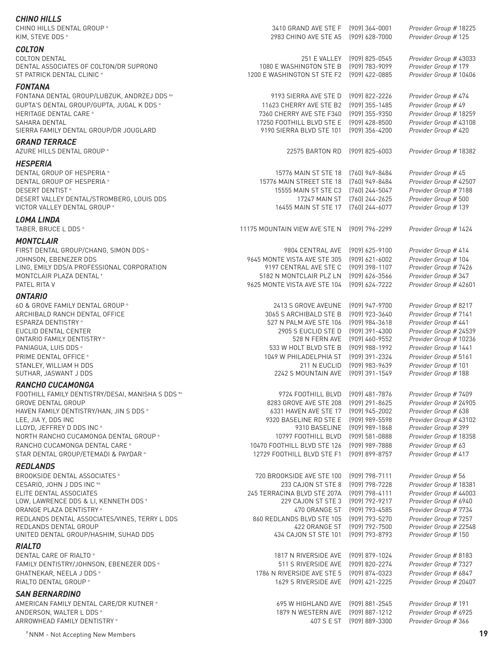| CHINO HILLS DENTAL GROUP*<br>KIM, STEVE DDS*                              | 3410 GRAND AVE STE F [909] 364-0001<br>2983 CHINO AVE STE A5 | (909) 628-7000                                | Provider Group # 18225<br>Provider Group # 125 |
|---------------------------------------------------------------------------|--------------------------------------------------------------|-----------------------------------------------|------------------------------------------------|
| <b>COLTON</b>                                                             |                                                              |                                               |                                                |
| <b>COLTON DENTAL</b><br>DENTAL ASSOCIATES OF COLTON/DR SUPRONO            | 1080 E WASHINGTON STE B                                      | 251 E VALLEY (909) 825-0545<br>(909) 783-9099 | Provider Group # 43033<br>Provider Group # 179 |
| ST PATRICK DENTAL CLINIC *                                                | 1200 E WASHINGTON ST STE F2 (909) 422-0885                   |                                               | Provider Group # 10406                         |
| <b>FONTANA</b>                                                            |                                                              |                                               |                                                |
| FONTANA DENTAL GROUP/LUBZUK, ANDRZEJ DDS **                               | 9193 SIERRA AVE STE D                                        | (909) 822-2226                                | Provider Group # 474                           |
| GUPTA'S DENTAL GROUP/GUPTA, JUGAL K DDS *                                 | 11623 CHERRY AVE STE B2                                      | (909) 355-1485                                | Provider Group # 49                            |
| <b>HERITAGE DENTAL CARE *</b>                                             | 7360 CHERRY AVE STE F340                                     | (909) 355-9350                                | Provider Group # 18259                         |
| SAHARA DENTAL                                                             | 17250 FOOTHILL BLVD STE E                                    | (909) 428-8500                                | Provider Group # 43108                         |
| SIERRA FAMILY DENTAL GROUP/DR JOUGLARD                                    | 9190 SIERRA BLVD STE 101                                     | (909) 356-4200                                | Provider Group # 420                           |
|                                                                           |                                                              |                                               |                                                |
| <b>GRAND TERRACE</b><br>AZURE HILLS DENTAL GROUP *                        | 22575 BARTON RD                                              | $(909)$ 825-6003                              | Provider Group # 18382                         |
|                                                                           |                                                              |                                               |                                                |
| <b>HESPERIA</b>                                                           |                                                              |                                               |                                                |
| DENTAL GROUP OF HESPERIA *                                                | 15776 MAIN ST STE 18                                         | (760) 949-8484                                | Provider Group # 45                            |
| DENTAL GROUP OF HESPERIA *                                                | 15776 MAIN STREET STE 18                                     | (760) 949-8484                                | Provider Group # 42507                         |
| <b>DESERT DENTIST*</b>                                                    | 15555 MAIN ST STE C3                                         | (760) 244-5047                                | Provider Group # 7188                          |
| DESERT VALLEY DENTAL/STROMBERG, LOUIS DDS                                 | <b>17247 MAIN ST</b>                                         | (760) 244-2625                                | Provider Group # 500                           |
| VICTOR VALLEY DENTAL GROUP *                                              | 16455 MAIN ST STE 17                                         | (760) 244-6077                                | Provider Group # 139                           |
| <b>LOMA LINDA</b>                                                         |                                                              |                                               |                                                |
| TABER, BRUCE L DDS *                                                      | 11175 MOUNTAIN VIEW AVE STE N                                | (909) 796-2299                                | Provider Group # 1424                          |
| <b>MONTCLAIR</b>                                                          |                                                              |                                               |                                                |
| FIRST DENTAL GROUP/CHANG, SIMON DDS *                                     | 9804 CENTRAL AVE                                             | (909) 625-9100                                | Provider Group # 414                           |
| JOHNSON, EBENEZER DDS                                                     | 9645 MONTE VISTA AVE STE 305                                 | [909] 621-6002                                | Provider Group # 104                           |
| LING, EMILY DDS/A PROFESSIONAL CORPORATION                                | 9197 CENTRAL AVE STE C                                       | (909) 398-1107                                | Provider Group # 7426                          |
| MONTCLAIR PLAZA DENTAL +                                                  | 5182 N MONTCLAIR PLZ LN                                      | (909) 626-3566                                | Provider Group # 347                           |
| PATEL RITA V                                                              | 9625 MONTE VISTA AVE STE 104                                 | (909) 624-7222                                | Provider Group # 42601                         |
| <b>ONTARIO</b>                                                            |                                                              |                                               |                                                |
| 60 & GROVE FAMILY DENTAL GROUP *                                          | 2413 S GROVE AVEUNE                                          | (909) 947-9700                                | Provider Group # 8217                          |
| ARCHIBALD RANCH DENTAL OFFICE                                             | 3065 S ARCHIBALD STE B                                       | (909) 923-3640                                | Provider Group # 7141                          |
| ESPARZA DENTISTRY*                                                        | 527 N PALM AVE STE 106                                       | (909) 984-3618                                | Provider Group # 441                           |
| EUCLID DENTAL CENTER                                                      | 2905 S EUCLID STE D                                          | (909) 391-4300                                | Provider Group # 24539                         |
| ONTARIO FAMILY DENTISTRY *                                                | 528 N FERN AVE                                               | (909) 460-9552                                | Provider Group # 10236                         |
| PANIAGUA, LUIS DDS *                                                      | 533 W HOLT BLVD STE B                                        | [909] 988-1992                                | Provider Group # 1441                          |
| PRIME DENTAL OFFICE *                                                     | 1049 W PHILADELPHIA ST                                       | (909) 391-2324                                | Provider Group # 5161                          |
| STANLEY, WILLIAM H DDS                                                    | 211 N EUCLID                                                 | [909] 983-9639                                | Provider Group # 101                           |
| SUTHAR, JASWANT J DDS                                                     | 2242 S MOUNTAIN AVE                                          | (909) 391-1549                                | Provider Group # 188                           |
| RANCHO CUCAMONGA                                                          |                                                              |                                               |                                                |
| FOOTHILL FAMILY DENTISTRY/DESAI, MANISHA S DDS <sup>+*</sup>              | 9724 FOOTHILL BLVD                                           | (909) 481-7876                                | Provider Group # 7409                          |
| <b>GROVE DENTAL GROUP</b>                                                 | 8283 GROVE AVE STE 208                                       | (909) 291-8625                                | Provider Group # 24905                         |
| HAVEN FAMILY DENTISTRY/HAN, JIN S DDS *                                   | 6331 HAVEN AVE STE 17                                        | (909) 945-2002                                | Provider Group # 638                           |
| LEE, JIA Y, DDS INC                                                       | 9320 BASELINE RD STE E                                       | (909) 989-5598                                | Provider Group # 43102                         |
| LLOYD, JEFFREY D DDS INC *                                                | 9310 BASELINE                                                | (909) 989-1868                                | Provider Group #399                            |
| NORTH RANCHO CUCAMONGA DENTAL GROUP *<br>RANCHO CUCAMONGA DENTAL CARE *   | 10797 FOOTHILL BLVD<br>10470 FOOTHILL BLVD STE 126           | $(909)$ 581-0888<br>(909) 989-7888            | Provider Group # 18358<br>Provider Group # 63  |
| STAR DENTAL GROUP/ETEMADI & PAYDAR *                                      | 12729 FOOTHILL BLVD STE F1                                   | $(909)$ 899-8757                              | Provider Group # 417                           |
|                                                                           |                                                              |                                               |                                                |
| <b>REDLANDS</b>                                                           |                                                              |                                               |                                                |
| BROOKSIDE DENTAL ASSOCIATES *                                             | 720 BROOKSIDE AVE STE 100                                    | (909) 798-7111                                | Provider Group # 56                            |
| CESARIO, JOHN J DDS INC <sup>*</sup>                                      | 233 CAJON ST STE 8                                           | (909) 798-7228                                | Provider Group # 18381                         |
| ELITE DENTAL ASSOCIATES                                                   | 245 TERRACINA BLVD STE 207A                                  | $(909)$ 798-4111                              | Provider Group # 44003                         |
| LOW, LAWRENCE DDS & LI, KENNETH DDS +                                     | 229 CAJON ST STE 3                                           | (909) 792-9217                                | Provider Group # 6940                          |
| ORANGE PLAZA DENTISTRY *<br>REDLANDS DENTAL ASSOCIATES/VINES, TERRY L DDS | 470 ORANGE ST<br>860 REDLANDS BLVD STE 105                   | (909) 793-4585<br>(909) 793-5270              | Provider Group # 7734<br>Provider Group # 7257 |
| REDLANDS DENTAL GROUP                                                     | 422 ORANGE ST                                                | (909) 792-7500                                | Provider Group # 22548                         |
| UNITED DENTAL GROUP/HASHIM, SUHAD DDS                                     | 434 CAJON ST STE 101                                         | (909) 793-8793                                | Provider Group # 150                           |
| <b>RIALTO</b>                                                             |                                                              |                                               |                                                |
| DENTAL CARE OF RIALTO*                                                    | 1817 N RIVERSIDE AVE                                         | (909) 879-1024                                | Provider Group # 8183                          |
| FAMILY DENTISTRY/JOHNSON, EBENEZER DDS *                                  | 511 S RIVERSIDE AVE                                          | (909) 820-2274                                | Provider Group # 7327                          |
| GHATNEKAR, NEELA J DDS *                                                  | 1786 N RIVERSIDE AVE STE 5                                   | (909) 874-0323                                | Provider Group # 6847                          |
| RIALTO DENTAL GROUP *                                                     | 1629 S RIVERSIDE AVE                                         | (909) 421-2225                                | Provider Group # 20407                         |
|                                                                           |                                                              |                                               |                                                |
| <b>SAN BERNARDINO</b>                                                     |                                                              |                                               |                                                |
| AMERICAN FAMILY DENTAL CARE/DR KUTNER *                                   | 695 W HIGHLAND AVE<br>1879 N WESTERN AVE                     | (909) 881-2545<br>$(909)$ 887-1212            | Provider Group # 191<br>Provider Group # 6925  |
| ANDERSON, WALTER L DDS *<br>ARROWHEAD FAMILY DENTISTRY *                  | 407 S E ST                                                   | (909) 889-3300                                | Provider Group # 366                           |
|                                                                           |                                                              |                                               |                                                |

*CHINO HILLS*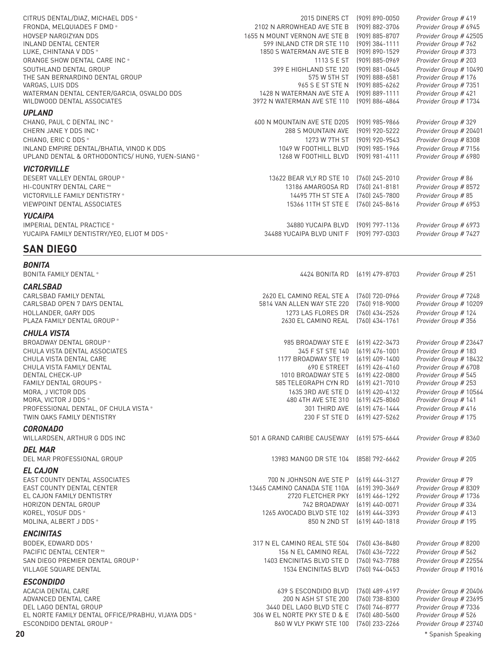| CITRUS DENTAL/DIAZ, MICHAEL DDS *                              | 2015 DINERS CT                                | $(909) 890 - 0050$                   | Provider Group # 419                          |
|----------------------------------------------------------------|-----------------------------------------------|--------------------------------------|-----------------------------------------------|
| FRONDA, MELQUIADES F DMD *                                     | 2102 N ARROWHEAD AVE STE B                    | (909) 882-3706                       | Provider Group # 6945                         |
| HOVSEP NARGIZYAN DDS                                           | 1655 N MOUNT VERNON AVE STE B                 | (909) 885-8707                       | Provider Group # 42505                        |
| <b>INLAND DENTAL CENTER</b>                                    | 599 INLAND CTR DR STE 110                     | $(909)$ 384-1111                     | Provider Group # 762                          |
| LUKE, CHINTANA V DDS *                                         | 1850 S WATERMAN AVE STE B                     | (909) 890-1529                       | Provider Group # 373                          |
| ORANGE SHOW DENTAL CARE INC *                                  | 1113 S E ST                                   | (909) 885-0969                       | Provider Group # 203                          |
| SOUTHLAND DENTAL GROUP                                         | 399 E HIGHLAND STE 120                        | (909) 881-0645                       | Provider Group # 10490                        |
| THE SAN BERNARDINO DENTAL GROUP                                | 575 W 5TH ST                                  | [909] 888-6581                       | Provider Group # 176                          |
| VARGAS, LUIS DDS<br>WATERMAN DENTAL CENTER/GARCIA, OSVALDO DDS | 965 S E ST STE N<br>1428 N WATERMAN AVE STE A | $(909)$ 885-6262<br>$(909)$ 889-1111 | Provider Group # 7351<br>Provider Group # 421 |
| WILDWOOD DENTAL ASSOCIATES                                     | 3972 N WATERMAN AVE STE 110                   | (909) 886-4864                       | Provider Group # 1734                         |
| <b>UPLAND</b>                                                  |                                               |                                      |                                               |
| CHANG, PAUL C DENTAL INC *                                     | 600 N MOUNTAIN AVE STE D205                   | $(909)$ 985-9866                     | Provider Group # 329                          |
| CHERN JANE Y DDS INC <sup>+</sup>                              | 288 S MOUNTAIN AVE                            | (909) 920-5222                       | Provider Group # 20401                        |
| CHIANG, ERIC C DDS *                                           | 1273 W 7TH ST                                 | (909) 920-9543                       | Provider Group # 8308                         |
| INLAND EMPIRE DENTAL/BHATIA, VINOD K DDS                       | 1049 W FOOTHILL BLVD                          | (909) 985-1966                       | Provider Group # 7156                         |
| UPLAND DENTAL & ORTHODONTICS/HUNG, YUEN-SIANG *                | 1268 W FOOTHILL BLVD                          | $(909)$ 981-4111                     | Provider Group # 6980                         |
| <b>VICTORVILLE</b>                                             |                                               |                                      |                                               |
| DESERT VALLEY DENTAL GROUP *                                   | 13622 BEAR VLY RD STE 10                      | [760] 245-2010                       | Provider Group # 86                           |
| HI-COUNTRY DENTAL CARE **                                      | 13186 AMARGOSA RD                             | $(760)$ 241-8181                     | Provider Group # 8572                         |
| VICTORVILLE FAMILY DENTISTRY *                                 | 14495 7TH ST STE A                            | $(760)$ 245-7800                     | Provider Group # 85                           |
| VIEWPOINT DENTAL ASSOCIATES                                    | 15366 11TH ST STE E                           | $(760)$ 245-8616                     | Provider Group # 6953                         |
| <b>YUCAIPA</b>                                                 |                                               |                                      |                                               |
| <b>IMPERIAL DENTAL PRACTICE *</b>                              | 34880 YUCAIPA BLVD                            | (909) 797-1136                       | Provider Group # 6973                         |
| YUCAIPA FAMILY DENTISTRY/YEO, ELIOT M DDS *                    | 34488 YUCAIPA BLVD UNIT F                     | (909) 797-0303                       | Provider Group # 7427                         |
|                                                                |                                               |                                      |                                               |
| <b>SAN DIEGO</b>                                               |                                               |                                      |                                               |
| <b>BONITA</b>                                                  |                                               |                                      |                                               |
| <b>BONITA FAMILY DENTAL *</b>                                  | 4424 BONITA RD                                | $(619)$ 479-8703                     | Provider Group # 251                          |
| <b>CARLSBAD</b>                                                |                                               |                                      |                                               |
| CARLSBAD FAMILY DENTAL                                         | 2620 EL CAMINO REAL STE A                     | (760) 720-0966                       | Provider Group # 7248                         |
| CARLSBAD OPEN 7 DAYS DENTAL                                    | 5814 VAN ALLEN WAY STE 220                    | $(760)$ 918-9000                     | Provider Group # 10209                        |
| HOLLANDER, GARY DDS                                            | 1273 LAS FLORES DR                            | (760) 434-2526                       | Provider Group # 124                          |
| PLAZA FAMILY DENTAL GROUP *                                    | 2630 EL CAMINO REAL                           | [760] 434-1761                       | Provider Group # 356                          |
| <b>CHULA VISTA</b>                                             |                                               |                                      |                                               |
| BROADWAY DENTAL GROUP *                                        | 985 BROADWAY STE E                            | $(619)$ 422-3473                     | Provider Group # 23647                        |
| CHULA VISTA DENTAL ASSOCIATES                                  | 345 F ST STE 140                              | $(619)$ 476-1001                     | Provider Group # 183                          |
| CHULA VISTA DENTAL CARE                                        | 1177 BROADWAY STE 19                          | $(619)$ 409-1400                     | Provider Group # 18432                        |
| CHULA VISTA FAMILY DENTAL                                      | 690 E STREET                                  | $(619)$ 426-4160                     | Provider Group # 6708                         |
| DENTAL CHECK-UP                                                | 1010 BROADWAY STE 5                           | $(619)$ 422-0800                     | Provider Group # 545                          |
| FAMILY DENTAL GROUPS *                                         | 585 TELEGRAPH CYN RD                          | $(619)$ 421-7010                     | Provider Group # 253                          |
| MORA, J VICTOR DDS                                             | 1635 3RD AVE STE D                            | $(619)$ 420-4132                     | Provider Group # 10564                        |
| MORA, VICTOR J DDS *                                           | 480 4TH AVE STE 310                           | $(619)$ 425-8060                     | Provider Group # 141                          |
| PROFESSIONAL DENTAL, OF CHULA VISTA *                          | 301 THIRD AVE                                 | $(619)$ 476-1444                     | Provider Group # 416                          |
| TWIN OAKS FAMILY DENTISTRY                                     | 230 F ST STE D                                | $(619)$ 427-5262                     | Provider Group # 175                          |
| <b>CORONADO</b>                                                |                                               |                                      |                                               |
| WILLARDSEN, ARTHUR G DDS INC                                   | 501 A GRAND CARIBE CAUSEWAY                   | $(619)$ 575-6644                     | Provider Group # 8360                         |
| <b>DEL MAR</b>                                                 |                                               |                                      |                                               |
| DEL MAR PROFESSIONAL GROUP                                     | 13983 MANGO DR STE 104                        | (858) 792-6662                       | Provider Group # 205                          |
| <b>EL CAJON</b>                                                |                                               |                                      |                                               |
| EAST COUNTY DENTAL ASSOCIATES                                  | 700 N JOHNSON AVE STE P                       | $(619)$ 444-3127                     | Provider Group # 79                           |
| EAST COUNTY DENTAL CENTER                                      | 13465 CAMINO CANADA STE 110A                  | $(619)$ 390-3669                     | Provider Group # 8309                         |
| EL CAJON FAMILY DENTISTRY                                      | 2720 FLETCHER PKY                             | (619) 466-1292                       | Provider Group # 1736                         |
| HORIZON DENTAL GROUP                                           | 742 BROADWAY                                  | $(619)$ 440-0071                     | Provider Group #334                           |
| KOREL, YOSUF DDS *                                             | 1265 AVOCADO BLVD STE 102                     | (619) 444-3393                       | Provider Group # 413                          |
| MOLINA, ALBERT J DDS *                                         | 850 N 2ND ST                                  | $(619)$ 440-1818                     | Provider Group # 195                          |
| <b>ENCINITAS</b>                                               |                                               |                                      |                                               |
| BODEK, EDWARD DDS *                                            | 317 N EL CAMINO REAL STE 504                  | $(760)$ 436-8480                     | Provider Group # 8200                         |
| PACIFIC DENTAL CENTER **                                       | 156 N EL CAMINO REAL                          | $(760)$ 436-7222                     | Provider Group # 562                          |
| SAN DIEGO PREMIER DENTAL GROUP *                               | 1403 ENCINITAS BLVD STE D                     | (760) 943-7788                       | Provider Group # 22554                        |
| <b>VILLAGE SQUARE DENTAL</b>                                   | 1534 ENCINITAS BLVD                           | $(760)$ 944-0453                     | Provider Group # 19016                        |
| <b>ESCONDIDO</b>                                               |                                               |                                      |                                               |
| ACACIA DENTAL CARE                                             | 639 S ESCONDIDO BLVD                          | (760) 489-6197                       | Provider Group # 20406                        |
| ADVANCED DENTAL CARE                                           | 200 N ASH ST STE 200                          | (760) 738-8300                       | Provider Group # 23695                        |
| DEL LAGO DENTAL GROUP                                          | 3440 DEL LAGO BLVD STE C                      | (760) 746-8777                       | Provider Group # 7336                         |
| EL NORTE FAMILY DENTAL OFFICE/PRABHU, VIJAYA DDS *             | 306 W EL NORTE PKY STE D & E                  | $(760)$ 480-5600                     | Provider Group # 526                          |
| ESCONDIDO DENTAL GROUP *                                       | 860 W VLY PKWY STE 100                        | (760) 233-2266                       | Provider Group # 23740                        |
| 20                                                             |                                               |                                      | * Spanish Speaking                            |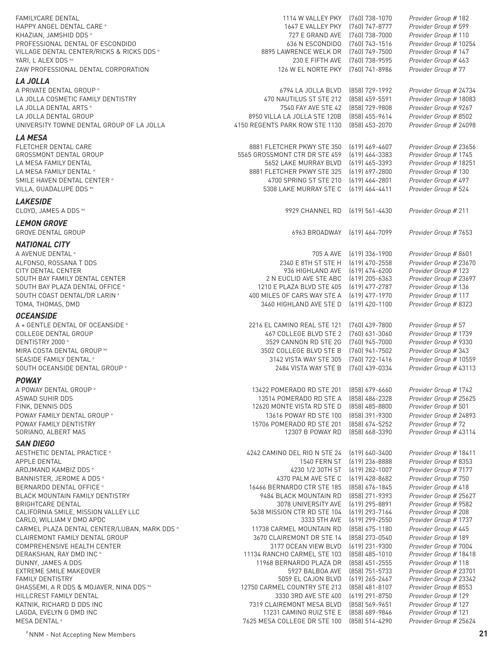| <b>FAMILYCARE DENTAL</b><br>HAPPY ANGEL DENTAL CARE *<br>KHAZIAN, JAMSHID DDS *<br>PROFESSIONAL DENTAL OF ESCONDIDO | 1114 W VALLEY PKY<br>1647 E VALLEY PKY<br>727 E GRAND AVE<br>636 N ESCONDIDO | (760) 738-1070<br>(760) 747-8777<br>(760) 738-7000<br>[760] 743-1516 | Provider Group # 182<br>Provider Group # 599<br>Provider Group # 110<br>Provider Group # 10254 |
|---------------------------------------------------------------------------------------------------------------------|------------------------------------------------------------------------------|----------------------------------------------------------------------|------------------------------------------------------------------------------------------------|
| VILLAGE DENTAL CENTER/RICKS & RICKS DDS *<br>YARI, L ALEX DDS **<br>ZAW PROFESSIONAL DENTAL CORPORATION             | 8895 LAWRENCE WELK DR<br>230 E FIFTH AVE<br>126 W EL NORTE PKY               | (760) 749-7500<br>(760) 738-9595                                     | Provider Group # 147<br>Provider Group # 463<br>Provider Group # 77                            |
|                                                                                                                     |                                                                              | (760) 741-8986                                                       |                                                                                                |
| <b>LA JOLLA</b><br>A PRIVATE DENTAL GROUP *                                                                         | 6794 LA JOLLA BLVD                                                           | (858) 729-1992                                                       | Provider Group # 24734                                                                         |
| LA JOLLA COSMETIC FAMILY DENTISTRY                                                                                  | 470 NAUTILUS ST STE 212                                                      | (858) 459-5591                                                       | Provider Group # 18083                                                                         |
| LA JOLLA DENTAL ARTS *                                                                                              | 7540 FAY AVE STE 42                                                          | (858) 729-9808                                                       | Provider Group # 9267                                                                          |
| LA JOLLA DENTAL GROUP                                                                                               | 8950 VILLA LA JOLLA STE 120B                                                 | (858) 455-9614                                                       | Provider Group # 8502                                                                          |
| UNIVERSITY TOWNE DENTAL GROUP OF LA JOLLA                                                                           | 4150 REGENTS PARK ROW STE 1130                                               | (858) 453-2070                                                       | Provider Group # 24098                                                                         |
| <b>LA MESA</b>                                                                                                      |                                                                              |                                                                      |                                                                                                |
| FLETCHER DENTAL CARE                                                                                                | 8881 FLETCHER PKWY STE 350                                                   | $(619)$ 469-4607                                                     | Provider Group # 23656                                                                         |
| GROSSMONT DENTAL GROUP                                                                                              | 5565 GROSSMONT CTR DR STE 459                                                | $(619)$ 464-3383                                                     | Provider Group # 1745                                                                          |
| LA MESA FAMILY DENTAL                                                                                               | 5652 LAKE MURRAY BLVD                                                        | $(619)$ 465-3393                                                     | Provider Group # 18251                                                                         |
| LA MESA FAMILY DENTAL *<br>SMILE HAVEN DENTAL CENTER *                                                              | 8881 FLETCHER PKWY STE 325<br>4700 SPRING ST STE 210                         | $(619) 697 - 2800$<br>$(619)$ 464-2801                               | Provider Group # 130<br>Provider Group # 497                                                   |
| VILLA, GUADALUPE DDS <sup>**</sup>                                                                                  | 5308 LAKE MURRAY STE C                                                       | $(619)$ 464-4411                                                     | Provider Group # 524                                                                           |
| <b>LAKESIDE</b>                                                                                                     |                                                                              |                                                                      |                                                                                                |
| CLOYD, JAMES A DDS **                                                                                               | 9929 CHANNEL RD                                                              | $(619)$ 561-4430                                                     | Provider Group # 211                                                                           |
| <b>LEMON GROVE</b>                                                                                                  |                                                                              |                                                                      |                                                                                                |
| <b>GROVE DENTAL GROUP</b>                                                                                           | 6963 BROADWAY                                                                | $(619)$ 464-7099                                                     | Provider Group # 7653                                                                          |
|                                                                                                                     |                                                                              |                                                                      |                                                                                                |
| <b>NATIONAL CITY</b><br>A AVENUE DENTAL *                                                                           | 705 A AVE                                                                    | $(619)$ 336-1900                                                     | Provider Group # 8601                                                                          |
| ALFONSO, ROSSANA T DDS                                                                                              | 2340 E 8TH ST STE H                                                          | $(619)$ 470-2558                                                     | Provider Group # 23670                                                                         |
| CITY DENTAL CENTER                                                                                                  | 936 HIGHLAND AVE                                                             | $(619)$ 474-6200                                                     | Provider Group # 123                                                                           |
| SOUTH BAY FAMILY DENTAL CENTER                                                                                      | 2 N EUCLID AVE STE ABC                                                       | $(619)$ 205-6363                                                     | Provider Group # 23697                                                                         |
| SOUTH BAY PLAZA DENTAL OFFICE *                                                                                     | 1210 E PLAZA BLVD STE 405                                                    | (619) 477-2787                                                       | Provider Group # 136                                                                           |
| SOUTH COAST DENTAL/DR LARIN *                                                                                       | 400 MILES OF CARS WAY STE A                                                  | $(619)$ 477-1970                                                     | Provider Group #117                                                                            |
| TOMA, THOMAS, DMD                                                                                                   | 3460 HIGHLAND AVE STE D                                                      | $(619)$ 420-1100                                                     | Provider Group # 8323                                                                          |
| <b>OCEANSIDE</b>                                                                                                    |                                                                              |                                                                      |                                                                                                |
| A + GENTLE DENTAL OF OCEANSIDE *<br>COLLEGE DENTAL GROUP                                                            | 2216 EL CAMINO REAL STE 121<br>467 COLLEGE BLVD STE 2                        | (760) 439-7800<br>$(760)$ 631-3060                                   | Provider Group # 57<br>Provider Group # 1739                                                   |
| DENTISTRY 2000 *                                                                                                    | 3529 CANNON RD STE 2G                                                        | [760] 945-7000                                                       | Provider Group # 9330                                                                          |
| MIRA COSTA DENTAL GROUP **                                                                                          | 3502 COLLEGE BLVD STE B                                                      | (760) 941-7502                                                       | Provider Group # 343                                                                           |
| SEASIDE FAMILY DENTAL *                                                                                             | 3142 VISTA WAY STE 305                                                       | [760] 722-1416                                                       | Provider Group # 10559                                                                         |
| SOUTH OCEANSIDE DENTAL GROUP *                                                                                      | 2484 VISTA WAY STE B                                                         | (760) 439-0334                                                       | Provider Group # 43113                                                                         |
| <b>POWAY</b>                                                                                                        |                                                                              |                                                                      |                                                                                                |
| A POWAY DENTAL GROUP *                                                                                              | 13422 POMERADO RD STE 201                                                    | $(858) 679 - 6660$                                                   | Provider Group # 1742                                                                          |
| ASWAD SUHIR DDS                                                                                                     | 13514 POMERADO RD STE A                                                      | (858) 486-2328                                                       | Provider Group # 25625                                                                         |
| FINK, DENNIS DDS<br>POWAY FAMILY DENTAL GROUP *                                                                     | 12620 MONTE VISTA RD STE D<br>13616 POWAY RD STE 100                         | (858) 485-8800<br>(858) 391-9300                                     | Provider Group # 501<br>Provider Group # 24893                                                 |
| POWAY FAMILY DENTISTRY                                                                                              | 15706 POMERADO RD STE 201                                                    | (858) 674-5252                                                       | Provider Group #72                                                                             |
| SORIANO, ALBERT MAS                                                                                                 | 12307 B POWAY RD                                                             | (858) 668-3390                                                       | Provider Group # 43114                                                                         |
| <b>SAN DIEGO</b>                                                                                                    |                                                                              |                                                                      |                                                                                                |
| AESTHETIC DENTAL PRACTICE *                                                                                         | 4242 CAMINO DEL RIO N STE 24                                                 | $(619) 640 - 3400$                                                   | Provider Group # 18411                                                                         |
| APPLE DENTAL                                                                                                        | 1540 FERN ST                                                                 | $(619)$ 236-8888                                                     | Provider Group # 8353                                                                          |
| ARDJMAND KAMBIZ DDS *                                                                                               | 4230 1/2 30TH ST                                                             | $(619)$ 282-1007                                                     | Provider Group # 7177                                                                          |
| BANNISTER, JEROME A DDS *                                                                                           | 4370 PALM AVE STE C                                                          | $(619)$ 428-8682                                                     | Provider Group # 750                                                                           |
| BERNARDO DENTAL OFFICE *<br><b>BLACK MOUNTAIN FAMILY DENTISTRY</b>                                                  | 16466 BERNARDO CTR STE 185<br>9484 BLACK MOUNTAIN RD                         | (858) 676-1845<br>(858) 271-9393                                     | Provider Group # 418<br>Provider Group # 25627                                                 |
| <b>BRIGHTCARE DENTAL</b>                                                                                            | 3078 UNIVERSITY AVE                                                          | (619) 295-8891                                                       | Provider Group # 9582                                                                          |
| CALIFORNIA SMILE, MISSION VALLEY LLC                                                                                | 5638 MISSION CTR RD STE 104                                                  | (619) 293-7164                                                       | Provider Group # 208                                                                           |
| CARLO, WILLIAM V DMD APDC                                                                                           | 3333 5TH AVE                                                                 | $(619)$ 299-2550                                                     | Provider Group # 1737                                                                          |
| CARMEL PLAZA DENTAL CENTER/LUBAN, MARK DDS *                                                                        | 11738 CARMEL MOUNTAIN RD                                                     | (858) 675-1180                                                       | Provider Group # 445                                                                           |
| CLAIREMONT FAMILY DENTAL GROUP<br>COMPREHENSIVE HEALTH CENTER                                                       | 3670 CLAIREMONT DR STE 14<br>3177 OCEAN VIEW BLVD                            | (858) 273-0540<br>$(619)$ 231-9300                                   | Provider Group # 189<br>Provider Group # 7004                                                  |
| DERAKSHAN, RAY DMD INC *                                                                                            | 11134 RANCHO CARMEL STE 103                                                  | $(858)$ 485-1010                                                     | Provider Group # 18418                                                                         |
| DUNNY, JAMES A DDS                                                                                                  | 11968 BERNARDO PLAZA DR                                                      | $(858)$ 451-2555                                                     | Provider Group # 118                                                                           |
| EXTREME SMILE MAKEOVER                                                                                              | 5927 BALBOA AVE                                                              | (858) 751-5733                                                       | Provider Group # 23701                                                                         |
| <b>FAMILY DENTISTRY</b>                                                                                             | 5059 EL CAJON BLVD                                                           | $(619)$ 265-2467                                                     | Provider Group # 23342                                                                         |
| GHASSEMI, A R DDS & MOJAVER, NINA DDS **<br>HILLCREST FAMILY DENTAL                                                 | 12750 CARMEL COUNTRY STE 213<br>3330 3RD AVE STE 400                         | (858) 481-8107<br>$(619)$ 291-8750                                   | Provider Group # 8553<br>Provider Group # 129                                                  |
| KATNIK, RICHARD D DDS INC                                                                                           | 7319 CLAIREMONT MESA BLVD                                                    | $(858) 569 - 9651$                                                   | Provider Group # 127                                                                           |
| LAGDA, EVELYN G DMD INC                                                                                             | 11231 CAMINO RUIZ STE E                                                      | (858) 689-9846                                                       | Provider Group # 121                                                                           |
| MESA DENTAL <sup>+</sup>                                                                                            | 7625 MESA COLLEGE DR STE 100                                                 | (858) 514-4290                                                       | Provider Group # 25624                                                                         |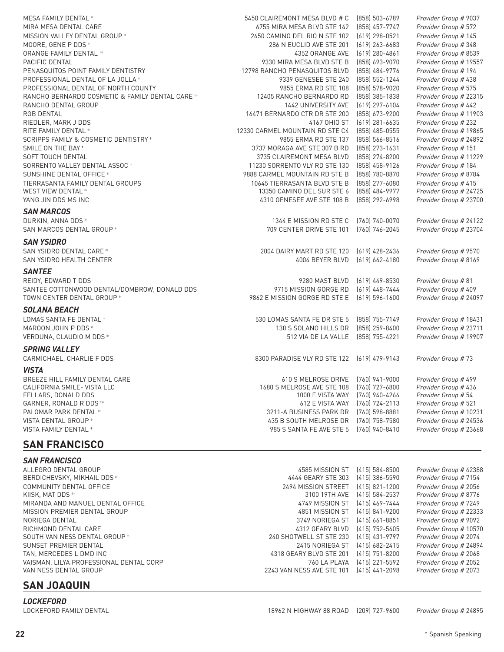| MESA FAMILY DENTAL *                                          | 5450 CLAIREMONT MESA BLVD # C   | (858) 503-6789     | Provider Group # 9037  |
|---------------------------------------------------------------|---------------------------------|--------------------|------------------------|
| MIRA MESA DENTAL CARE                                         | 6755 MIRA MESA BLVD STE 142     | (858) 457-7747     | Provider Group # 572   |
| MISSION VALLEY DENTAL GROUP *                                 | 2650 CAMINO DEL RIO N STE 102   | $(619)$ 298-0521   | Provider Group # 145   |
| MOORE, GENE P DDS *                                           | 286 N EUCLID AVE STE 201        | $(619)$ 263-6683   | Provider Group # 348   |
| ORANGE FAMILY DENTAL **                                       | 4352 ORANGE AVE                 | $(619)$ 280-4861   | Provider Group # 8539  |
| PACIFIC DENTAL                                                | 9330 MIRA MESA BLVD STE B       | (858) 693-9070     | Provider Group # 19557 |
| PENASQUITOS POINT FAMILY DENTISTRY                            | 12798 RANCHO PENASQUITOS BLVD   | (858) 484-9776     | Provider Group # 194   |
| PROFESSIONAL DENTAL OF LA JOLLA *                             | 9339 GENESEE STE 240            | (858) 552-1244     | Provider Group # 438   |
| PROFESSIONAL DENTAL OF NORTH COUNTY                           | 9855 ERMA RD STE 108            | (858) 578-9020     | Provider Group # 575   |
| RANCHO BERNARDO COSMETIC & FAMILY DENTAL CARE **              | 12405 RANCHO BERNARDO RD        | (858) 385-1838     | Provider Group # 22315 |
| RANCHO DENTAL GROUP                                           | 1442 UNIVERSITY AVE             | $(619)$ 297-6104   | Provider Group # 442   |
| <b>RGB DENTAL</b>                                             | 16471 BERNARDO CTR DR STE 200   | (858) 673-9200     | Provider Group # 11903 |
| RIEDLER, MARK J DDS                                           | 4167 OHIO ST                    | $(619)$ 281-6635   | Provider Group # 232   |
| RITE FAMILY DENTAL *                                          | 12330 CARMEL MOUNTAIN RD STE C4 | $(858)$ 485-0555   | Provider Group # 19865 |
| SCRIPPS FAMILY & COSMETIC DENTISTRY *                         | 9855 ERMA RD STE 137            | (858) 566-8516     | Provider Group # 24892 |
| SMILE ON THE BAY *                                            | 3737 MORAGA AVE STE 307 B RD    | (858) 273-1631     | Provider Group # 151   |
| <b>SOFT TOUCH DENTAL</b>                                      | 3735 CLAIREMONT MESA BLVD       | (858) 274-8200     | Provider Group # 11229 |
| SORRENTO VALLEY DENTAL ASSOC *                                | 11230 SORRENTO VLY RD STE 130   | (858) 458-9126     | Provider Group # 184   |
| SUNSHINE DENTAL OFFICE *                                      | 9888 CARMEL MOUNTAIN RD STE B   | (858) 780-8870     | Provider Group # 8784  |
| TIERRASANTA FAMILY DENTAL GROUPS<br><b>WEST VIEW DENTAL *</b> | 10645 TIERRASANTA BLVD STE B    | (858) 277-6080     | Provider Group # 415   |
|                                                               | 13350 CAMINO DEL SUR STE 6      | (858) 484-9977     | Provider Group # 24725 |
| YANG JIN DDS MS INC                                           | 4310 GENESEE AVE STE 108 B      | (858) 292-6998     | Provider Group # 23700 |
| <b>SAN MARCOS</b>                                             |                                 |                    |                        |
| DURKIN, ANNA DDS *                                            | 1344 E MISSION RD STE C         | (760) 740-0070     | Provider Group # 24122 |
| SAN MARCOS DENTAL GROUP *                                     | 709 CENTER DRIVE STE 101        | (760) 746-2045     | Provider Group # 23704 |
| <b>SAN YSIDRO</b>                                             |                                 |                    |                        |
| SAN YSIDRO DENTAL CARE *                                      | 2004 DAIRY MART RD STE 120      | $(619)$ 428-2436   | Provider Group # 9570  |
| SAN YSIDRO HEALTH CENTER                                      | 4004 BEYER BLVD                 | $(619) 662 - 4180$ | Provider Group # 8169  |
| <b>SANTEE</b>                                                 |                                 |                    |                        |
| REIDY, EDWARD T DDS                                           | 9280 MAST BLVD                  | $(619)$ 449-8530   | Provider Group # 81    |
| SANTEE COTTONWOOD DENTAL/DOMBROW, DONALD DDS                  | 9715 MISSION GORGE RD           | $(619)$ 448-7444   | Provider Group # 409   |
| TOWN CENTER DENTAL GROUP *                                    | 9862 E MISSION GORGE RD STE E   | $(619) 596 - 1600$ | Provider Group # 24097 |
|                                                               |                                 |                    |                        |
| <i><b>SOLANA BEACH</b></i>                                    |                                 |                    |                        |
| LOMAS SANTA FE DENTAL *                                       | 530 LOMAS SANTA FE DR STE 5     | (858) 755-7149     | Provider Group # 18431 |
| MAROON JOHN P DDS *                                           | 130 S SOLANO HILLS DR           | $(858)$ 259-8400   | Provider Group # 23711 |
| VERDUNA, CLAUDIO M DDS *                                      | 512 VIA DE LA VALLE             | (858) 755-4221     | Provider Group # 19907 |
| <b>SPRING VALLEY</b>                                          |                                 |                    |                        |
| CARMICHAEL, CHARLIE F DDS                                     | 8300 PARADISE VLY RD STE 122    | (619) 479-9143     | Provider Group #73     |
| <b>VISTA</b>                                                  |                                 |                    |                        |
| BREEZE HILL FAMILY DENTAL CARE                                | 610 S MELROSE DRIVE             | (760) 941-9000     | Provider Group # 499   |
| CALIFORNIA SMILE- VISTA LLC                                   | 1680 S MELROSE AVE STE 108      | (760) 727-6800     | Provider Group # 436   |
| FELLARS, DONALD DDS                                           | 1000 E VISTA WAY                | (760) 940-4266     | Provider Group # 54    |
| GARNER, RONALD R DDS **                                       | 612 E VISTA WAY                 | (760) 724-2113     | Provider Group # 521   |
| PALOMAR PARK DENTAL *                                         | 3211-A BUSINESS PARK DR         | (760) 598-8881     | Provider Group # 10231 |
| VISTA DENTAL GROUP *                                          | 435 B SOUTH MELROSE DR          | (760) 758-7580     | Provider Group # 24536 |
| VISTA FAMILY DENTAL *                                         | 985 S SANTA FE AVE STE 5        | (760) 940-8410     | Provider Group # 23668 |

### **SAN FRANCISCO**

| <b>SAN FRANCISCO</b>                    |                           |                  |                        |
|-----------------------------------------|---------------------------|------------------|------------------------|
| ALLEGRO DENTAL GROUP                    | 4585 MISSION ST           | (415) 584-8500   | Provider Group # 42388 |
| BERDICHEVSKY, MIKHAIL DDS *             | 4444 GEARY STE 303        | (415) 386-5590   | Provider Group # 7154  |
| COMMUNITY DENTAL OFFICE                 | 2494 MISSION STREET       | (415) 821-1200   | Provider Group # 2056  |
| KIISK. MAT DDS <sup>+*</sup>            | 3100 19TH AVE             | (415) 584-2537   | Provider Group # 8776  |
| MIRANDA AND MANUEL DENTAL OFFICE        | 4749 MISSION ST           | (415) 469-7444   | Provider Group # 7249  |
| MISSION PREMIER DENTAL GROUP            | 4851 MISSION ST           | (415) 841-9200   | Provider Group # 22333 |
| NORIEGA DENTAL                          | 3749 NORIEGA ST           | (415) 661-8851   | Provider Group # 9092  |
| RICHMOND DENTAL CARE                    | 4312 GEARY BLVD           | (415) 752-5605   | Provider Group # 10570 |
| SOUTH VAN NESS DENTAL GROUP *           | 240 SHOTWELL ST STE 230   | (415) 431-9797   | Provider Group # 2074  |
| SUNSET PREMIER DENTAL                   | 2415 NORIEGA ST           | (415) 682-2415   | Provider Group # 24894 |
| TAN, MERCEDES L DMD INC                 | 4318 GEARY BLVD STE 201   | (415) 751-8200   | Provider Group # 2068  |
| VAISMAN, LILYA PROFESSIONAL DENTAL CORP | 760 LA PLAYA              | (415) 221-5592   | Provider Group # 2052  |
| VAN NESS DENTAL GROUP                   | 2243 VAN NESS AVE STE 101 | $(415)$ 441-2098 | Provider Group # 2073  |

### **SAN JOAQUIN**

*LOCKEFORD*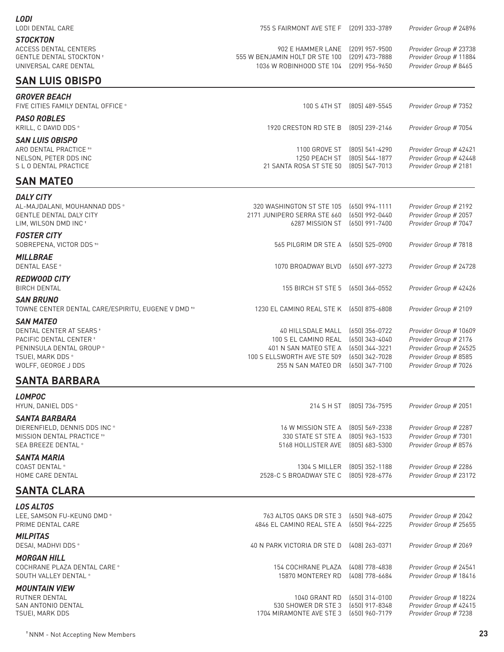### *LODI* LODI DENTAL CARE 755 S FAIRMONT AVE STE F (209) 333-3789 *Provider Group #* 24896 **STOCKTON**<br>ACCESS DENTAL CENTERS

ACCESS DENTAL CENTERS 902 E HAMMER LANE (209) 957-9500 *Provider Group #* 23738 UNIVERSAL CARE DENTAL 1036 W ROBINHOOD STE 104 (209) 956-9650 *Provider Group #* 8465

#### **SAN LUIS OBISPO**

555 W BENJAMIN HOLT DR STE 100 (209) 473-7888

| <b>GROVER BEACH</b><br>FIVE CITIES FAMILY DENTAL OFFICE *                                                   | 100 S 4TH ST                                                                | (805) 489-5545                                       | Provider Group # 7352                                                     |
|-------------------------------------------------------------------------------------------------------------|-----------------------------------------------------------------------------|------------------------------------------------------|---------------------------------------------------------------------------|
| <b>PASO ROBLES</b><br>KRILL, C DAVID DDS *                                                                  | 1920 CRESTON RD STE B                                                       | (805) 239-2146                                       | Provider Group # 7054                                                     |
| <b>SAN LUIS OBISPO</b><br>ARO DENTAL PRACTICE **<br>NELSON, PETER DDS INC<br>S L O DENTAL PRACTICE          | 1100 GROVE ST<br>1250 PEACH ST<br>21 SANTA ROSA ST STE 50                   | (805) 541-4290<br>(805) 544-1877<br>$(805)$ 547-7013 | Provider Group # 42421<br>Provider Group # 42448<br>Provider Group # 2181 |
| <b>SAN MATEO</b>                                                                                            |                                                                             |                                                      |                                                                           |
| <b>DALY CITY</b><br>AL-MAJDALANI, MOUHANNAD DDS *<br><b>GENTLE DENTAL DALY CITY</b><br>LIM, WILSON DMD INC+ | 320 WASHINGTON ST STE 105<br>2171 JUNIPERO SERRA STE 660<br>6287 MISSION ST | (650) 994-1111<br>(650) 992-0440<br>$(650)$ 991-7400 | Provider Group # 2192<br>Provider Group # 2057<br>Provider Group # 7047   |
| <b>FOSTER CITY</b><br>SOBREPENA, VICTOR DDS **                                                              | 565 PILGRIM DR STE A                                                        | (650) 525-0900                                       | Provider Group # 7818                                                     |
| <b>MILLBRAE</b><br><b>DENTAL EASE</b> *                                                                     | 1070 BROADWAY BLVD                                                          | (650) 697-3273                                       | Provider Group # 24728                                                    |
| <b>REDWOOD CITY</b><br><b>BIRCH DENTAL</b>                                                                  | 155 BIRCH ST STE 5                                                          | (650) 366-0552                                       | Provider Group # 42426                                                    |
| <b>SAN BRUNO</b><br>TOWNE CENTER DENTAL CARE/ESPIRITU, EUGENE V DMD <sup>**</sup>                           | 1230 EL CAMINO REAL STE K                                                   | (650) 875-6808                                       | Provider Group # 2109                                                     |

*SAN MATEO* DENTAL CENTER AT SEARS ✝ 40 HILLSDALE MALL (650) 356-0722 *Provider Group #* 10609 PACIFIC DENTAL CENTER ✝ 100 S EL CAMINO REAL (650) 343-4040 *Provider Group #* 2176 PENINSULA DENTAL GROUP ✻ 401 N SAN MATEO STE A (650) 344-3221 *Provider Group #* 24525 TSUEI, MARK DDS ✻ 100 S ELLSWORTH AVE STE 509 (650) 342-7028 *Provider Group #* 8585 WOLFF, GEORGE J DDS 255 N SAN MATEO DR (650) 347-7100 *Provider Group #* 7026

### **SANTA BARBARA**

| 1.0011700                                                                                                         |                                                                |                                                    |                                                                         |
|-------------------------------------------------------------------------------------------------------------------|----------------------------------------------------------------|----------------------------------------------------|-------------------------------------------------------------------------|
| <b>SANTA CLARA</b>                                                                                                |                                                                |                                                    |                                                                         |
| SANTA MARIA<br>COAST DENTAL *<br>HOME CARE DENTAL                                                                 | 1304 S MILLER<br>2528-C S BROADWAY STE C [805] 928-6776        | (805) 352-1188                                     | Provider Group # 2286<br>Provider Group # 23172                         |
| <b>SANTA BARBARA</b><br>DIERENFIELD. DENNIS DDS INC *<br>MISSION DENTAL PRACTICE **<br><b>SEA BREEZE DENTAL *</b> | 16 W MISSION STE A<br>330 STATE ST STE A<br>5168 HOLLISTER AVE | (805) 569-2338<br>(805) 963-1533<br>(805) 683-5300 | Provider Group # 2287<br>Provider Group # 7301<br>Provider Group # 8576 |
| <b>LOMPOC</b><br>HYUN, DANIEL DDS *                                                                               | 214 S H ST                                                     | (805) 736-7595                                     | Provider Group # 2051                                                   |

| 763 ALTOS OAKS DR STE 3     | (650) 948-6075 | Provider Group # 2042  |
|-----------------------------|----------------|------------------------|
| 4846 EL CAMINO REAL STE A   | (650) 964-2225 | Provider Group # 25655 |
|                             |                |                        |
| 40 N PARK VICTORIA DR STE D | (408) 263-0371 | Provider Group # 2069  |
|                             |                |                        |
| 154 COCHRANE PLAZA          | (408) 778-4838 | Provider Group # 24541 |
| 15870 MONTEREY RD           | (408) 778-6684 | Provider Group # 18416 |
|                             |                |                        |
| 1040 GRANT RD               | (650) 314-0100 | Provider Group # 18224 |
| 530 SHOWER DR STE 3         | (650) 917-8348 | Provider Group # 42415 |
| 1704 MIRAMONTE AVE STE 3    | (650) 960-7179 | Provider Group # 7238  |
|                             |                |                        |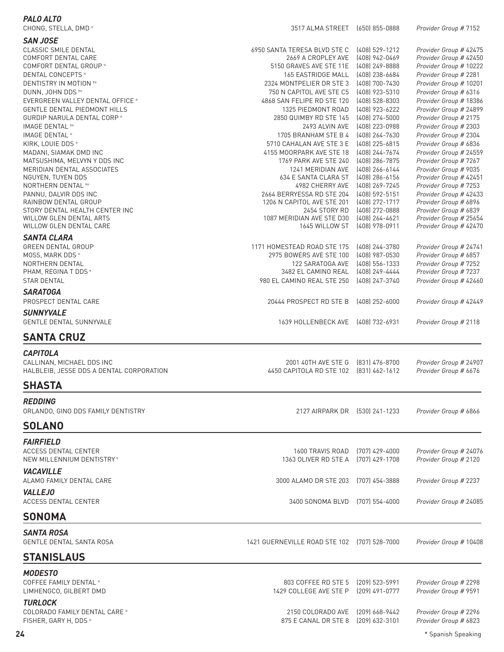| <b>PALO ALTO</b>                                                                                                                                                                                                                                                                                                                                                                                                                                                                                                                                                                                                                       | 3517 ALMA STREET [650] 855-0888                                                                                                                                                                                                                                                                                                                                                                                                                                                                                                               |                                                                                                                                                                                                                                                                                                                                                                                              |                                                                                                                                                                                                                                                                                                                                                                                                                                                                                                                                                                              |
|----------------------------------------------------------------------------------------------------------------------------------------------------------------------------------------------------------------------------------------------------------------------------------------------------------------------------------------------------------------------------------------------------------------------------------------------------------------------------------------------------------------------------------------------------------------------------------------------------------------------------------------|-----------------------------------------------------------------------------------------------------------------------------------------------------------------------------------------------------------------------------------------------------------------------------------------------------------------------------------------------------------------------------------------------------------------------------------------------------------------------------------------------------------------------------------------------|----------------------------------------------------------------------------------------------------------------------------------------------------------------------------------------------------------------------------------------------------------------------------------------------------------------------------------------------------------------------------------------------|------------------------------------------------------------------------------------------------------------------------------------------------------------------------------------------------------------------------------------------------------------------------------------------------------------------------------------------------------------------------------------------------------------------------------------------------------------------------------------------------------------------------------------------------------------------------------|
|                                                                                                                                                                                                                                                                                                                                                                                                                                                                                                                                                                                                                                        |                                                                                                                                                                                                                                                                                                                                                                                                                                                                                                                                               |                                                                                                                                                                                                                                                                                                                                                                                              |                                                                                                                                                                                                                                                                                                                                                                                                                                                                                                                                                                              |
| CHONG, STELLA, DMD *<br><b>SAN JOSE</b><br><b>CLASSIC SMILE DENTAL</b><br>COMFORT DENTAL CARE<br>COMFORT DENTAL GROUP *<br>DENTAL CONCEPTS *<br>DENTISTRY IN MOTION **<br>DUNN, JOHN DDS <sup>+*</sup><br>EVERGREEN VALLEY DENTAL OFFICE *<br><b>GENTLE DENTAL PIEDMONT HILLS</b><br>GURDIP NARULA DENTAL CORP *<br>IMAGE DENTAL <sup>**</sup><br>IMAGE DENTAL *<br>KIRK, LOUIE DDS *<br>MADANI, SIAMAK DMD INC<br>MATSUSHIMA, MELVYN Y DDS INC<br>MERIDIAN DENTAL ASSOCIATES<br>NGUYEN, TUYEN DDS<br>NORTHERN DENTAL **<br>PANNU, DALVIR DDS INC<br>RAINBOW DENTAL GROUP<br>STORY DENTAL HEALTH CENTER INC<br>WILLOW GLEN DENTAL ARTS | 6950 SANTA TERESA BLVD STE C<br>2669 A CROPLEY AVE<br>5150 GRAVES AVE STE 11E<br>165 EASTRIDGE MALL<br>2324 MONTPELIER DR STE 3<br>750 N CAPITOL AVE STE C5<br>4868 SAN FELIPE RD STE 120<br>1325 PIEDMONT ROAD<br>2850 QUIMBY RD STE 145<br>2493 ALVIN AVE<br>1705 BRANHAM STE B 4<br>5710 CAHALAN AVE STE 3 E<br>4155 MOORPARK AVE STE 18<br>1769 PARK AVE STE 240<br>1241 MERIDIAN AVE<br>634 E SANTA CLARA ST<br>4982 CHERRY AVE<br>2664 BERRYESSA RD STE 204<br>1206 N CAPITOL AVE STE 201<br>2454 STORY RD<br>1087 MERIDIAN AVE STE D30 | $(408)$ 529-1212<br>(408) 942-0469<br>(408) 249-8888<br>(408) 238-6684<br>(408) 700-7430<br>(408) 923-5310<br>(408) 528-8303<br>(408) 923-6222<br>(408) 274-5000<br>(408) 223-0988<br>(408) 264-7630<br>$(408)$ 225-6815<br>(408) 244-7674<br>(408) 286-7875<br>$(408)$ 266-6144<br>(408) 286-6156<br>(408) 269-7245<br>(408) 592-5151<br>(408) 272-1717<br>(408) 272-0888<br>(408) 264-4621 | Provider Group # 7152<br>Provider Group # 42475<br>Provider Group # 42450<br>Provider Group # 10222<br>Provider Group # 2281<br>Provider Group # 10201<br>Provider Group # 6316<br>Provider Group # 18386<br>Provider Group # 24899<br>Provider Group # 2175<br>Provider Group # 2303<br>Provider Group # 2304<br>Provider Group # 6836<br>Provider Group # 24559<br>Provider Group # 7267<br>Provider Group # 9035<br>Provider Group # 42451<br>Provider Group # 7253<br>Provider Group # 42433<br>Provider Group # 6896<br>Provider Group # 6839<br>Provider Group # 25654 |
| WILLOW GLEN DENTAL CARE                                                                                                                                                                                                                                                                                                                                                                                                                                                                                                                                                                                                                | 1645 WILLOW ST                                                                                                                                                                                                                                                                                                                                                                                                                                                                                                                                | (408) 978-0911                                                                                                                                                                                                                                                                                                                                                                               | Provider Group # 42470                                                                                                                                                                                                                                                                                                                                                                                                                                                                                                                                                       |
| <b>SANTA CLARA</b><br><b>GREEN DENTAL GROUP</b><br>MOSS, MARK DDS *<br>NORTHERN DENTAL<br>PHAM, REGINA T DDS +<br><b>STAR DENTAL</b><br><b>SARATOGA</b>                                                                                                                                                                                                                                                                                                                                                                                                                                                                                | 1171 HOMESTEAD ROAD STE 175<br>2975 BOWERS AVE STE 100<br>122 SARATOGA AVE<br>3482 EL CAMINO REAL<br>980 EL CAMINO REAL STE 250                                                                                                                                                                                                                                                                                                                                                                                                               | (408) 244-3780<br>(408) 987-0530<br>(408) 556-1333<br>(408) 249-4444<br>(408) 247-3740                                                                                                                                                                                                                                                                                                       | Provider Group # 24741<br>Provider Group # 6857<br>Provider Group # 7252<br>Provider Group # 7237<br>Provider Group # 42460                                                                                                                                                                                                                                                                                                                                                                                                                                                  |
| PROSPECT DENTAL CARE                                                                                                                                                                                                                                                                                                                                                                                                                                                                                                                                                                                                                   | 20444 PROSPECT RD STE B                                                                                                                                                                                                                                                                                                                                                                                                                                                                                                                       | $(408)$ 252-6000                                                                                                                                                                                                                                                                                                                                                                             | Provider Group # 42449                                                                                                                                                                                                                                                                                                                                                                                                                                                                                                                                                       |
| <b>SUNNYVALE</b><br><b>GENTLE DENTAL SUNNYVALE</b>                                                                                                                                                                                                                                                                                                                                                                                                                                                                                                                                                                                     | 1639 HOLLENBECK AVE [408] 732-6931                                                                                                                                                                                                                                                                                                                                                                                                                                                                                                            |                                                                                                                                                                                                                                                                                                                                                                                              | Provider Group # 2118                                                                                                                                                                                                                                                                                                                                                                                                                                                                                                                                                        |
| <b>SANTA CRUZ</b>                                                                                                                                                                                                                                                                                                                                                                                                                                                                                                                                                                                                                      |                                                                                                                                                                                                                                                                                                                                                                                                                                                                                                                                               |                                                                                                                                                                                                                                                                                                                                                                                              |                                                                                                                                                                                                                                                                                                                                                                                                                                                                                                                                                                              |
|                                                                                                                                                                                                                                                                                                                                                                                                                                                                                                                                                                                                                                        |                                                                                                                                                                                                                                                                                                                                                                                                                                                                                                                                               |                                                                                                                                                                                                                                                                                                                                                                                              |                                                                                                                                                                                                                                                                                                                                                                                                                                                                                                                                                                              |
| <b>CAPITOLA</b><br>CALLINAN, MICHAEL DDS INC<br>HALBLEIB, JESSE DDS A DENTAL CORPORATION                                                                                                                                                                                                                                                                                                                                                                                                                                                                                                                                               | 2001 40TH AVE STE G<br>4450 CAPITOLA RD STE 102 [831] 462-1612                                                                                                                                                                                                                                                                                                                                                                                                                                                                                | (831) 476-8700                                                                                                                                                                                                                                                                                                                                                                               | Provider Group # 24907<br>Provider Group # 6676                                                                                                                                                                                                                                                                                                                                                                                                                                                                                                                              |
| <b>SHASTA</b>                                                                                                                                                                                                                                                                                                                                                                                                                                                                                                                                                                                                                          |                                                                                                                                                                                                                                                                                                                                                                                                                                                                                                                                               |                                                                                                                                                                                                                                                                                                                                                                                              |                                                                                                                                                                                                                                                                                                                                                                                                                                                                                                                                                                              |
| <b>REDDING</b><br>ORLANDO, GINO DDS FAMILY DENTISTRY<br><b>SOLANO</b>                                                                                                                                                                                                                                                                                                                                                                                                                                                                                                                                                                  | 2127 AIRPARK DR [530] 241-1233                                                                                                                                                                                                                                                                                                                                                                                                                                                                                                                |                                                                                                                                                                                                                                                                                                                                                                                              | Provider Group # 6866                                                                                                                                                                                                                                                                                                                                                                                                                                                                                                                                                        |
|                                                                                                                                                                                                                                                                                                                                                                                                                                                                                                                                                                                                                                        |                                                                                                                                                                                                                                                                                                                                                                                                                                                                                                                                               |                                                                                                                                                                                                                                                                                                                                                                                              |                                                                                                                                                                                                                                                                                                                                                                                                                                                                                                                                                                              |
| <b>FAIRFIELD</b><br><b>ACCESS DENTAL CENTER</b><br>NEW MILLENNIUM DENTISTRY *                                                                                                                                                                                                                                                                                                                                                                                                                                                                                                                                                          | 1600 TRAVIS ROAD [707] 429-4000<br>1363 OLIVER RD STE A [707] 429-1708                                                                                                                                                                                                                                                                                                                                                                                                                                                                        |                                                                                                                                                                                                                                                                                                                                                                                              | Provider Group # 24076<br>Provider Group # 2120                                                                                                                                                                                                                                                                                                                                                                                                                                                                                                                              |
| <b>VACAVILLE</b><br>ALAMO FAMILY DENTAL CARE                                                                                                                                                                                                                                                                                                                                                                                                                                                                                                                                                                                           | 3000 ALAMO DR STE 203                                                                                                                                                                                                                                                                                                                                                                                                                                                                                                                         | (707) 454-3888                                                                                                                                                                                                                                                                                                                                                                               | Provider Group # 2237                                                                                                                                                                                                                                                                                                                                                                                                                                                                                                                                                        |
| <b>VALLEJO</b><br>ACCESS DENTAL CENTER                                                                                                                                                                                                                                                                                                                                                                                                                                                                                                                                                                                                 | 3400 SONOMA BLVD                                                                                                                                                                                                                                                                                                                                                                                                                                                                                                                              | (707) 554-4000                                                                                                                                                                                                                                                                                                                                                                               | Provider Group # 24085                                                                                                                                                                                                                                                                                                                                                                                                                                                                                                                                                       |
| <b>SONOMA</b>                                                                                                                                                                                                                                                                                                                                                                                                                                                                                                                                                                                                                          |                                                                                                                                                                                                                                                                                                                                                                                                                                                                                                                                               |                                                                                                                                                                                                                                                                                                                                                                                              |                                                                                                                                                                                                                                                                                                                                                                                                                                                                                                                                                                              |
| <b>SANTA ROSA</b><br><b>GENTLE DENTAL SANTA ROSA</b>                                                                                                                                                                                                                                                                                                                                                                                                                                                                                                                                                                                   | 1421 GUERNEVILLE ROAD STE 102 (707) 528-7000                                                                                                                                                                                                                                                                                                                                                                                                                                                                                                  |                                                                                                                                                                                                                                                                                                                                                                                              | Provider Group # 10408                                                                                                                                                                                                                                                                                                                                                                                                                                                                                                                                                       |
| <b>STANISLAUS</b>                                                                                                                                                                                                                                                                                                                                                                                                                                                                                                                                                                                                                      |                                                                                                                                                                                                                                                                                                                                                                                                                                                                                                                                               |                                                                                                                                                                                                                                                                                                                                                                                              |                                                                                                                                                                                                                                                                                                                                                                                                                                                                                                                                                                              |
| <b>MODESTO</b><br>COFFEE FAMILY DENTAL *<br>LIMHENGCO, GILBERT DMD                                                                                                                                                                                                                                                                                                                                                                                                                                                                                                                                                                     | 803 COFFEE RD STE 5<br>1429 COLLEGE AVE STE P                                                                                                                                                                                                                                                                                                                                                                                                                                                                                                 | $(209)$ 523-5991<br>$(209)$ 491-0777                                                                                                                                                                                                                                                                                                                                                         | Provider Group # 2298<br>Provider Group # 9591                                                                                                                                                                                                                                                                                                                                                                                                                                                                                                                               |
| <b>TURLOCK</b><br>COLORADO FAMILY DENTAL CARE *<br>FISHER, GARY H, DDS *                                                                                                                                                                                                                                                                                                                                                                                                                                                                                                                                                               | 2150 COLORADO AVE<br>875 E CANAL DR STE 8                                                                                                                                                                                                                                                                                                                                                                                                                                                                                                     | $[209] 668 - 9442$<br>$(209)$ 632-3101                                                                                                                                                                                                                                                                                                                                                       | Provider Group # 2296<br>Provider Group # 6823                                                                                                                                                                                                                                                                                                                                                                                                                                                                                                                               |

**24** \* Spanish Speaking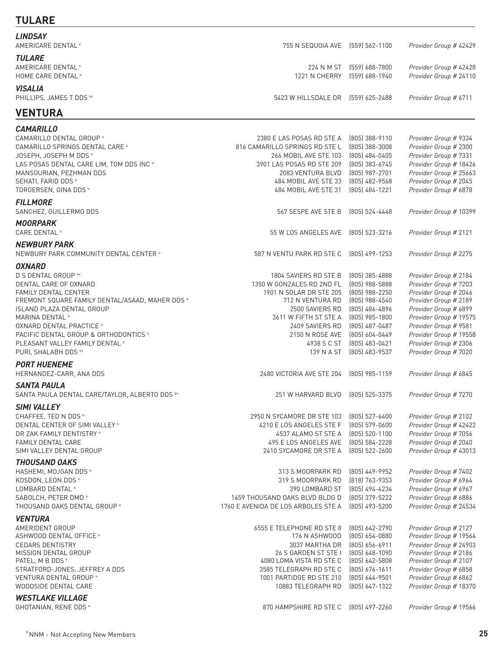### **TULARE**

| <b>LINDSAY</b><br><b>AMERICARE DENTAL *</b>                                                                                                                                                                                                                                                                              | 755 N SEQUOIA AVE [559] 562-1100                                                                                                                                                                                 |                                                                                                                                                                                        | Provider Group # 42429                                                                                                                                                                                                                                   |
|--------------------------------------------------------------------------------------------------------------------------------------------------------------------------------------------------------------------------------------------------------------------------------------------------------------------------|------------------------------------------------------------------------------------------------------------------------------------------------------------------------------------------------------------------|----------------------------------------------------------------------------------------------------------------------------------------------------------------------------------------|----------------------------------------------------------------------------------------------------------------------------------------------------------------------------------------------------------------------------------------------------------|
| <b>TULARE</b><br>AMERICARE DENTAL <sup>+</sup><br>HOME CARE DENTAL *                                                                                                                                                                                                                                                     | 1221 N CHERRY                                                                                                                                                                                                    | 224 N M ST (559) 688-7800<br>(559) 688-1940                                                                                                                                            | Provider Group # 42428<br>Provider Group # 24110                                                                                                                                                                                                         |
| <b>VISALIA</b><br>PHILLIPS, JAMES T DDS **                                                                                                                                                                                                                                                                               | 5423 W HILLSDALE DR (559) 625-2488                                                                                                                                                                               |                                                                                                                                                                                        | Provider Group # 6711                                                                                                                                                                                                                                    |
| <b>VENTURA</b>                                                                                                                                                                                                                                                                                                           |                                                                                                                                                                                                                  |                                                                                                                                                                                        |                                                                                                                                                                                                                                                          |
| <b>CAMARILLO</b>                                                                                                                                                                                                                                                                                                         |                                                                                                                                                                                                                  |                                                                                                                                                                                        |                                                                                                                                                                                                                                                          |
| CAMARILLO DENTAL GROUP *<br>CAMARILLO SPRINGS DENTAL CARE *<br>JOSEPH, JOSEPH M DDS *<br>LAS POSAS DENTAL CARE LIM, TOM DDS INC *<br>MANSOURIAN, PEZHMAN DDS<br>SEHATI, FARID DDS *<br>TORGERSEN, GINA DDS *                                                                                                             | 2380 E LAS POSAS RD STE A<br>816 CAMARILLO SPRINGS RD STE L<br>266 MOBIL AVE STE 103<br>3901 LAS POSAS RD STE 209<br>2083 VENTURA BLVD<br>484 MOBIL AVE STE 33<br>484 MOBIL AVE STE 31                           | (805) 388-9110<br>(805) 388-3008<br>(805) 484-0405<br>(805) 383-6745<br>(805) 987-2701<br>(805) 482-9568<br>(805) 484-1221                                                             | Provider Group # 9334<br>Provider Group # 2300<br>Provider Group # 7331<br>Provider Group # 18426<br>Provider Group # 25663<br>Provider Group # 2045<br>Provider Group # 6878                                                                            |
| <b>FILLMORE</b><br>SANCHEZ, GUILLERMO DDS                                                                                                                                                                                                                                                                                | 567 SESPE AVE STE B                                                                                                                                                                                              | $(805)$ 524-4448                                                                                                                                                                       | Provider Group # 10399                                                                                                                                                                                                                                   |
| <b>MOORPARK</b><br><b>CARE DENTAL *</b>                                                                                                                                                                                                                                                                                  | 55 W LOS ANGELES AVE                                                                                                                                                                                             | (805) 523-3216                                                                                                                                                                         | Provider Group # 2121                                                                                                                                                                                                                                    |
| <b>NEWBURY PARK</b>                                                                                                                                                                                                                                                                                                      |                                                                                                                                                                                                                  |                                                                                                                                                                                        |                                                                                                                                                                                                                                                          |
| NEWBURY PARK COMMUNITY DENTAL CENTER *                                                                                                                                                                                                                                                                                   | 587 N VENTU PARK RD STE C                                                                                                                                                                                        | $(805)$ 499-1253                                                                                                                                                                       | Provider Group # 2275                                                                                                                                                                                                                                    |
| <b>OXNARD</b><br>D S DENTAL GROUP **<br>DENTAL CARE OF OXNARD<br>FAMILY DENTAL CENTER<br>FREMONT SQUARE FAMILY DENTAL/ASAAD, MAHER DDS *<br>ISLAND PLAZA DENTAL GROUP<br>MARINA DENTAL *<br>OXNARD DENTAL PRACTICE *<br>PACIFIC DENTAL GROUP & ORTHODONTICS *<br>PLEASANT VALLEY FAMILY DENTAL *<br>PURI, SHALABH DDS ** | 1804 SAVIERS RD STE B<br>1350 W GONZALES RD 2ND FL<br>1901 N SOLAR DR STE 205<br>712 N VENTURA RD<br>2500 SAVIERS RD<br>3611 W FIFTH ST STE A<br>2409 SAVIERS RD<br>2150 N ROSE AVE<br>4938 S C ST<br>139 N A ST | (805) 385-4888<br>(805) 988-5888<br>(805) 988-2250<br>(805) 988-4540<br>(805) 486-4896<br>(805) 985-1800<br>(805) 487-0487<br>$(805) 604 - 0449$<br>$(805)$ 483-0421<br>(805) 483-9537 | Provider Group # 2184<br>Provider Group # 7203<br>Provider Group # 2046<br>Provider Group # 2189<br>Provider Group # 6899<br>Provider Group # 19575<br>Provider Group # 9581<br>Provider Group # 19558<br>Provider Group # 2306<br>Provider Group # 7020 |
| <b>PORT HUENEME</b>                                                                                                                                                                                                                                                                                                      |                                                                                                                                                                                                                  |                                                                                                                                                                                        |                                                                                                                                                                                                                                                          |
| HERNANDEZ-CARR, ANA DDS                                                                                                                                                                                                                                                                                                  | 2480 VICTORIA AVE STE 204                                                                                                                                                                                        | $(805)$ 985-1159                                                                                                                                                                       | Provider Group # 6845                                                                                                                                                                                                                                    |
| <b>SANTA PAULA</b><br>SANTA PAULA DENTAL CARE/TAYLOR, ALBERTO DDS **                                                                                                                                                                                                                                                     | 251 W HARVARD BLVD                                                                                                                                                                                               | (805) 525-3375                                                                                                                                                                         | Provider Group # 7270                                                                                                                                                                                                                                    |
| <b>SIMI VALLEY</b><br>CHAFFEE, TED N DDS *<br>DENTAL CENTER OF SIMI VALLEY *<br>DR ZAK FAMILY DENTISTRY *<br><b>FAMILY DENTAL CARE</b><br>SIMI VALLEY DENTAL GROUP                                                                                                                                                       | 2950 N SYCAMORE DR STE 103<br>4210 E LOS ANGELES STE F<br>4537 ALAMO ST STE A<br>495 E LOS ANGELES AVE<br>2410 SYCAMORE DR STE A                                                                                 | $(805) 527 - 6400$<br>$(805)$ 579-0600<br>(805) 520-1100<br>$(805)$ 584-2228<br>(805) 522-2600                                                                                         | Provider Group # 2102<br>Provider Group # 42422<br>Provider Group # 7056<br>Provider Group # 2040<br>Provider Group # 43013                                                                                                                              |
| <b>THOUSAND OAKS</b><br>HASHEMI, MOJGAN DDS *<br>KOSDON, LEON DDS *<br>LOMBARD DENTAL *<br>SABOLCH, PETER DMD*<br>THOUSAND OAKS DENTAL GROUP *                                                                                                                                                                           | 313 S MOORPARK RD<br>319 S MOORPARK RD<br>390 LOMBARD ST<br>1459 THOUSAND OAKS BLVD BLDG D<br>1760 E AVENIDA DE LOS ARBOLES STE A                                                                                | (805) 449-9952<br>(818) 763-9353<br>(805) 494-4234<br>(805) 379-5222<br>(805) 493-5200                                                                                                 | Provider Group # 7402<br>Provider Group # 6964<br>Provider Group # 6967<br>Provider Group # 6886<br>Provider Group # 24534                                                                                                                               |
| <b>VENTURA</b><br>AMERIDENT GROUP<br>ASHWOOD DENTAL OFFICE *<br><b>CEDARS DENTISTRY</b><br>MISSION DENTAL GROUP<br>PATEL, M B DDS +<br>STRATFORD-JONES, JEFFREY A DDS<br>VENTURA DENTAL GROUP *<br>WOODSIDE DENTAL CARE                                                                                                  | 6555 E TELEPHONE RD STE 8<br>176 N ASHWOOD<br>3037 MARTHA DR<br>26 S GARDEN ST STE I<br>4080 LOMA VISTA RD STE C<br>3585 TELEGRAPH RD STE C<br>1001 PARTIDGE RD STE 210<br>10883 TELEGRAPH RD                    | (805) 642-2790<br>$(805) 654 - 0880$<br>(805) 656-6911<br>$(805)$ 648-1090<br>$(805)$ 642-5808<br>$(805)$ 676-1611<br>(805) 644-9501<br>(805) 647-1322                                 | Provider Group # 2127<br>Provider Group # 19564<br>Provider Group # 24903<br>Provider Group # 2186<br>Provider Group # 2107<br>Provider Group # 6858<br>Provider Group # 6862<br>Provider Group # 18370                                                  |
| <b>WESTLAKE VILLAGE</b><br>GHOTANIAN, RENE DDS *                                                                                                                                                                                                                                                                         | 870 HAMPSHIRE RD STE C                                                                                                                                                                                           | (805) 497-2260                                                                                                                                                                         | Provider Group # 19566                                                                                                                                                                                                                                   |